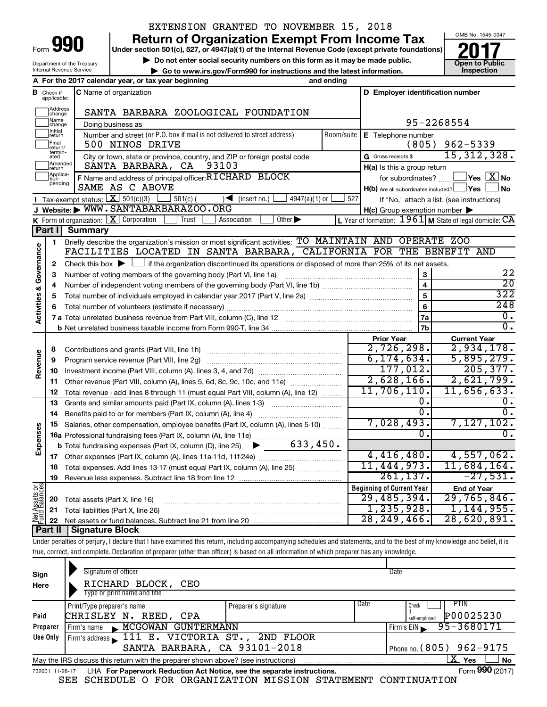Department of the Treasury Internal Revenue Service

# EXTENSION GRANTED TO NOVEMBER 15, 2018

**Under section 501(c), 527, or 4947(a)(1) of the Internal Revenue Code (except private foundations) 990 Return of Organization Exempt From Income Tax 1990 2017 Divide the section 501(c)**, 527, or 4947(a)(1) of the Internal Revenue Code (except private foundations) **2017** 

▶ Do not enter social security numbers on this form as it may be made public.<br>
inspection and the latest information. **Dependent in the latest information** and the latest information. **| Go to www.irs.gov/Form990 for instructions and the latest information. Inspection**



| D Employer identification number<br><b>B</b> Check if applicable:<br><b>C</b> Name of organization<br>Address<br> change<br>SANTA BARBARA ZOOLOGICAL FOUNDATION<br>Name<br>95-2268554<br>Doing business as<br>change<br>Initial<br>Number and street (or P.O. box if mail is not delivered to street address)<br>Room/suite<br>E Telephone number<br>return<br>Final<br>$962 - 5339$<br>(805)<br>500 NINOS DRIVE<br>return/<br>termin-<br>15,312,328.<br>City or town, state or province, country, and ZIP or foreign postal code<br>G Gross receipts \$<br>ated<br>Amended<br>Ireturn<br>93103<br>SANTA BARBARA, CA<br>H(a) Is this a group return<br>Applica-<br>F Name and address of principal officer: RICHARD BLOCK<br>$\Box$ Yes $\Box X$ No<br>for subordinates?<br>pending<br>SAME AS C ABOVE<br>$H(b)$ Are all subordinates included? $\Box$ Yes<br>No<br><b>I</b> Tax-exempt status: $X \ 501(c)(3)$<br>(insert no.)<br>$501(c)$ (<br>$4947(a)(1)$ or<br>527<br>$\rightarrow$<br>If "No," attach a list. (see instructions)<br>J Website: WWW.SANTABARBARAZOO.ORG<br>$H(c)$ Group exemption number $\blacktriangleright$<br>Other $\blacktriangleright$<br><b>K</b> Form of organization: $X$ Corporation<br>Association<br>L Year of formation: $1961$ M State of legal domicile: CA<br>Trust<br>Part I<br>Summary<br>Briefly describe the organization's mission or most significant activities: TO MAINTAIN AND OPERATE ZOO<br>1<br>Governance<br>FACILITIES LOCATED IN SANTA BARBARA, CALIFORNIA FOR THE BENEFIT AND<br>Check this box $\blacktriangleright$ $\Box$ if the organization discontinued its operations or disposed of more than 25% of its net assets.<br>2<br>22<br>3<br>Number of voting members of the governing body (Part VI, line 1a)<br>З<br>$\overline{20}$<br>$\overline{\mathbf{4}}$<br>4<br><b>Activities &amp;</b><br>322<br>5<br>5<br>248<br>6<br>$\overline{0}$ .<br>7a<br>0.<br>7b<br><b>Prior Year</b><br><b>Current Year</b><br>2,726,298.<br>2,934,178.<br>8<br>Revenue<br>6, 174, 634.<br>5,895,279.<br>9<br>Program service revenue (Part VIII, line 2g)<br>177,012.<br>205, 377.<br>10<br>2,621,799.<br>$2,628,166$ .<br>Other revenue (Part VIII, column (A), lines 5, 6d, 8c, 9c, 10c, and 11e)<br>11<br>11,706,110.<br>11,656,633.<br>Total revenue - add lines 8 through 11 (must equal Part VIII, column (A), line 12)<br>12<br>О.<br>$0$ .<br>13<br>Grants and similar amounts paid (Part IX, column (A), lines 1-3)<br>$\overline{0}$ .<br>0.<br>Benefits paid to or for members (Part IX, column (A), line 4)<br>14<br>7,028,493.<br>$7,127,102$ .<br>Salaries, other compensation, employee benefits (Part IX, column (A), lines 5-10)<br>15<br>Expenses<br>0.<br>0.<br>16a Professional fundraising fees (Part IX, column (A), line 11e)<br>633,450.<br><b>b</b> Total fundraising expenses (Part IX, column (D), line 25)<br>4,416,480.<br>4,557,062.<br>Other expenses (Part IX, column (A), lines 11a-11d, 11f-24e)<br>17<br>11,444,973.<br>11,684,164.<br>Total expenses. Add lines 13-17 (must equal Part IX, column (A), line 25)<br>18<br>261, 137.<br>$-27,531.$<br>19<br>Net Assets or<br>Fund Balances<br><b>Beginning of Current Year</b><br><b>End of Year</b><br>29,485,394.<br>29,765,846.<br>Total assets (Part X, line 16)<br>20<br>1, 235, 928.<br>1,144,955.<br>21<br>Total liabilities (Part X, line 26)<br>28, 249, 466.<br>28,620,891.<br>Dart II   Cianaturo Blook |  | A For the 2017 calendar year, or tax year beginning | and ending |  |  |
|-----------------------------------------------------------------------------------------------------------------------------------------------------------------------------------------------------------------------------------------------------------------------------------------------------------------------------------------------------------------------------------------------------------------------------------------------------------------------------------------------------------------------------------------------------------------------------------------------------------------------------------------------------------------------------------------------------------------------------------------------------------------------------------------------------------------------------------------------------------------------------------------------------------------------------------------------------------------------------------------------------------------------------------------------------------------------------------------------------------------------------------------------------------------------------------------------------------------------------------------------------------------------------------------------------------------------------------------------------------------------------------------------------------------------------------------------------------------------------------------------------------------------------------------------------------------------------------------------------------------------------------------------------------------------------------------------------------------------------------------------------------------------------------------------------------------------------------------------------------------------------------------------------------------------------------------------------------------------------------------------------------------------------------------------------------------------------------------------------------------------------------------------------------------------------------------------------------------------------------------------------------------------------------------------------------------------------------------------------------------------------------------------------------------------------------------------------------------------------------------------------------------------------------------------------------------------------------------------------------------------------------------------------------------------------------------------------------------------------------------------------------------------------------------------------------------------------------------------------------------------------------------------------------------------------------------------------------------------------------------------------------------------------------------------------------------------------------------------------------------------------------------------------------------------------------------------------------------------------------------------------------------------------------------------------------------------------------------------------------------------------------------------------------------------------------------------------|--|-----------------------------------------------------|------------|--|--|
|                                                                                                                                                                                                                                                                                                                                                                                                                                                                                                                                                                                                                                                                                                                                                                                                                                                                                                                                                                                                                                                                                                                                                                                                                                                                                                                                                                                                                                                                                                                                                                                                                                                                                                                                                                                                                                                                                                                                                                                                                                                                                                                                                                                                                                                                                                                                                                                                                                                                                                                                                                                                                                                                                                                                                                                                                                                                                                                                                                                                                                                                                                                                                                                                                                                                                                                                                                                                                                                     |  |                                                     |            |  |  |
|                                                                                                                                                                                                                                                                                                                                                                                                                                                                                                                                                                                                                                                                                                                                                                                                                                                                                                                                                                                                                                                                                                                                                                                                                                                                                                                                                                                                                                                                                                                                                                                                                                                                                                                                                                                                                                                                                                                                                                                                                                                                                                                                                                                                                                                                                                                                                                                                                                                                                                                                                                                                                                                                                                                                                                                                                                                                                                                                                                                                                                                                                                                                                                                                                                                                                                                                                                                                                                                     |  |                                                     |            |  |  |
|                                                                                                                                                                                                                                                                                                                                                                                                                                                                                                                                                                                                                                                                                                                                                                                                                                                                                                                                                                                                                                                                                                                                                                                                                                                                                                                                                                                                                                                                                                                                                                                                                                                                                                                                                                                                                                                                                                                                                                                                                                                                                                                                                                                                                                                                                                                                                                                                                                                                                                                                                                                                                                                                                                                                                                                                                                                                                                                                                                                                                                                                                                                                                                                                                                                                                                                                                                                                                                                     |  |                                                     |            |  |  |
|                                                                                                                                                                                                                                                                                                                                                                                                                                                                                                                                                                                                                                                                                                                                                                                                                                                                                                                                                                                                                                                                                                                                                                                                                                                                                                                                                                                                                                                                                                                                                                                                                                                                                                                                                                                                                                                                                                                                                                                                                                                                                                                                                                                                                                                                                                                                                                                                                                                                                                                                                                                                                                                                                                                                                                                                                                                                                                                                                                                                                                                                                                                                                                                                                                                                                                                                                                                                                                                     |  |                                                     |            |  |  |
|                                                                                                                                                                                                                                                                                                                                                                                                                                                                                                                                                                                                                                                                                                                                                                                                                                                                                                                                                                                                                                                                                                                                                                                                                                                                                                                                                                                                                                                                                                                                                                                                                                                                                                                                                                                                                                                                                                                                                                                                                                                                                                                                                                                                                                                                                                                                                                                                                                                                                                                                                                                                                                                                                                                                                                                                                                                                                                                                                                                                                                                                                                                                                                                                                                                                                                                                                                                                                                                     |  |                                                     |            |  |  |
|                                                                                                                                                                                                                                                                                                                                                                                                                                                                                                                                                                                                                                                                                                                                                                                                                                                                                                                                                                                                                                                                                                                                                                                                                                                                                                                                                                                                                                                                                                                                                                                                                                                                                                                                                                                                                                                                                                                                                                                                                                                                                                                                                                                                                                                                                                                                                                                                                                                                                                                                                                                                                                                                                                                                                                                                                                                                                                                                                                                                                                                                                                                                                                                                                                                                                                                                                                                                                                                     |  |                                                     |            |  |  |
|                                                                                                                                                                                                                                                                                                                                                                                                                                                                                                                                                                                                                                                                                                                                                                                                                                                                                                                                                                                                                                                                                                                                                                                                                                                                                                                                                                                                                                                                                                                                                                                                                                                                                                                                                                                                                                                                                                                                                                                                                                                                                                                                                                                                                                                                                                                                                                                                                                                                                                                                                                                                                                                                                                                                                                                                                                                                                                                                                                                                                                                                                                                                                                                                                                                                                                                                                                                                                                                     |  |                                                     |            |  |  |
|                                                                                                                                                                                                                                                                                                                                                                                                                                                                                                                                                                                                                                                                                                                                                                                                                                                                                                                                                                                                                                                                                                                                                                                                                                                                                                                                                                                                                                                                                                                                                                                                                                                                                                                                                                                                                                                                                                                                                                                                                                                                                                                                                                                                                                                                                                                                                                                                                                                                                                                                                                                                                                                                                                                                                                                                                                                                                                                                                                                                                                                                                                                                                                                                                                                                                                                                                                                                                                                     |  |                                                     |            |  |  |
|                                                                                                                                                                                                                                                                                                                                                                                                                                                                                                                                                                                                                                                                                                                                                                                                                                                                                                                                                                                                                                                                                                                                                                                                                                                                                                                                                                                                                                                                                                                                                                                                                                                                                                                                                                                                                                                                                                                                                                                                                                                                                                                                                                                                                                                                                                                                                                                                                                                                                                                                                                                                                                                                                                                                                                                                                                                                                                                                                                                                                                                                                                                                                                                                                                                                                                                                                                                                                                                     |  |                                                     |            |  |  |
|                                                                                                                                                                                                                                                                                                                                                                                                                                                                                                                                                                                                                                                                                                                                                                                                                                                                                                                                                                                                                                                                                                                                                                                                                                                                                                                                                                                                                                                                                                                                                                                                                                                                                                                                                                                                                                                                                                                                                                                                                                                                                                                                                                                                                                                                                                                                                                                                                                                                                                                                                                                                                                                                                                                                                                                                                                                                                                                                                                                                                                                                                                                                                                                                                                                                                                                                                                                                                                                     |  |                                                     |            |  |  |
|                                                                                                                                                                                                                                                                                                                                                                                                                                                                                                                                                                                                                                                                                                                                                                                                                                                                                                                                                                                                                                                                                                                                                                                                                                                                                                                                                                                                                                                                                                                                                                                                                                                                                                                                                                                                                                                                                                                                                                                                                                                                                                                                                                                                                                                                                                                                                                                                                                                                                                                                                                                                                                                                                                                                                                                                                                                                                                                                                                                                                                                                                                                                                                                                                                                                                                                                                                                                                                                     |  |                                                     |            |  |  |
|                                                                                                                                                                                                                                                                                                                                                                                                                                                                                                                                                                                                                                                                                                                                                                                                                                                                                                                                                                                                                                                                                                                                                                                                                                                                                                                                                                                                                                                                                                                                                                                                                                                                                                                                                                                                                                                                                                                                                                                                                                                                                                                                                                                                                                                                                                                                                                                                                                                                                                                                                                                                                                                                                                                                                                                                                                                                                                                                                                                                                                                                                                                                                                                                                                                                                                                                                                                                                                                     |  |                                                     |            |  |  |
|                                                                                                                                                                                                                                                                                                                                                                                                                                                                                                                                                                                                                                                                                                                                                                                                                                                                                                                                                                                                                                                                                                                                                                                                                                                                                                                                                                                                                                                                                                                                                                                                                                                                                                                                                                                                                                                                                                                                                                                                                                                                                                                                                                                                                                                                                                                                                                                                                                                                                                                                                                                                                                                                                                                                                                                                                                                                                                                                                                                                                                                                                                                                                                                                                                                                                                                                                                                                                                                     |  |                                                     |            |  |  |
|                                                                                                                                                                                                                                                                                                                                                                                                                                                                                                                                                                                                                                                                                                                                                                                                                                                                                                                                                                                                                                                                                                                                                                                                                                                                                                                                                                                                                                                                                                                                                                                                                                                                                                                                                                                                                                                                                                                                                                                                                                                                                                                                                                                                                                                                                                                                                                                                                                                                                                                                                                                                                                                                                                                                                                                                                                                                                                                                                                                                                                                                                                                                                                                                                                                                                                                                                                                                                                                     |  |                                                     |            |  |  |
|                                                                                                                                                                                                                                                                                                                                                                                                                                                                                                                                                                                                                                                                                                                                                                                                                                                                                                                                                                                                                                                                                                                                                                                                                                                                                                                                                                                                                                                                                                                                                                                                                                                                                                                                                                                                                                                                                                                                                                                                                                                                                                                                                                                                                                                                                                                                                                                                                                                                                                                                                                                                                                                                                                                                                                                                                                                                                                                                                                                                                                                                                                                                                                                                                                                                                                                                                                                                                                                     |  |                                                     |            |  |  |
|                                                                                                                                                                                                                                                                                                                                                                                                                                                                                                                                                                                                                                                                                                                                                                                                                                                                                                                                                                                                                                                                                                                                                                                                                                                                                                                                                                                                                                                                                                                                                                                                                                                                                                                                                                                                                                                                                                                                                                                                                                                                                                                                                                                                                                                                                                                                                                                                                                                                                                                                                                                                                                                                                                                                                                                                                                                                                                                                                                                                                                                                                                                                                                                                                                                                                                                                                                                                                                                     |  |                                                     |            |  |  |
|                                                                                                                                                                                                                                                                                                                                                                                                                                                                                                                                                                                                                                                                                                                                                                                                                                                                                                                                                                                                                                                                                                                                                                                                                                                                                                                                                                                                                                                                                                                                                                                                                                                                                                                                                                                                                                                                                                                                                                                                                                                                                                                                                                                                                                                                                                                                                                                                                                                                                                                                                                                                                                                                                                                                                                                                                                                                                                                                                                                                                                                                                                                                                                                                                                                                                                                                                                                                                                                     |  |                                                     |            |  |  |
|                                                                                                                                                                                                                                                                                                                                                                                                                                                                                                                                                                                                                                                                                                                                                                                                                                                                                                                                                                                                                                                                                                                                                                                                                                                                                                                                                                                                                                                                                                                                                                                                                                                                                                                                                                                                                                                                                                                                                                                                                                                                                                                                                                                                                                                                                                                                                                                                                                                                                                                                                                                                                                                                                                                                                                                                                                                                                                                                                                                                                                                                                                                                                                                                                                                                                                                                                                                                                                                     |  |                                                     |            |  |  |
|                                                                                                                                                                                                                                                                                                                                                                                                                                                                                                                                                                                                                                                                                                                                                                                                                                                                                                                                                                                                                                                                                                                                                                                                                                                                                                                                                                                                                                                                                                                                                                                                                                                                                                                                                                                                                                                                                                                                                                                                                                                                                                                                                                                                                                                                                                                                                                                                                                                                                                                                                                                                                                                                                                                                                                                                                                                                                                                                                                                                                                                                                                                                                                                                                                                                                                                                                                                                                                                     |  |                                                     |            |  |  |
|                                                                                                                                                                                                                                                                                                                                                                                                                                                                                                                                                                                                                                                                                                                                                                                                                                                                                                                                                                                                                                                                                                                                                                                                                                                                                                                                                                                                                                                                                                                                                                                                                                                                                                                                                                                                                                                                                                                                                                                                                                                                                                                                                                                                                                                                                                                                                                                                                                                                                                                                                                                                                                                                                                                                                                                                                                                                                                                                                                                                                                                                                                                                                                                                                                                                                                                                                                                                                                                     |  |                                                     |            |  |  |
|                                                                                                                                                                                                                                                                                                                                                                                                                                                                                                                                                                                                                                                                                                                                                                                                                                                                                                                                                                                                                                                                                                                                                                                                                                                                                                                                                                                                                                                                                                                                                                                                                                                                                                                                                                                                                                                                                                                                                                                                                                                                                                                                                                                                                                                                                                                                                                                                                                                                                                                                                                                                                                                                                                                                                                                                                                                                                                                                                                                                                                                                                                                                                                                                                                                                                                                                                                                                                                                     |  |                                                     |            |  |  |
|                                                                                                                                                                                                                                                                                                                                                                                                                                                                                                                                                                                                                                                                                                                                                                                                                                                                                                                                                                                                                                                                                                                                                                                                                                                                                                                                                                                                                                                                                                                                                                                                                                                                                                                                                                                                                                                                                                                                                                                                                                                                                                                                                                                                                                                                                                                                                                                                                                                                                                                                                                                                                                                                                                                                                                                                                                                                                                                                                                                                                                                                                                                                                                                                                                                                                                                                                                                                                                                     |  |                                                     |            |  |  |
|                                                                                                                                                                                                                                                                                                                                                                                                                                                                                                                                                                                                                                                                                                                                                                                                                                                                                                                                                                                                                                                                                                                                                                                                                                                                                                                                                                                                                                                                                                                                                                                                                                                                                                                                                                                                                                                                                                                                                                                                                                                                                                                                                                                                                                                                                                                                                                                                                                                                                                                                                                                                                                                                                                                                                                                                                                                                                                                                                                                                                                                                                                                                                                                                                                                                                                                                                                                                                                                     |  |                                                     |            |  |  |
|                                                                                                                                                                                                                                                                                                                                                                                                                                                                                                                                                                                                                                                                                                                                                                                                                                                                                                                                                                                                                                                                                                                                                                                                                                                                                                                                                                                                                                                                                                                                                                                                                                                                                                                                                                                                                                                                                                                                                                                                                                                                                                                                                                                                                                                                                                                                                                                                                                                                                                                                                                                                                                                                                                                                                                                                                                                                                                                                                                                                                                                                                                                                                                                                                                                                                                                                                                                                                                                     |  |                                                     |            |  |  |
|                                                                                                                                                                                                                                                                                                                                                                                                                                                                                                                                                                                                                                                                                                                                                                                                                                                                                                                                                                                                                                                                                                                                                                                                                                                                                                                                                                                                                                                                                                                                                                                                                                                                                                                                                                                                                                                                                                                                                                                                                                                                                                                                                                                                                                                                                                                                                                                                                                                                                                                                                                                                                                                                                                                                                                                                                                                                                                                                                                                                                                                                                                                                                                                                                                                                                                                                                                                                                                                     |  |                                                     |            |  |  |
|                                                                                                                                                                                                                                                                                                                                                                                                                                                                                                                                                                                                                                                                                                                                                                                                                                                                                                                                                                                                                                                                                                                                                                                                                                                                                                                                                                                                                                                                                                                                                                                                                                                                                                                                                                                                                                                                                                                                                                                                                                                                                                                                                                                                                                                                                                                                                                                                                                                                                                                                                                                                                                                                                                                                                                                                                                                                                                                                                                                                                                                                                                                                                                                                                                                                                                                                                                                                                                                     |  |                                                     |            |  |  |
|                                                                                                                                                                                                                                                                                                                                                                                                                                                                                                                                                                                                                                                                                                                                                                                                                                                                                                                                                                                                                                                                                                                                                                                                                                                                                                                                                                                                                                                                                                                                                                                                                                                                                                                                                                                                                                                                                                                                                                                                                                                                                                                                                                                                                                                                                                                                                                                                                                                                                                                                                                                                                                                                                                                                                                                                                                                                                                                                                                                                                                                                                                                                                                                                                                                                                                                                                                                                                                                     |  |                                                     |            |  |  |
|                                                                                                                                                                                                                                                                                                                                                                                                                                                                                                                                                                                                                                                                                                                                                                                                                                                                                                                                                                                                                                                                                                                                                                                                                                                                                                                                                                                                                                                                                                                                                                                                                                                                                                                                                                                                                                                                                                                                                                                                                                                                                                                                                                                                                                                                                                                                                                                                                                                                                                                                                                                                                                                                                                                                                                                                                                                                                                                                                                                                                                                                                                                                                                                                                                                                                                                                                                                                                                                     |  |                                                     |            |  |  |
|                                                                                                                                                                                                                                                                                                                                                                                                                                                                                                                                                                                                                                                                                                                                                                                                                                                                                                                                                                                                                                                                                                                                                                                                                                                                                                                                                                                                                                                                                                                                                                                                                                                                                                                                                                                                                                                                                                                                                                                                                                                                                                                                                                                                                                                                                                                                                                                                                                                                                                                                                                                                                                                                                                                                                                                                                                                                                                                                                                                                                                                                                                                                                                                                                                                                                                                                                                                                                                                     |  |                                                     |            |  |  |
|                                                                                                                                                                                                                                                                                                                                                                                                                                                                                                                                                                                                                                                                                                                                                                                                                                                                                                                                                                                                                                                                                                                                                                                                                                                                                                                                                                                                                                                                                                                                                                                                                                                                                                                                                                                                                                                                                                                                                                                                                                                                                                                                                                                                                                                                                                                                                                                                                                                                                                                                                                                                                                                                                                                                                                                                                                                                                                                                                                                                                                                                                                                                                                                                                                                                                                                                                                                                                                                     |  |                                                     |            |  |  |
|                                                                                                                                                                                                                                                                                                                                                                                                                                                                                                                                                                                                                                                                                                                                                                                                                                                                                                                                                                                                                                                                                                                                                                                                                                                                                                                                                                                                                                                                                                                                                                                                                                                                                                                                                                                                                                                                                                                                                                                                                                                                                                                                                                                                                                                                                                                                                                                                                                                                                                                                                                                                                                                                                                                                                                                                                                                                                                                                                                                                                                                                                                                                                                                                                                                                                                                                                                                                                                                     |  |                                                     |            |  |  |
|                                                                                                                                                                                                                                                                                                                                                                                                                                                                                                                                                                                                                                                                                                                                                                                                                                                                                                                                                                                                                                                                                                                                                                                                                                                                                                                                                                                                                                                                                                                                                                                                                                                                                                                                                                                                                                                                                                                                                                                                                                                                                                                                                                                                                                                                                                                                                                                                                                                                                                                                                                                                                                                                                                                                                                                                                                                                                                                                                                                                                                                                                                                                                                                                                                                                                                                                                                                                                                                     |  |                                                     |            |  |  |
|                                                                                                                                                                                                                                                                                                                                                                                                                                                                                                                                                                                                                                                                                                                                                                                                                                                                                                                                                                                                                                                                                                                                                                                                                                                                                                                                                                                                                                                                                                                                                                                                                                                                                                                                                                                                                                                                                                                                                                                                                                                                                                                                                                                                                                                                                                                                                                                                                                                                                                                                                                                                                                                                                                                                                                                                                                                                                                                                                                                                                                                                                                                                                                                                                                                                                                                                                                                                                                                     |  |                                                     |            |  |  |
|                                                                                                                                                                                                                                                                                                                                                                                                                                                                                                                                                                                                                                                                                                                                                                                                                                                                                                                                                                                                                                                                                                                                                                                                                                                                                                                                                                                                                                                                                                                                                                                                                                                                                                                                                                                                                                                                                                                                                                                                                                                                                                                                                                                                                                                                                                                                                                                                                                                                                                                                                                                                                                                                                                                                                                                                                                                                                                                                                                                                                                                                                                                                                                                                                                                                                                                                                                                                                                                     |  |                                                     |            |  |  |
|                                                                                                                                                                                                                                                                                                                                                                                                                                                                                                                                                                                                                                                                                                                                                                                                                                                                                                                                                                                                                                                                                                                                                                                                                                                                                                                                                                                                                                                                                                                                                                                                                                                                                                                                                                                                                                                                                                                                                                                                                                                                                                                                                                                                                                                                                                                                                                                                                                                                                                                                                                                                                                                                                                                                                                                                                                                                                                                                                                                                                                                                                                                                                                                                                                                                                                                                                                                                                                                     |  |                                                     |            |  |  |
|                                                                                                                                                                                                                                                                                                                                                                                                                                                                                                                                                                                                                                                                                                                                                                                                                                                                                                                                                                                                                                                                                                                                                                                                                                                                                                                                                                                                                                                                                                                                                                                                                                                                                                                                                                                                                                                                                                                                                                                                                                                                                                                                                                                                                                                                                                                                                                                                                                                                                                                                                                                                                                                                                                                                                                                                                                                                                                                                                                                                                                                                                                                                                                                                                                                                                                                                                                                                                                                     |  |                                                     |            |  |  |
|                                                                                                                                                                                                                                                                                                                                                                                                                                                                                                                                                                                                                                                                                                                                                                                                                                                                                                                                                                                                                                                                                                                                                                                                                                                                                                                                                                                                                                                                                                                                                                                                                                                                                                                                                                                                                                                                                                                                                                                                                                                                                                                                                                                                                                                                                                                                                                                                                                                                                                                                                                                                                                                                                                                                                                                                                                                                                                                                                                                                                                                                                                                                                                                                                                                                                                                                                                                                                                                     |  |                                                     |            |  |  |
|                                                                                                                                                                                                                                                                                                                                                                                                                                                                                                                                                                                                                                                                                                                                                                                                                                                                                                                                                                                                                                                                                                                                                                                                                                                                                                                                                                                                                                                                                                                                                                                                                                                                                                                                                                                                                                                                                                                                                                                                                                                                                                                                                                                                                                                                                                                                                                                                                                                                                                                                                                                                                                                                                                                                                                                                                                                                                                                                                                                                                                                                                                                                                                                                                                                                                                                                                                                                                                                     |  |                                                     |            |  |  |
|                                                                                                                                                                                                                                                                                                                                                                                                                                                                                                                                                                                                                                                                                                                                                                                                                                                                                                                                                                                                                                                                                                                                                                                                                                                                                                                                                                                                                                                                                                                                                                                                                                                                                                                                                                                                                                                                                                                                                                                                                                                                                                                                                                                                                                                                                                                                                                                                                                                                                                                                                                                                                                                                                                                                                                                                                                                                                                                                                                                                                                                                                                                                                                                                                                                                                                                                                                                                                                                     |  |                                                     |            |  |  |

**Part II Signature Block**

Under penalties of perjury, I declare that I have examined this return, including accompanying schedules and statements, and to the best of my knowledge and belief, it is true, correct, and complete. Declaration of preparer (other than officer) is based on all information of which preparer has any knowledge.

| Sign<br>Here | Signature of officer<br>RICHARD BLOCK, CEO<br>Type or print name and title                                        |                      |      | Date                       |  |  |  |
|--------------|-------------------------------------------------------------------------------------------------------------------|----------------------|------|----------------------------|--|--|--|
|              | Print/Type preparer's name                                                                                        | Preparer's signature | Date | PTIN<br>Check              |  |  |  |
| Paid         | CHRISLEY N. REED, CPA                                                                                             |                      |      | P00025230<br>self-emploved |  |  |  |
| Preparer     | MCGOWAN GUNTERMANN<br>Firm's name                                                                                 |                      |      | 95-3680171<br>Firm's EIN   |  |  |  |
| Use Only     | Firm's address 111 E. VICTORIA ST., 2ND FLOOR                                                                     |                      |      |                            |  |  |  |
|              | SANTA BARBARA, CA 93101-2018                                                                                      |                      |      | Phone no. (805) 962-9175   |  |  |  |
|              | $X \mid$<br><b>No</b><br>Yes<br>May the IRS discuss this return with the preparer shown above? (see instructions) |                      |      |                            |  |  |  |
|              | Form 990 (2017)<br>LHA For Paperwork Reduction Act Notice, see the separate instructions.<br>732001 11-28-17      |                      |      |                            |  |  |  |

SEE SCHEDULE O FOR ORGANIZATION MISSION STATEMENT CONTINUATION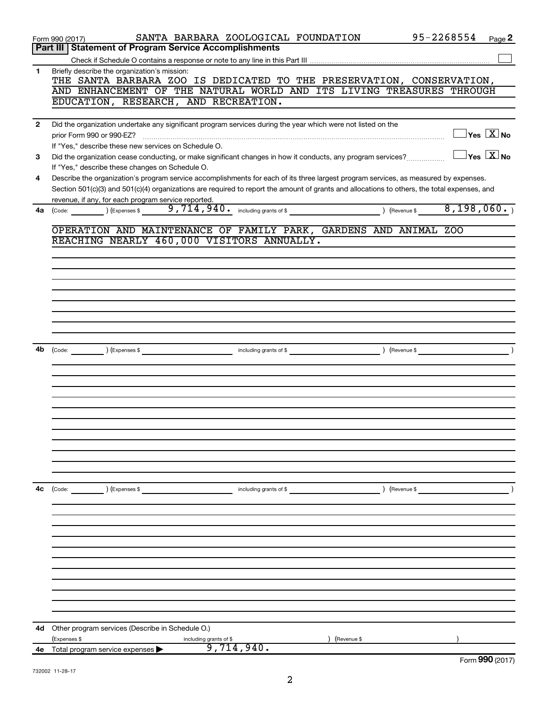|                | SANTA BARBARA ZOOLOGICAL FOUNDATION<br>Form 990 (2017)                                                                                       | 95-2268554<br>Page 2                      |
|----------------|----------------------------------------------------------------------------------------------------------------------------------------------|-------------------------------------------|
|                | Part III   Statement of Program Service Accomplishments                                                                                      |                                           |
|                |                                                                                                                                              |                                           |
| 1              | Briefly describe the organization's mission:<br>THE SANTA BARBARA ZOO IS DEDICATED TO THE PRESERVATION, CONSERVATION,                        |                                           |
|                | AND ENHANCEMENT OF THE NATURAL WORLD AND ITS LIVING TREASURES THROUGH                                                                        |                                           |
|                | EDUCATION, RESEARCH, AND RECREATION.                                                                                                         |                                           |
|                |                                                                                                                                              |                                           |
| $\overline{2}$ | Did the organization undertake any significant program services during the year which were not listed on the                                 |                                           |
|                |                                                                                                                                              | $\Box$ Yes $[\overline{\mathrm{X}}]$ No   |
|                | If "Yes," describe these new services on Schedule O.                                                                                         |                                           |
| 3              | Did the organization cease conducting, or make significant changes in how it conducts, any program services?                                 | $\overline{\ }$ Yes $\overline{\rm X}$ No |
|                | If "Yes," describe these changes on Schedule O.                                                                                              |                                           |
| 4              | Describe the organization's program service accomplishments for each of its three largest program services, as measured by expenses.         |                                           |
|                | Section 501(c)(3) and 501(c)(4) organizations are required to report the amount of grants and allocations to others, the total expenses, and |                                           |
|                | revenue, if any, for each program service reported.                                                                                          |                                           |
| 4a             | ) (Expenses \$<br>(Code:                                                                                                                     | 8,198,060.                                |
|                |                                                                                                                                              |                                           |
|                | OPERATION AND MAINTENANCE OF FAMILY PARK, GARDENS AND ANIMAL ZOO                                                                             |                                           |
|                | REACHING NEARLY 460,000 VISITORS ANNUALLY.                                                                                                   |                                           |
|                |                                                                                                                                              |                                           |
|                |                                                                                                                                              |                                           |
|                |                                                                                                                                              |                                           |
|                |                                                                                                                                              |                                           |
|                |                                                                                                                                              |                                           |
|                |                                                                                                                                              |                                           |
|                |                                                                                                                                              |                                           |
|                |                                                                                                                                              |                                           |
|                |                                                                                                                                              |                                           |
| 4b             | including grants of \$<br>) (Expenses \$<br>) (Revenue \$<br>(Code:                                                                          |                                           |
|                |                                                                                                                                              |                                           |
|                |                                                                                                                                              |                                           |
|                |                                                                                                                                              |                                           |
|                |                                                                                                                                              |                                           |
|                |                                                                                                                                              |                                           |
|                |                                                                                                                                              |                                           |
|                |                                                                                                                                              |                                           |
|                |                                                                                                                                              |                                           |
|                |                                                                                                                                              |                                           |
|                |                                                                                                                                              |                                           |
|                |                                                                                                                                              |                                           |
|                |                                                                                                                                              |                                           |
| 4c             | ) (Expenses \$<br>) (Revenue \$<br>(Code:<br>including grants of \$                                                                          |                                           |
|                |                                                                                                                                              |                                           |
|                |                                                                                                                                              |                                           |
|                |                                                                                                                                              |                                           |
|                |                                                                                                                                              |                                           |
|                |                                                                                                                                              |                                           |
|                |                                                                                                                                              |                                           |
|                |                                                                                                                                              |                                           |
|                |                                                                                                                                              |                                           |
|                |                                                                                                                                              |                                           |
|                |                                                                                                                                              |                                           |
|                |                                                                                                                                              |                                           |
|                |                                                                                                                                              |                                           |
| 4d             | Other program services (Describe in Schedule O.)                                                                                             |                                           |
|                | (Expenses \$<br>including grants of \$<br>(Revenue \$                                                                                        |                                           |
| 4е             | 9,714,940.<br>Total program service expenses                                                                                                 |                                           |
|                |                                                                                                                                              | Form 990 (2017)                           |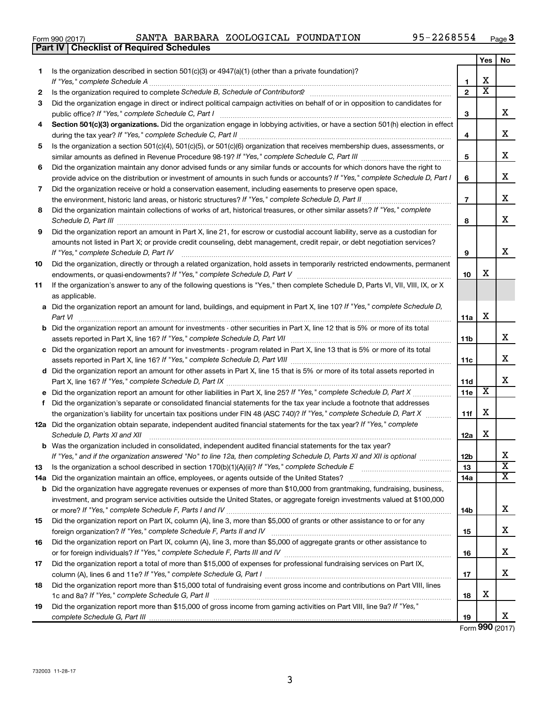**Yes No**

| 1.  | Is the organization described in section $501(c)(3)$ or $4947(a)(1)$ (other than a private foundation)?<br>If "Yes," complete Schedule A                            |                     | х                     |                         |
|-----|---------------------------------------------------------------------------------------------------------------------------------------------------------------------|---------------------|-----------------------|-------------------------|
| 2   |                                                                                                                                                                     | 1<br>$\overline{2}$ | $\overline{\text{x}}$ |                         |
| З   | Did the organization engage in direct or indirect political campaign activities on behalf of or in opposition to candidates for                                     |                     |                       |                         |
|     | public office? If "Yes," complete Schedule C, Part I                                                                                                                | 3                   |                       | X                       |
| 4   | Section 501(c)(3) organizations. Did the organization engage in lobbying activities, or have a section 501(h) election in effect                                    |                     |                       |                         |
|     |                                                                                                                                                                     | 4                   |                       | x                       |
| 5   | Is the organization a section 501(c)(4), 501(c)(5), or 501(c)(6) organization that receives membership dues, assessments, or                                        |                     |                       |                         |
|     |                                                                                                                                                                     | 5                   |                       | x                       |
| 6   | Did the organization maintain any donor advised funds or any similar funds or accounts for which donors have the right to                                           |                     |                       |                         |
|     | provide advice on the distribution or investment of amounts in such funds or accounts? If "Yes," complete Schedule D, Part I                                        | 6                   |                       | x                       |
| 7   | Did the organization receive or hold a conservation easement, including easements to preserve open space,                                                           |                     |                       |                         |
|     | the environment, historic land areas, or historic structures? If "Yes," complete Schedule D, Part II                                                                | $\overline{7}$      |                       | x                       |
| 8   | Did the organization maintain collections of works of art, historical treasures, or other similar assets? If "Yes," complete                                        |                     |                       |                         |
|     |                                                                                                                                                                     | 8                   |                       | x                       |
| 9   | Did the organization report an amount in Part X, line 21, for escrow or custodial account liability, serve as a custodian for                                       |                     |                       |                         |
|     | amounts not listed in Part X; or provide credit counseling, debt management, credit repair, or debt negotiation services?<br>If "Yes," complete Schedule D, Part IV | 9                   |                       | x                       |
| 10  | Did the organization, directly or through a related organization, hold assets in temporarily restricted endowments, permanent                                       |                     |                       |                         |
|     |                                                                                                                                                                     | 10                  | x                     |                         |
| 11  | If the organization's answer to any of the following questions is "Yes," then complete Schedule D, Parts VI, VII, VIII, IX, or X                                    |                     |                       |                         |
|     | as applicable.                                                                                                                                                      |                     |                       |                         |
|     | a Did the organization report an amount for land, buildings, and equipment in Part X, line 10? If "Yes," complete Schedule D,                                       |                     |                       |                         |
|     | Part VI                                                                                                                                                             | 11a                 | х                     |                         |
|     | <b>b</b> Did the organization report an amount for investments - other securities in Part X, line 12 that is 5% or more of its total                                |                     |                       |                         |
|     |                                                                                                                                                                     | 11b                 |                       | x                       |
|     | c Did the organization report an amount for investments - program related in Part X, line 13 that is 5% or more of its total                                        |                     |                       |                         |
|     |                                                                                                                                                                     | 11c                 |                       | x                       |
|     | d Did the organization report an amount for other assets in Part X, line 15 that is 5% or more of its total assets reported in                                      | 11d                 |                       | x                       |
|     | e Did the organization report an amount for other liabilities in Part X, line 25? If "Yes," complete Schedule D, Part X                                             | 11e                 | $\overline{\text{X}}$ |                         |
| f.  | Did the organization's separate or consolidated financial statements for the tax year include a footnote that addresses                                             |                     |                       |                         |
|     | the organization's liability for uncertain tax positions under FIN 48 (ASC 740)? If "Yes," complete Schedule D, Part X                                              | 11f                 | х                     |                         |
|     | 12a Did the organization obtain separate, independent audited financial statements for the tax year? If "Yes," complete                                             |                     |                       |                         |
|     | Schedule D, Parts XI and XII                                                                                                                                        | 12a                 | х                     |                         |
|     | <b>b</b> Was the organization included in consolidated, independent audited financial statements for the tax year?                                                  |                     |                       |                         |
|     | If "Yes," and if the organization answered "No" to line 12a, then completing Schedule D, Parts XI and XII is optional                                               | 12b                 |                       | x                       |
|     |                                                                                                                                                                     | 13                  |                       | $\overline{\mathtt{x}}$ |
| 14a |                                                                                                                                                                     | 14a                 |                       | $\overline{\mathtt{x}}$ |
| b   | Did the organization have aggregate revenues or expenses of more than \$10,000 from grantmaking, fundraising, business,                                             |                     |                       |                         |
|     | investment, and program service activities outside the United States, or aggregate foreign investments valued at \$100,000                                          |                     |                       | x                       |
| 15  | Did the organization report on Part IX, column (A), line 3, more than \$5,000 of grants or other assistance to or for any                                           | 14b                 |                       |                         |
|     |                                                                                                                                                                     | 15                  |                       | X                       |
| 16  | Did the organization report on Part IX, column (A), line 3, more than \$5,000 of aggregate grants or other assistance to                                            |                     |                       |                         |
|     |                                                                                                                                                                     | 16                  |                       | х                       |
| 17  | Did the organization report a total of more than \$15,000 of expenses for professional fundraising services on Part IX,                                             |                     |                       |                         |
|     |                                                                                                                                                                     | 17                  |                       | x                       |
| 18  | Did the organization report more than \$15,000 total of fundraising event gross income and contributions on Part VIII, lines                                        |                     |                       |                         |
|     |                                                                                                                                                                     | 18                  | x                     |                         |
| 19  | Did the organization report more than \$15,000 of gross income from gaming activities on Part VIII, line 9a? If "Yes,"                                              |                     |                       |                         |
|     |                                                                                                                                                                     | 19                  |                       | x                       |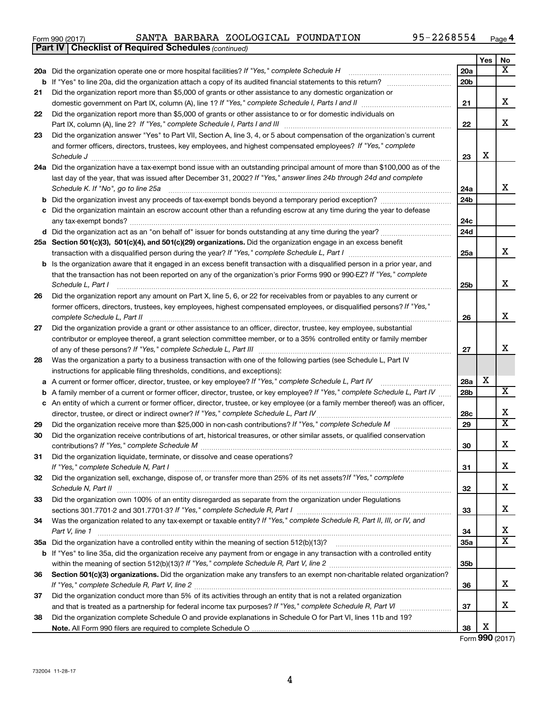|  | Form 990 (2017) |
|--|-----------------|
|  |                 |

*(continued)* **Part IV Checklist of Required Schedules**

|    |                                                                                                                                                        |                 | Yes | No                    |
|----|--------------------------------------------------------------------------------------------------------------------------------------------------------|-----------------|-----|-----------------------|
|    | 20a Did the organization operate one or more hospital facilities? If "Yes," complete Schedule H                                                        | 20a             |     | $\mathbf{x}$          |
|    | <b>b</b> If "Yes" to line 20a, did the organization attach a copy of its audited financial statements to this return?                                  | 20 <sub>b</sub> |     |                       |
| 21 | Did the organization report more than \$5,000 of grants or other assistance to any domestic organization or                                            |                 |     |                       |
|    | domestic government on Part IX, column (A), line 1? If "Yes," complete Schedule I, Parts I and II [[[[[[[[[[[                                          | 21              |     | х                     |
| 22 | Did the organization report more than \$5,000 of grants or other assistance to or for domestic individuals on                                          |                 |     |                       |
|    | Part IX, column (A), line 2? If "Yes," complete Schedule I, Parts I and III                                                                            | 22              |     | х                     |
| 23 | Did the organization answer "Yes" to Part VII, Section A, line 3, 4, or 5 about compensation of the organization's current                             |                 |     |                       |
|    | and former officers, directors, trustees, key employees, and highest compensated employees? If "Yes," complete                                         |                 |     |                       |
|    | Schedule J <b>Execute Schedule J Execute Schedule J Execute Schedule J Execute Schedule J</b>                                                          | 23              | х   |                       |
|    | 24a Did the organization have a tax-exempt bond issue with an outstanding principal amount of more than \$100,000 as of the                            |                 |     |                       |
|    | last day of the year, that was issued after December 31, 2002? If "Yes," answer lines 24b through 24d and complete                                     |                 |     |                       |
|    | Schedule K. If "No", go to line 25a                                                                                                                    | 24a             |     | x                     |
| b  |                                                                                                                                                        | 24 <sub>b</sub> |     |                       |
| с  | Did the organization maintain an escrow account other than a refunding escrow at any time during the year to defease                                   |                 |     |                       |
|    |                                                                                                                                                        | 24c             |     |                       |
|    |                                                                                                                                                        | 24d             |     |                       |
|    | 25a Section 501(c)(3), 501(c)(4), and 501(c)(29) organizations. Did the organization engage in an excess benefit                                       |                 |     |                       |
|    |                                                                                                                                                        | 25a             |     | x                     |
|    | <b>b</b> Is the organization aware that it engaged in an excess benefit transaction with a disqualified person in a prior year, and                    |                 |     |                       |
|    | that the transaction has not been reported on any of the organization's prior Forms 990 or 990-EZ? If "Yes," complete                                  |                 |     | x                     |
|    | Schedule L. Part I                                                                                                                                     | 25b             |     |                       |
| 26 | Did the organization report any amount on Part X, line 5, 6, or 22 for receivables from or payables to any current or                                  |                 |     |                       |
|    | former officers, directors, trustees, key employees, highest compensated employees, or disqualified persons? If "Yes,"<br>complete Schedule L, Part II | 26              |     | x                     |
| 27 | Did the organization provide a grant or other assistance to an officer, director, trustee, key employee, substantial                                   |                 |     |                       |
|    | contributor or employee thereof, a grant selection committee member, or to a 35% controlled entity or family member                                    |                 |     |                       |
|    |                                                                                                                                                        | 27              |     | x                     |
| 28 | Was the organization a party to a business transaction with one of the following parties (see Schedule L, Part IV                                      |                 |     |                       |
|    | instructions for applicable filing thresholds, conditions, and exceptions):                                                                            |                 |     |                       |
| а  | A current or former officer, director, trustee, or key employee? If "Yes," complete Schedule L, Part IV                                                | 28a             | х   |                       |
| b  | A family member of a current or former officer, director, trustee, or key employee? If "Yes," complete Schedule L, Part IV                             | 28b             |     | $\overline{\text{X}}$ |
|    | c An entity of which a current or former officer, director, trustee, or key employee (or a family member thereof) was an officer,                      |                 |     |                       |
|    | director, trustee, or direct or indirect owner? If "Yes," complete Schedule L, Part IV                                                                 | 28c             |     | х                     |
| 29 |                                                                                                                                                        | 29              |     | X                     |
| 30 | Did the organization receive contributions of art, historical treasures, or other similar assets, or qualified conservation                            |                 |     |                       |
|    |                                                                                                                                                        | 30              |     | х                     |
| 31 | Did the organization liquidate, terminate, or dissolve and cease operations?                                                                           |                 |     |                       |
|    | If "Yes," complete Schedule N, Part I                                                                                                                  | 31              |     | х                     |
| 32 | Did the organization sell, exchange, dispose of, or transfer more than 25% of its net assets? If "Yes," complete                                       |                 |     |                       |
|    |                                                                                                                                                        | 32              |     | х                     |
| 33 | Did the organization own 100% of an entity disregarded as separate from the organization under Regulations                                             |                 |     |                       |
|    |                                                                                                                                                        | 33              |     | х                     |
| 34 | Was the organization related to any tax-exempt or taxable entity? If "Yes," complete Schedule R, Part II, III, or IV, and                              |                 |     |                       |
|    | Part V, line 1                                                                                                                                         | 34              |     | х                     |
|    |                                                                                                                                                        | 35a             |     | x                     |
|    | b If "Yes" to line 35a, did the organization receive any payment from or engage in any transaction with a controlled entity                            |                 |     |                       |
|    |                                                                                                                                                        | 35 <sub>b</sub> |     |                       |
| 36 | Section 501(c)(3) organizations. Did the organization make any transfers to an exempt non-charitable related organization?                             |                 |     |                       |
|    |                                                                                                                                                        | 36              |     | х                     |
| 37 | Did the organization conduct more than 5% of its activities through an entity that is not a related organization                                       |                 |     | х                     |
|    |                                                                                                                                                        | 37              |     |                       |
| 38 | Did the organization complete Schedule O and provide explanations in Schedule O for Part VI, lines 11b and 19?                                         | 38              | х   |                       |
|    |                                                                                                                                                        |                 |     |                       |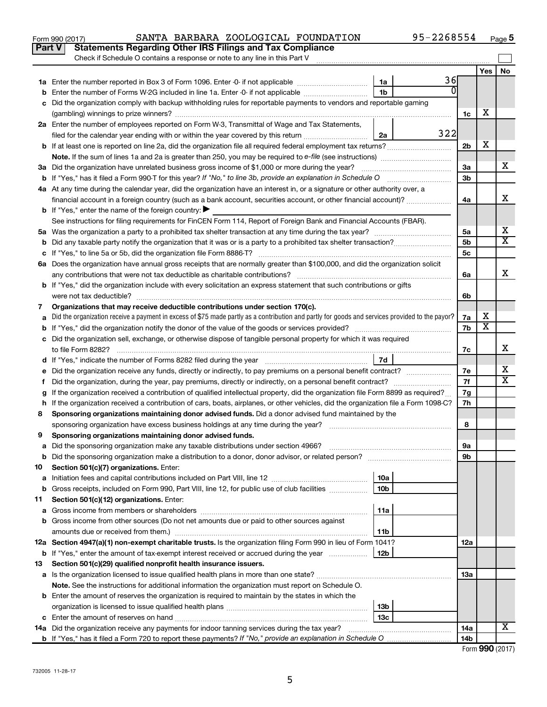|    | <b>Statements Regarding Other IRS Filings and Tax Compliance</b><br>Part V                                                                            |                 |              |                      |                         |                         |
|----|-------------------------------------------------------------------------------------------------------------------------------------------------------|-----------------|--------------|----------------------|-------------------------|-------------------------|
|    | Check if Schedule O contains a response or note to any line in this Part V                                                                            |                 |              |                      |                         |                         |
|    |                                                                                                                                                       |                 |              |                      | Yes                     | No                      |
|    |                                                                                                                                                       | 1a              | 36           |                      |                         |                         |
| b  | Enter the number of Forms W-2G included in line 1a. Enter -0- if not applicable                                                                       | 1 <sub>b</sub>  | <sup>0</sup> |                      |                         |                         |
|    | Did the organization comply with backup withholding rules for reportable payments to vendors and reportable gaming                                    |                 |              |                      |                         |                         |
|    |                                                                                                                                                       |                 |              | 1c                   | х                       |                         |
|    | 2a Enter the number of employees reported on Form W-3, Transmittal of Wage and Tax Statements,                                                        |                 | 322          |                      |                         |                         |
|    | filed for the calendar year ending with or within the year covered by this return                                                                     | 2a              |              |                      | х                       |                         |
|    | <b>b</b> If at least one is reported on line 2a, did the organization file all required federal employment tax returns?                               |                 |              | 2 <sub>b</sub>       |                         |                         |
|    |                                                                                                                                                       |                 |              |                      |                         | х                       |
|    | 3a Did the organization have unrelated business gross income of \$1,000 or more during the year?                                                      |                 |              | За<br>3 <sub>b</sub> |                         |                         |
|    | 4a At any time during the calendar year, did the organization have an interest in, or a signature or other authority over, a                          |                 |              |                      |                         |                         |
|    | financial account in a foreign country (such as a bank account, securities account, or other financial account)?                                      |                 |              | 4a                   |                         | x                       |
|    | <b>b</b> If "Yes," enter the name of the foreign country: $\blacktriangleright$                                                                       |                 |              |                      |                         |                         |
|    | See instructions for filing requirements for FinCEN Form 114, Report of Foreign Bank and Financial Accounts (FBAR).                                   |                 |              |                      |                         |                         |
|    |                                                                                                                                                       |                 |              | 5a                   |                         | х                       |
| b  | Did any taxable party notify the organization that it was or is a party to a prohibited tax shelter transaction?                                      |                 |              | 5 <sub>b</sub>       |                         | $\overline{\mathtt{x}}$ |
|    |                                                                                                                                                       |                 |              | 5 <sub>c</sub>       |                         |                         |
|    | 6a Does the organization have annual gross receipts that are normally greater than \$100,000, and did the organization solicit                        |                 |              |                      |                         |                         |
|    | any contributions that were not tax deductible as charitable contributions?                                                                           |                 |              | 6а                   |                         | X.                      |
|    | b If "Yes," did the organization include with every solicitation an express statement that such contributions or gifts                                |                 |              |                      |                         |                         |
|    | were not tax deductible?                                                                                                                              |                 |              | 6b                   |                         |                         |
| 7  | Organizations that may receive deductible contributions under section 170(c).                                                                         |                 |              |                      |                         |                         |
|    | Did the organization receive a payment in excess of \$75 made partly as a contribution and partly for goods and services provided to the payor?       |                 |              | 7а                   | х                       |                         |
|    |                                                                                                                                                       |                 |              | 7b                   | $\overline{\textbf{x}}$ |                         |
|    | Did the organization sell, exchange, or otherwise dispose of tangible personal property for which it was required                                     |                 |              |                      |                         | х                       |
|    |                                                                                                                                                       | 7d              |              | 7c                   |                         |                         |
|    |                                                                                                                                                       |                 |              | 7е                   |                         | х                       |
|    | Did the organization, during the year, pay premiums, directly or indirectly, on a personal benefit contract?                                          |                 |              | 7f                   |                         | $\overline{\mathtt{x}}$ |
|    | If the organization received a contribution of qualified intellectual property, did the organization file Form 8899 as required?                      |                 |              | 7g                   |                         |                         |
|    | h If the organization received a contribution of cars, boats, airplanes, or other vehicles, did the organization file a Form 1098-C?                  |                 |              | 7h                   |                         |                         |
| 8  | Sponsoring organizations maintaining donor advised funds. Did a donor advised fund maintained by the                                                  |                 |              |                      |                         |                         |
|    | sponsoring organization have excess business holdings at any time during the year?                                                                    |                 |              | 8                    |                         |                         |
| 9  | Sponsoring organizations maintaining donor advised funds.                                                                                             |                 |              |                      |                         |                         |
|    |                                                                                                                                                       |                 |              | 9а                   |                         |                         |
| b  | Did the sponsoring organization make a distribution to a donor, donor advisor, or related person?                                                     |                 |              | 9b                   |                         |                         |
| 10 | Section 501(c)(7) organizations. Enter:                                                                                                               |                 |              |                      |                         |                         |
| а  |                                                                                                                                                       | 10a             |              |                      |                         |                         |
| b  | Gross receipts, included on Form 990, Part VIII, line 12, for public use of club facilities                                                           | 10 <sub>b</sub> |              |                      |                         |                         |
| 11 | Section 501(c)(12) organizations. Enter:                                                                                                              |                 |              |                      |                         |                         |
| а  |                                                                                                                                                       | 11a             |              |                      |                         |                         |
| b  | Gross income from other sources (Do not net amounts due or paid to other sources against                                                              |                 |              |                      |                         |                         |
|    | amounts due or received from them.)<br>12a Section 4947(a)(1) non-exempt charitable trusts. Is the organization filing Form 990 in lieu of Form 1041? | 11b             |              | 12a                  |                         |                         |
| b  | If "Yes," enter the amount of tax-exempt interest received or accrued during the year                                                                 | 12b             |              |                      |                         |                         |
| 13 | Section 501(c)(29) qualified nonprofit health insurance issuers.                                                                                      |                 |              |                      |                         |                         |
|    | a Is the organization licensed to issue qualified health plans in more than one state?                                                                |                 |              | 13а                  |                         |                         |
|    | Note. See the instructions for additional information the organization must report on Schedule O.                                                     |                 |              |                      |                         |                         |
|    | <b>b</b> Enter the amount of reserves the organization is required to maintain by the states in which the                                             |                 |              |                      |                         |                         |
|    |                                                                                                                                                       | 13b             |              |                      |                         |                         |
| c  |                                                                                                                                                       | 13с             |              |                      |                         |                         |
|    | 14a Did the organization receive any payments for indoor tanning services during the tax year?                                                        |                 |              | 14a                  |                         | Х                       |
|    |                                                                                                                                                       |                 |              | 14b                  |                         |                         |

| 14b l |                 |
|-------|-----------------|
|       | Form 990 (2017) |

732005 11-28-17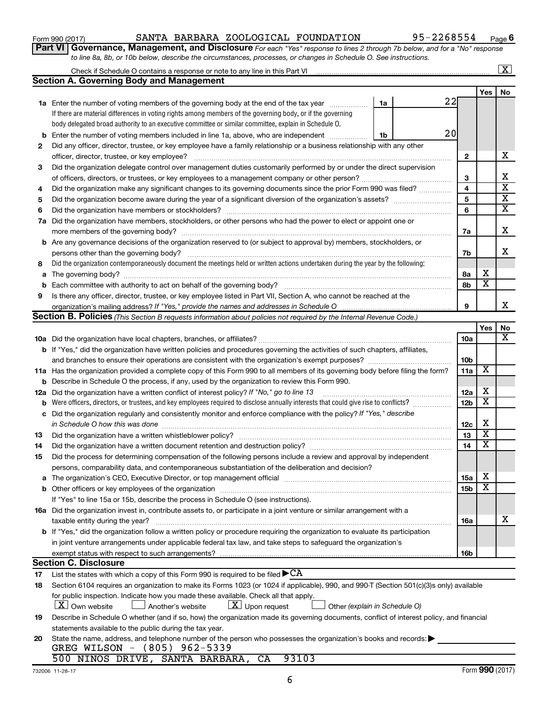| 1990 (ZUTT) |                                            | שנת המדינות |  |
|-------------|--------------------------------------------|-------------|--|
|             | rt VI   Governance, Management, and        |             |  |
|             | to line 8a, 8b, or 10b below, describe the |             |  |

Check if Schedule O contains a response or note to any line in this Part VI

 $\boxed{\text{X}}$ 

**Part VI** Governance, Management, and Disclosure For each "Yes" response to lines 2 through 7b below, and for a "No" response *tircumstances, processes, or changes in Schedule O. See instructions.* 

|        | <b>Section A. Governing Body and Management</b>                                                                                                                                                                                |                 |     |                         |
|--------|--------------------------------------------------------------------------------------------------------------------------------------------------------------------------------------------------------------------------------|-----------------|-----|-------------------------|
|        |                                                                                                                                                                                                                                |                 | Yes | No                      |
|        | <b>1a</b> Enter the number of voting members of the governing body at the end of the tax year<br>1a                                                                                                                            | 22              |     |                         |
|        | If there are material differences in voting rights among members of the governing body, or if the governing                                                                                                                    |                 |     |                         |
|        | body delegated broad authority to an executive committee or similar committee, explain in Schedule O.                                                                                                                          |                 |     |                         |
| b      | Enter the number of voting members included in line 1a, above, who are independent<br>1b                                                                                                                                       | 20              |     |                         |
| 2      | Did any officer, director, trustee, or key employee have a family relationship or a business relationship with any other                                                                                                       |                 |     |                         |
|        | officer, director, trustee, or key employee?                                                                                                                                                                                   | 2               |     | x                       |
| 3      | Did the organization delegate control over management duties customarily performed by or under the direct supervision                                                                                                          |                 |     |                         |
|        |                                                                                                                                                                                                                                | З               |     | x                       |
| 4      | Did the organization make any significant changes to its governing documents since the prior Form 990 was filed?                                                                                                               | 4               |     | $\overline{\textbf{x}}$ |
| 5      |                                                                                                                                                                                                                                | 5               |     | х                       |
| 6      |                                                                                                                                                                                                                                | 6               |     | $\overline{\mathbf{x}}$ |
| 7a     | Did the organization have members, stockholders, or other persons who had the power to elect or appoint one or                                                                                                                 |                 |     |                         |
|        |                                                                                                                                                                                                                                | 7a              |     | х                       |
|        | <b>b</b> Are any governance decisions of the organization reserved to (or subject to approval by) members, stockholders, or                                                                                                    |                 |     | x                       |
|        | persons other than the governing body?                                                                                                                                                                                         | 7b              |     |                         |
| 8      | Did the organization contemporaneously document the meetings held or written actions undertaken during the year by the following:                                                                                              |                 | х   |                         |
| a      |                                                                                                                                                                                                                                | 8а              | х   |                         |
| b<br>9 |                                                                                                                                                                                                                                | 8b              |     |                         |
|        | Is there any officer, director, trustee, or key employee listed in Part VII, Section A, who cannot be reached at the                                                                                                           | 9               |     | x                       |
|        | <b>Section B. Policies</b> (This Section B requests information about policies not required by the Internal Revenue Code.)                                                                                                     |                 |     |                         |
|        |                                                                                                                                                                                                                                |                 | Yes | No                      |
|        |                                                                                                                                                                                                                                | 10a             |     | x                       |
|        | <b>b</b> If "Yes," did the organization have written policies and procedures governing the activities of such chapters, affiliates,                                                                                            |                 |     |                         |
|        |                                                                                                                                                                                                                                | 10 <sub>b</sub> |     |                         |
|        | 11a Has the organization provided a complete copy of this Form 990 to all members of its governing body before filing the form?                                                                                                | 11a             | х   |                         |
| b      | Describe in Schedule O the process, if any, used by the organization to review this Form 990.                                                                                                                                  |                 |     |                         |
| 12a    | Did the organization have a written conflict of interest policy? If "No," go to line 13                                                                                                                                        | 12a             | х   |                         |
| b      |                                                                                                                                                                                                                                | 12 <sub>b</sub> | х   |                         |
| с      | Did the organization regularly and consistently monitor and enforce compliance with the policy? If "Yes," describe                                                                                                             |                 |     |                         |
|        | in Schedule O how this was done manufactured and an arrangement of the state of the state of the state of the                                                                                                                  | 12c             | х   |                         |
| 13     |                                                                                                                                                                                                                                | 13              | х   |                         |
| 14     | Did the organization have a written document retention and destruction policy? [11] manufaction manufaction in                                                                                                                 | 14              | х   |                         |
| 15     | Did the process for determining compensation of the following persons include a review and approval by independent                                                                                                             |                 |     |                         |
|        | persons, comparability data, and contemporaneous substantiation of the deliberation and decision?                                                                                                                              |                 |     |                         |
|        | The organization's CEO, Executive Director, or top management official [111] [11] The organization's CEO, Executive Director, or top management official [11] [11] [11] [11] The organization was constant of the organization | 15a             | X   |                         |
|        |                                                                                                                                                                                                                                | 15b             | X   |                         |
|        | If "Yes" to line 15a or 15b, describe the process in Schedule O (see instructions).                                                                                                                                            |                 |     |                         |
|        | 16a Did the organization invest in, contribute assets to, or participate in a joint venture or similar arrangement with a                                                                                                      |                 |     |                         |
|        | taxable entity during the year?                                                                                                                                                                                                | 16a             |     | х                       |
|        | b If "Yes," did the organization follow a written policy or procedure requiring the organization to evaluate its participation                                                                                                 |                 |     |                         |
|        | in joint venture arrangements under applicable federal tax law, and take steps to safeguard the organization's                                                                                                                 |                 |     |                         |
|        |                                                                                                                                                                                                                                | 16b             |     |                         |
|        | <b>Section C. Disclosure</b><br>List the states with which a copy of this Form 990 is required to be filed $\blacktriangleright$ CA                                                                                            |                 |     |                         |
| 17     |                                                                                                                                                                                                                                |                 |     |                         |
| 18     | Section 6104 requires an organization to make its Forms 1023 (or 1024 if applicable), 990, and 990-T (Section 501(c)(3)s only) available                                                                                       |                 |     |                         |
|        | for public inspection. Indicate how you made these available. Check all that apply.<br>$\lfloor X \rfloor$ Own website<br>$\lfloor \underline{X} \rfloor$ Upon request<br>Another's website<br>Other (explain in Schedule O)   |                 |     |                         |
| 19     | Describe in Schedule O whether (and if so, how) the organization made its governing documents, conflict of interest policy, and financial                                                                                      |                 |     |                         |
|        | statements available to the public during the tax year.                                                                                                                                                                        |                 |     |                         |
| 20     | State the name, address, and telephone number of the person who possesses the organization's books and records:                                                                                                                |                 |     |                         |
|        | GREG WILSON - (805) 962-5339                                                                                                                                                                                                   |                 |     |                         |
|        | 500 NINOS DRIVE, SANTA BARBARA,<br>93103<br>CA                                                                                                                                                                                 |                 |     |                         |
|        |                                                                                                                                                                                                                                |                 |     |                         |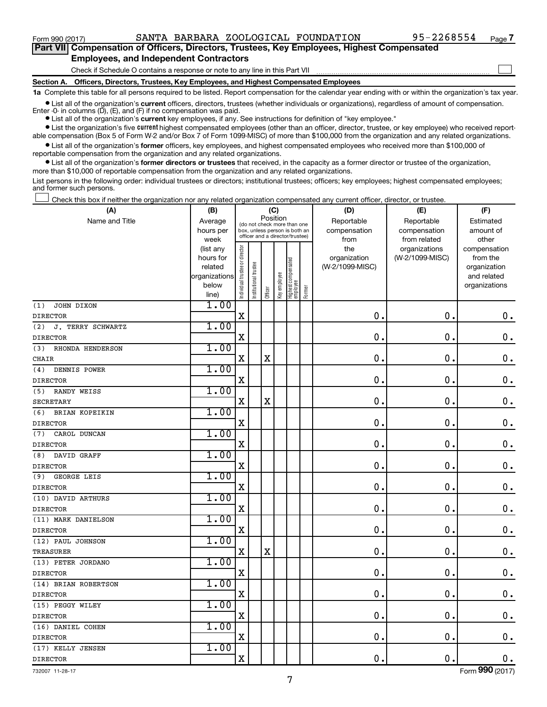$\Box$ 

**Part VII Compensation of Officers, Directors, Trustees, Key Employees, Highest Compensated Employees, and Independent Contractors**

Check if Schedule O contains a response or note to any line in this Part VII

**Section A. Officers, Directors, Trustees, Key Employees, and Highest Compensated Employees**

**1a**  Complete this table for all persons required to be listed. Report compensation for the calendar year ending with or within the organization's tax year.

**•** List all of the organization's current officers, directors, trustees (whether individuals or organizations), regardless of amount of compensation. Enter -0- in columns  $(D)$ ,  $(E)$ , and  $(F)$  if no compensation was paid.

**•** List all of the organization's **current** key employees, if any. See instructions for definition of "key employee."

**•** List the organization's five current highest compensated employees (other than an officer, director, trustee, or key employee) who received reportable compensation (Box 5 of Form W-2 and/or Box 7 of Form 1099-MISC) of more than \$100,000 from the organization and any related organizations.

**•** List all of the organization's former officers, key employees, and highest compensated employees who received more than \$100,000 of reportable compensation from the organization and any related organizations.

**•** List all of the organization's former directors or trustees that received, in the capacity as a former director or trustee of the organization, more than \$10,000 of reportable compensation from the organization and any related organizations.

List persons in the following order: individual trustees or directors; institutional trustees; officers; key employees; highest compensated employees; and former such persons.

Check this box if neither the organization nor any related organization compensated any current officer, director, or trustee. †

| Name and Title<br>Reportable<br>Reportable<br>Average<br>Estimated<br>(do not check more than one<br>compensation<br>compensation<br>amount of<br>hours per<br>box, unless person is both an<br>officer and a director/trustee)<br>week<br>from<br>from related<br>other<br>Individual trustee or director<br>the<br>organizations<br>(list any<br>compensation<br>(W-2/1099-MISC)<br>hours for<br>organization<br>from the<br>Highest compensated<br>employee<br>Institutional trustee<br>related<br>(W-2/1099-MISC)<br>organization<br>Key employee<br>organizations<br>and related<br>below<br>organizations<br>Former<br>Officer<br>line)<br>1.00<br>(1)<br>JOHN DIXON<br>$\mathbf X$<br>$\mathbf 0$<br>$\mathbf 0$<br>0.<br>1.00<br>(2)<br>J. TERRY SCHWARTZ<br>$\mathbf X$<br>0<br>$\mathbf 0$<br>$\mathbf 0$ .<br><b>DIRECTOR</b><br>1.00<br>RHONDA HENDERSON<br>(3)<br>$\mathbf 0$<br>$\mathbf 0$<br>$\mathbf 0$ .<br>$\mathbf X$<br>$\mathbf X$<br>CHAIR<br>1.00<br>DENNIS POWER<br>(4)<br>$\mathbf 0$ .<br>$\mathbf X$<br>0<br>$\mathbf 0$<br>1.00<br><b>RANDY WEISS</b><br>(5)<br>$\mathbf 0$<br>$\mathbf 0$<br>$\mathbf 0$ .<br>$\mathbf X$<br>$\mathbf X$<br><b>SECRETARY</b><br>1.00<br>(6)<br>BRIAN KOPEIKIN<br>$\mathbf X$<br>$\mathbf 0$<br>$\mathbf 0$<br>$\mathbf 0$ .<br><b>DIRECTOR</b><br>1.00<br>CAROL DUNCAN<br>(7)<br>$\mathbf 0$<br>$\mathbf 0$<br>$\mathbf 0$ .<br>$\mathbf X$<br>1.00<br>DAVID GRAFF<br>(8)<br>$\pmb{0}$<br>$\mathbf 0$ .<br>$\mathbf 0$ .<br>$\mathbf X$<br>1.00<br>GEORGE LEIS<br>(9)<br>0<br>$\mathbf 0$ .<br>$\mathbf 0$ .<br>$\mathbf X$<br>1.00<br>(10) DAVID ARTHURS<br>$\mathbf 0$<br>$0$ .<br>$\mathbf X$<br>0<br><b>DIRECTOR</b><br>1.00<br>(11) MARK DANIELSON<br>$\mathbf 0$<br>$\mathbf 0$<br>$\mathbf 0$ .<br>$\mathbf X$<br>1.00<br>(12) PAUL JOHNSON<br>$\mathbf X$<br>$\pmb{0}$<br>$\mathbf 0$ .<br>$\mathbf 0$ .<br>X<br>TREASURER<br>1.00<br>(13) PETER JORDANO<br>0<br>$\mathbf 0$ .<br>$\mathbf 0$ .<br>$\mathbf X$<br>1.00<br>(14) BRIAN ROBERTSON<br>$\mathbf 0$ .<br>$0$ .<br>X<br>0<br>1.00<br>(15) PEGGY WILEY<br>$\mathbf 0$<br>$\mathbf 0$ .<br>$\mathbf 0$ .<br>X<br>1.00<br>(16) DANIEL COHEN<br>$\mathbf X$<br>$\pmb{0}$<br>$\mathbf 0$ .<br>$\mathbf 0$ .<br>1.00<br>(17) KELLY JENSEN<br>$\mathbf X$<br>$\mathbf 0$<br>$\mathbf 0$ .<br>0. | (A)             | (B) | (C)      |  | (D) | (E) | (F) |  |  |  |  |
|-------------------------------------------------------------------------------------------------------------------------------------------------------------------------------------------------------------------------------------------------------------------------------------------------------------------------------------------------------------------------------------------------------------------------------------------------------------------------------------------------------------------------------------------------------------------------------------------------------------------------------------------------------------------------------------------------------------------------------------------------------------------------------------------------------------------------------------------------------------------------------------------------------------------------------------------------------------------------------------------------------------------------------------------------------------------------------------------------------------------------------------------------------------------------------------------------------------------------------------------------------------------------------------------------------------------------------------------------------------------------------------------------------------------------------------------------------------------------------------------------------------------------------------------------------------------------------------------------------------------------------------------------------------------------------------------------------------------------------------------------------------------------------------------------------------------------------------------------------------------------------------------------------------------------------------------------------------------------------------------------------------------------------------------------------------------------------------------------------------------------------------------------------------------------------------------------------------------------------------------------------------------------------------------------------------------------|-----------------|-----|----------|--|-----|-----|-----|--|--|--|--|
|                                                                                                                                                                                                                                                                                                                                                                                                                                                                                                                                                                                                                                                                                                                                                                                                                                                                                                                                                                                                                                                                                                                                                                                                                                                                                                                                                                                                                                                                                                                                                                                                                                                                                                                                                                                                                                                                                                                                                                                                                                                                                                                                                                                                                                                                                                                         |                 |     | Position |  |     |     |     |  |  |  |  |
|                                                                                                                                                                                                                                                                                                                                                                                                                                                                                                                                                                                                                                                                                                                                                                                                                                                                                                                                                                                                                                                                                                                                                                                                                                                                                                                                                                                                                                                                                                                                                                                                                                                                                                                                                                                                                                                                                                                                                                                                                                                                                                                                                                                                                                                                                                                         |                 |     |          |  |     |     |     |  |  |  |  |
|                                                                                                                                                                                                                                                                                                                                                                                                                                                                                                                                                                                                                                                                                                                                                                                                                                                                                                                                                                                                                                                                                                                                                                                                                                                                                                                                                                                                                                                                                                                                                                                                                                                                                                                                                                                                                                                                                                                                                                                                                                                                                                                                                                                                                                                                                                                         |                 |     |          |  |     |     |     |  |  |  |  |
|                                                                                                                                                                                                                                                                                                                                                                                                                                                                                                                                                                                                                                                                                                                                                                                                                                                                                                                                                                                                                                                                                                                                                                                                                                                                                                                                                                                                                                                                                                                                                                                                                                                                                                                                                                                                                                                                                                                                                                                                                                                                                                                                                                                                                                                                                                                         |                 |     |          |  |     |     |     |  |  |  |  |
|                                                                                                                                                                                                                                                                                                                                                                                                                                                                                                                                                                                                                                                                                                                                                                                                                                                                                                                                                                                                                                                                                                                                                                                                                                                                                                                                                                                                                                                                                                                                                                                                                                                                                                                                                                                                                                                                                                                                                                                                                                                                                                                                                                                                                                                                                                                         |                 |     |          |  |     |     |     |  |  |  |  |
|                                                                                                                                                                                                                                                                                                                                                                                                                                                                                                                                                                                                                                                                                                                                                                                                                                                                                                                                                                                                                                                                                                                                                                                                                                                                                                                                                                                                                                                                                                                                                                                                                                                                                                                                                                                                                                                                                                                                                                                                                                                                                                                                                                                                                                                                                                                         |                 |     |          |  |     |     |     |  |  |  |  |
|                                                                                                                                                                                                                                                                                                                                                                                                                                                                                                                                                                                                                                                                                                                                                                                                                                                                                                                                                                                                                                                                                                                                                                                                                                                                                                                                                                                                                                                                                                                                                                                                                                                                                                                                                                                                                                                                                                                                                                                                                                                                                                                                                                                                                                                                                                                         |                 |     |          |  |     |     |     |  |  |  |  |
|                                                                                                                                                                                                                                                                                                                                                                                                                                                                                                                                                                                                                                                                                                                                                                                                                                                                                                                                                                                                                                                                                                                                                                                                                                                                                                                                                                                                                                                                                                                                                                                                                                                                                                                                                                                                                                                                                                                                                                                                                                                                                                                                                                                                                                                                                                                         |                 |     |          |  |     |     |     |  |  |  |  |
|                                                                                                                                                                                                                                                                                                                                                                                                                                                                                                                                                                                                                                                                                                                                                                                                                                                                                                                                                                                                                                                                                                                                                                                                                                                                                                                                                                                                                                                                                                                                                                                                                                                                                                                                                                                                                                                                                                                                                                                                                                                                                                                                                                                                                                                                                                                         |                 |     |          |  |     |     |     |  |  |  |  |
|                                                                                                                                                                                                                                                                                                                                                                                                                                                                                                                                                                                                                                                                                                                                                                                                                                                                                                                                                                                                                                                                                                                                                                                                                                                                                                                                                                                                                                                                                                                                                                                                                                                                                                                                                                                                                                                                                                                                                                                                                                                                                                                                                                                                                                                                                                                         | <b>DIRECTOR</b> |     |          |  |     |     |     |  |  |  |  |
|                                                                                                                                                                                                                                                                                                                                                                                                                                                                                                                                                                                                                                                                                                                                                                                                                                                                                                                                                                                                                                                                                                                                                                                                                                                                                                                                                                                                                                                                                                                                                                                                                                                                                                                                                                                                                                                                                                                                                                                                                                                                                                                                                                                                                                                                                                                         |                 |     |          |  |     |     |     |  |  |  |  |
|                                                                                                                                                                                                                                                                                                                                                                                                                                                                                                                                                                                                                                                                                                                                                                                                                                                                                                                                                                                                                                                                                                                                                                                                                                                                                                                                                                                                                                                                                                                                                                                                                                                                                                                                                                                                                                                                                                                                                                                                                                                                                                                                                                                                                                                                                                                         |                 |     |          |  |     |     |     |  |  |  |  |
|                                                                                                                                                                                                                                                                                                                                                                                                                                                                                                                                                                                                                                                                                                                                                                                                                                                                                                                                                                                                                                                                                                                                                                                                                                                                                                                                                                                                                                                                                                                                                                                                                                                                                                                                                                                                                                                                                                                                                                                                                                                                                                                                                                                                                                                                                                                         |                 |     |          |  |     |     |     |  |  |  |  |
|                                                                                                                                                                                                                                                                                                                                                                                                                                                                                                                                                                                                                                                                                                                                                                                                                                                                                                                                                                                                                                                                                                                                                                                                                                                                                                                                                                                                                                                                                                                                                                                                                                                                                                                                                                                                                                                                                                                                                                                                                                                                                                                                                                                                                                                                                                                         |                 |     |          |  |     |     |     |  |  |  |  |
|                                                                                                                                                                                                                                                                                                                                                                                                                                                                                                                                                                                                                                                                                                                                                                                                                                                                                                                                                                                                                                                                                                                                                                                                                                                                                                                                                                                                                                                                                                                                                                                                                                                                                                                                                                                                                                                                                                                                                                                                                                                                                                                                                                                                                                                                                                                         |                 |     |          |  |     |     |     |  |  |  |  |
|                                                                                                                                                                                                                                                                                                                                                                                                                                                                                                                                                                                                                                                                                                                                                                                                                                                                                                                                                                                                                                                                                                                                                                                                                                                                                                                                                                                                                                                                                                                                                                                                                                                                                                                                                                                                                                                                                                                                                                                                                                                                                                                                                                                                                                                                                                                         | <b>DIRECTOR</b> |     |          |  |     |     |     |  |  |  |  |
|                                                                                                                                                                                                                                                                                                                                                                                                                                                                                                                                                                                                                                                                                                                                                                                                                                                                                                                                                                                                                                                                                                                                                                                                                                                                                                                                                                                                                                                                                                                                                                                                                                                                                                                                                                                                                                                                                                                                                                                                                                                                                                                                                                                                                                                                                                                         |                 |     |          |  |     |     |     |  |  |  |  |
|                                                                                                                                                                                                                                                                                                                                                                                                                                                                                                                                                                                                                                                                                                                                                                                                                                                                                                                                                                                                                                                                                                                                                                                                                                                                                                                                                                                                                                                                                                                                                                                                                                                                                                                                                                                                                                                                                                                                                                                                                                                                                                                                                                                                                                                                                                                         |                 |     |          |  |     |     |     |  |  |  |  |
|                                                                                                                                                                                                                                                                                                                                                                                                                                                                                                                                                                                                                                                                                                                                                                                                                                                                                                                                                                                                                                                                                                                                                                                                                                                                                                                                                                                                                                                                                                                                                                                                                                                                                                                                                                                                                                                                                                                                                                                                                                                                                                                                                                                                                                                                                                                         |                 |     |          |  |     |     |     |  |  |  |  |
|                                                                                                                                                                                                                                                                                                                                                                                                                                                                                                                                                                                                                                                                                                                                                                                                                                                                                                                                                                                                                                                                                                                                                                                                                                                                                                                                                                                                                                                                                                                                                                                                                                                                                                                                                                                                                                                                                                                                                                                                                                                                                                                                                                                                                                                                                                                         |                 |     |          |  |     |     |     |  |  |  |  |
|                                                                                                                                                                                                                                                                                                                                                                                                                                                                                                                                                                                                                                                                                                                                                                                                                                                                                                                                                                                                                                                                                                                                                                                                                                                                                                                                                                                                                                                                                                                                                                                                                                                                                                                                                                                                                                                                                                                                                                                                                                                                                                                                                                                                                                                                                                                         |                 |     |          |  |     |     |     |  |  |  |  |
|                                                                                                                                                                                                                                                                                                                                                                                                                                                                                                                                                                                                                                                                                                                                                                                                                                                                                                                                                                                                                                                                                                                                                                                                                                                                                                                                                                                                                                                                                                                                                                                                                                                                                                                                                                                                                                                                                                                                                                                                                                                                                                                                                                                                                                                                                                                         | <b>DIRECTOR</b> |     |          |  |     |     |     |  |  |  |  |
|                                                                                                                                                                                                                                                                                                                                                                                                                                                                                                                                                                                                                                                                                                                                                                                                                                                                                                                                                                                                                                                                                                                                                                                                                                                                                                                                                                                                                                                                                                                                                                                                                                                                                                                                                                                                                                                                                                                                                                                                                                                                                                                                                                                                                                                                                                                         |                 |     |          |  |     |     |     |  |  |  |  |
|                                                                                                                                                                                                                                                                                                                                                                                                                                                                                                                                                                                                                                                                                                                                                                                                                                                                                                                                                                                                                                                                                                                                                                                                                                                                                                                                                                                                                                                                                                                                                                                                                                                                                                                                                                                                                                                                                                                                                                                                                                                                                                                                                                                                                                                                                                                         | <b>DIRECTOR</b> |     |          |  |     |     |     |  |  |  |  |
|                                                                                                                                                                                                                                                                                                                                                                                                                                                                                                                                                                                                                                                                                                                                                                                                                                                                                                                                                                                                                                                                                                                                                                                                                                                                                                                                                                                                                                                                                                                                                                                                                                                                                                                                                                                                                                                                                                                                                                                                                                                                                                                                                                                                                                                                                                                         |                 |     |          |  |     |     |     |  |  |  |  |
|                                                                                                                                                                                                                                                                                                                                                                                                                                                                                                                                                                                                                                                                                                                                                                                                                                                                                                                                                                                                                                                                                                                                                                                                                                                                                                                                                                                                                                                                                                                                                                                                                                                                                                                                                                                                                                                                                                                                                                                                                                                                                                                                                                                                                                                                                                                         | <b>DIRECTOR</b> |     |          |  |     |     |     |  |  |  |  |
|                                                                                                                                                                                                                                                                                                                                                                                                                                                                                                                                                                                                                                                                                                                                                                                                                                                                                                                                                                                                                                                                                                                                                                                                                                                                                                                                                                                                                                                                                                                                                                                                                                                                                                                                                                                                                                                                                                                                                                                                                                                                                                                                                                                                                                                                                                                         |                 |     |          |  |     |     |     |  |  |  |  |
|                                                                                                                                                                                                                                                                                                                                                                                                                                                                                                                                                                                                                                                                                                                                                                                                                                                                                                                                                                                                                                                                                                                                                                                                                                                                                                                                                                                                                                                                                                                                                                                                                                                                                                                                                                                                                                                                                                                                                                                                                                                                                                                                                                                                                                                                                                                         |                 |     |          |  |     |     |     |  |  |  |  |
|                                                                                                                                                                                                                                                                                                                                                                                                                                                                                                                                                                                                                                                                                                                                                                                                                                                                                                                                                                                                                                                                                                                                                                                                                                                                                                                                                                                                                                                                                                                                                                                                                                                                                                                                                                                                                                                                                                                                                                                                                                                                                                                                                                                                                                                                                                                         |                 |     |          |  |     |     |     |  |  |  |  |
|                                                                                                                                                                                                                                                                                                                                                                                                                                                                                                                                                                                                                                                                                                                                                                                                                                                                                                                                                                                                                                                                                                                                                                                                                                                                                                                                                                                                                                                                                                                                                                                                                                                                                                                                                                                                                                                                                                                                                                                                                                                                                                                                                                                                                                                                                                                         | <b>DIRECTOR</b> |     |          |  |     |     |     |  |  |  |  |
|                                                                                                                                                                                                                                                                                                                                                                                                                                                                                                                                                                                                                                                                                                                                                                                                                                                                                                                                                                                                                                                                                                                                                                                                                                                                                                                                                                                                                                                                                                                                                                                                                                                                                                                                                                                                                                                                                                                                                                                                                                                                                                                                                                                                                                                                                                                         |                 |     |          |  |     |     |     |  |  |  |  |
|                                                                                                                                                                                                                                                                                                                                                                                                                                                                                                                                                                                                                                                                                                                                                                                                                                                                                                                                                                                                                                                                                                                                                                                                                                                                                                                                                                                                                                                                                                                                                                                                                                                                                                                                                                                                                                                                                                                                                                                                                                                                                                                                                                                                                                                                                                                         |                 |     |          |  |     |     |     |  |  |  |  |
|                                                                                                                                                                                                                                                                                                                                                                                                                                                                                                                                                                                                                                                                                                                                                                                                                                                                                                                                                                                                                                                                                                                                                                                                                                                                                                                                                                                                                                                                                                                                                                                                                                                                                                                                                                                                                                                                                                                                                                                                                                                                                                                                                                                                                                                                                                                         |                 |     |          |  |     |     |     |  |  |  |  |
|                                                                                                                                                                                                                                                                                                                                                                                                                                                                                                                                                                                                                                                                                                                                                                                                                                                                                                                                                                                                                                                                                                                                                                                                                                                                                                                                                                                                                                                                                                                                                                                                                                                                                                                                                                                                                                                                                                                                                                                                                                                                                                                                                                                                                                                                                                                         | <b>DIRECTOR</b> |     |          |  |     |     |     |  |  |  |  |
|                                                                                                                                                                                                                                                                                                                                                                                                                                                                                                                                                                                                                                                                                                                                                                                                                                                                                                                                                                                                                                                                                                                                                                                                                                                                                                                                                                                                                                                                                                                                                                                                                                                                                                                                                                                                                                                                                                                                                                                                                                                                                                                                                                                                                                                                                                                         |                 |     |          |  |     |     |     |  |  |  |  |
|                                                                                                                                                                                                                                                                                                                                                                                                                                                                                                                                                                                                                                                                                                                                                                                                                                                                                                                                                                                                                                                                                                                                                                                                                                                                                                                                                                                                                                                                                                                                                                                                                                                                                                                                                                                                                                                                                                                                                                                                                                                                                                                                                                                                                                                                                                                         | <b>DIRECTOR</b> |     |          |  |     |     |     |  |  |  |  |
|                                                                                                                                                                                                                                                                                                                                                                                                                                                                                                                                                                                                                                                                                                                                                                                                                                                                                                                                                                                                                                                                                                                                                                                                                                                                                                                                                                                                                                                                                                                                                                                                                                                                                                                                                                                                                                                                                                                                                                                                                                                                                                                                                                                                                                                                                                                         |                 |     |          |  |     |     |     |  |  |  |  |
|                                                                                                                                                                                                                                                                                                                                                                                                                                                                                                                                                                                                                                                                                                                                                                                                                                                                                                                                                                                                                                                                                                                                                                                                                                                                                                                                                                                                                                                                                                                                                                                                                                                                                                                                                                                                                                                                                                                                                                                                                                                                                                                                                                                                                                                                                                                         | <b>DIRECTOR</b> |     |          |  |     |     |     |  |  |  |  |
|                                                                                                                                                                                                                                                                                                                                                                                                                                                                                                                                                                                                                                                                                                                                                                                                                                                                                                                                                                                                                                                                                                                                                                                                                                                                                                                                                                                                                                                                                                                                                                                                                                                                                                                                                                                                                                                                                                                                                                                                                                                                                                                                                                                                                                                                                                                         |                 |     |          |  |     |     |     |  |  |  |  |
|                                                                                                                                                                                                                                                                                                                                                                                                                                                                                                                                                                                                                                                                                                                                                                                                                                                                                                                                                                                                                                                                                                                                                                                                                                                                                                                                                                                                                                                                                                                                                                                                                                                                                                                                                                                                                                                                                                                                                                                                                                                                                                                                                                                                                                                                                                                         | <b>DIRECTOR</b> |     |          |  |     |     |     |  |  |  |  |
|                                                                                                                                                                                                                                                                                                                                                                                                                                                                                                                                                                                                                                                                                                                                                                                                                                                                                                                                                                                                                                                                                                                                                                                                                                                                                                                                                                                                                                                                                                                                                                                                                                                                                                                                                                                                                                                                                                                                                                                                                                                                                                                                                                                                                                                                                                                         |                 |     |          |  |     |     |     |  |  |  |  |
|                                                                                                                                                                                                                                                                                                                                                                                                                                                                                                                                                                                                                                                                                                                                                                                                                                                                                                                                                                                                                                                                                                                                                                                                                                                                                                                                                                                                                                                                                                                                                                                                                                                                                                                                                                                                                                                                                                                                                                                                                                                                                                                                                                                                                                                                                                                         | <b>DIRECTOR</b> |     |          |  |     |     |     |  |  |  |  |

732007 11-28-17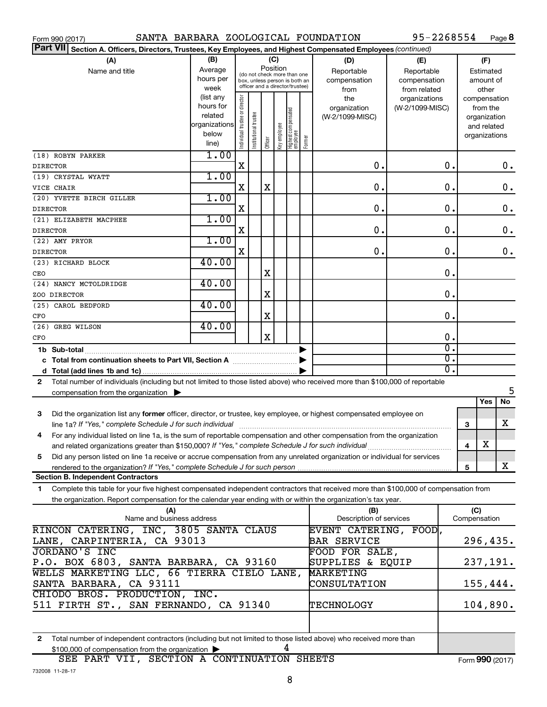| SANTA BARBARA ZOOLOGICAL FOUNDATION<br>Form 990 (2017)                                                                                       |                   |                                |                       |             |              |                                                                  |        |                         | 95-2268554                       |    |              |               | Page 8        |
|----------------------------------------------------------------------------------------------------------------------------------------------|-------------------|--------------------------------|-----------------------|-------------|--------------|------------------------------------------------------------------|--------|-------------------------|----------------------------------|----|--------------|---------------|---------------|
| <b>Part VII</b><br>Section A. Officers, Directors, Trustees, Key Employees, and Highest Compensated Employees (continued)                    |                   |                                |                       |             |              |                                                                  |        |                         |                                  |    |              |               |               |
| (A)                                                                                                                                          | (B)               |                                |                       | (C)         |              |                                                                  |        | (D)                     | (E)                              |    |              | (F)           |               |
| Name and title                                                                                                                               | Average           |                                |                       |             | Position     | (do not check more than one                                      |        | Reportable              | Reportable                       |    |              | Estimated     |               |
|                                                                                                                                              | hours per         |                                |                       |             |              | box, unless person is both an<br>officer and a director/trustee) |        | compensation            | compensation                     |    |              | amount of     |               |
|                                                                                                                                              | week<br>(list any |                                |                       |             |              |                                                                  |        | from                    | from related                     |    |              | other         |               |
|                                                                                                                                              | hours for         |                                |                       |             |              |                                                                  |        | the<br>organization     | organizations<br>(W-2/1099-MISC) |    | compensation | from the      |               |
|                                                                                                                                              | related           |                                |                       |             |              |                                                                  |        | (W-2/1099-MISC)         |                                  |    |              | organization  |               |
|                                                                                                                                              | organizations     |                                |                       |             |              |                                                                  |        |                         |                                  |    |              | and related   |               |
|                                                                                                                                              | below             | Individual trustee or director | Institutional trustee |             | Key employee |                                                                  |        |                         |                                  |    |              | organizations |               |
|                                                                                                                                              | line)             |                                |                       | Officer     |              | Highest compensated<br> employee                                 | Former |                         |                                  |    |              |               |               |
| (18) ROBYN PARKER                                                                                                                            | 1.00              |                                |                       |             |              |                                                                  |        |                         |                                  |    |              |               |               |
| <b>DIRECTOR</b>                                                                                                                              |                   | $\mathbf X$                    |                       |             |              |                                                                  |        | О.                      |                                  | О. |              |               | 0.            |
| (19) CRYSTAL WYATT                                                                                                                           | 1.00              |                                |                       |             |              |                                                                  |        |                         |                                  |    |              |               |               |
| VICE CHAIR                                                                                                                                   |                   | $\mathbf X$                    |                       | X           |              |                                                                  |        | О.                      |                                  | О. |              |               | $\mathbf 0$ . |
| (20) YVETTE BIRCH GILLER                                                                                                                     | 1.00              |                                |                       |             |              |                                                                  |        |                         |                                  |    |              |               |               |
| <b>DIRECTOR</b>                                                                                                                              |                   | $\mathbf X$                    |                       |             |              |                                                                  |        | О.                      |                                  | О. |              |               | 0.            |
| (21) ELIZABETH MACPHEE                                                                                                                       | 1.00              |                                |                       |             |              |                                                                  |        |                         |                                  |    |              |               |               |
| <b>DIRECTOR</b>                                                                                                                              |                   | X                              |                       |             |              |                                                                  |        | О.                      |                                  | О. |              |               | 0.            |
| (22) AMY PRYOR                                                                                                                               | 1.00              | X                              |                       |             |              |                                                                  |        |                         |                                  | О. |              |               |               |
| <b>DIRECTOR</b>                                                                                                                              | 40.00             |                                |                       |             |              |                                                                  |        | О.                      |                                  |    |              |               | 0.            |
| (23) RICHARD BLOCK                                                                                                                           |                   |                                |                       | Χ           |              |                                                                  |        |                         |                                  | О. |              |               |               |
| CEO<br>(24) NANCY MCTOLDRIDGE                                                                                                                | 40.00             |                                |                       |             |              |                                                                  |        |                         |                                  |    |              |               |               |
| ZOO DIRECTOR                                                                                                                                 |                   |                                |                       | Χ           |              |                                                                  |        |                         |                                  | О. |              |               |               |
| (25) CAROL BEDFORD                                                                                                                           | 40.00             |                                |                       |             |              |                                                                  |        |                         |                                  |    |              |               |               |
| CFO                                                                                                                                          |                   |                                |                       | Χ           |              |                                                                  |        |                         |                                  | О. |              |               |               |
| (26) GREG WILSON                                                                                                                             | 40.00             |                                |                       |             |              |                                                                  |        |                         |                                  |    |              |               |               |
| CFO                                                                                                                                          |                   |                                |                       | $\mathbf X$ |              |                                                                  |        |                         |                                  | О. |              |               |               |
|                                                                                                                                              |                   |                                |                       |             |              |                                                                  |        |                         |                                  | σ. |              |               |               |
| c Total from continuation sheets to Part VII, Section A manufactured by                                                                      |                   |                                |                       |             |              |                                                                  |        |                         |                                  | σ. |              |               |               |
|                                                                                                                                              |                   |                                |                       |             |              |                                                                  |        |                         |                                  | σ. |              |               |               |
| Total number of individuals (including but not limited to those listed above) who received more than \$100,000 of reportable<br>$\mathbf{2}$ |                   |                                |                       |             |              |                                                                  |        |                         |                                  |    |              |               |               |
| compensation from the organization $\blacktriangleright$                                                                                     |                   |                                |                       |             |              |                                                                  |        |                         |                                  |    |              |               | 5             |
|                                                                                                                                              |                   |                                |                       |             |              |                                                                  |        |                         |                                  |    |              | Yes           | No            |
| Did the organization list any former officer, director, or trustee, key employee, or highest compensated employee on<br>3                    |                   |                                |                       |             |              |                                                                  |        |                         |                                  |    |              |               |               |
| line 1a? If "Yes," complete Schedule J for such individual                                                                                   |                   |                                |                       |             |              |                                                                  |        |                         |                                  |    | 3            |               | X             |
| For any individual listed on line 1a, is the sum of reportable compensation and other compensation from the organization<br>4                |                   |                                |                       |             |              |                                                                  |        |                         |                                  |    |              |               |               |
| and related organizations greater than \$150,000? If "Yes," complete Schedule J for such individual                                          |                   |                                |                       |             |              |                                                                  |        |                         |                                  |    | 4            | х             |               |
| Did any person listed on line 1a receive or accrue compensation from any unrelated organization or individual for services<br>5              |                   |                                |                       |             |              |                                                                  |        |                         |                                  |    |              |               |               |
| rendered to the organization? If "Yes," complete Schedule J for such person<br><b>Section B. Independent Contractors</b>                     |                   |                                |                       |             |              |                                                                  |        |                         |                                  |    | 5            |               | x             |
|                                                                                                                                              |                   |                                |                       |             |              |                                                                  |        |                         |                                  |    |              |               |               |
| Complete this table for your five highest compensated independent contractors that received more than \$100,000 of compensation from<br>1.   |                   |                                |                       |             |              |                                                                  |        |                         |                                  |    |              |               |               |
| the organization. Report compensation for the calendar year ending with or within the organization's tax year.<br>(A)                        |                   |                                |                       |             |              |                                                                  |        | (B)                     |                                  |    | (C)          |               |               |
| Name and business address                                                                                                                    |                   |                                |                       |             |              |                                                                  |        | Description of services |                                  |    | Compensation |               |               |
| RINCON CATERING, INC, 3805 SANTA CLAUS                                                                                                       |                   |                                |                       |             |              |                                                                  |        | EVENT CATERING, FOOD,   |                                  |    |              |               |               |
| LANE, CARPINTERIA, CA 93013                                                                                                                  |                   |                                |                       |             |              |                                                                  |        | <b>BAR SERVICE</b>      |                                  |    |              |               | 296,435.      |
| <b>JORDANO'S INC</b>                                                                                                                         |                   |                                |                       |             |              |                                                                  |        | FOOD FOR SALE,          |                                  |    |              |               |               |
| P.O. BOX 6803, SANTA BARBARA, CA 93160                                                                                                       |                   |                                |                       |             |              |                                                                  |        | SUPPLIES & EQUIP        |                                  |    |              |               | 237,191.      |
| WELLS MARKETING LLC, 66 TIERRA CIELO LANE,                                                                                                   |                   |                                |                       |             |              |                                                                  |        | MARKETING               |                                  |    |              |               |               |
| SANTA BARBARA, CA 93111                                                                                                                      |                   |                                |                       |             |              |                                                                  |        | CONSULTATION            |                                  |    |              |               | 155,444.      |
| CHIODO BROS. PRODUCTION, INC.                                                                                                                |                   |                                |                       |             |              |                                                                  |        |                         |                                  |    |              |               |               |
| 511 FIRTH ST., SAN FERNANDO, CA 91340                                                                                                        |                   |                                |                       |             |              |                                                                  |        | TECHNOLOGY              |                                  |    |              |               | 104,890.      |

**2** Total number of independent contractors (including but not limited to those listed above) who received more than \$100,000 of compensation from the organization  $\blacktriangleright$  4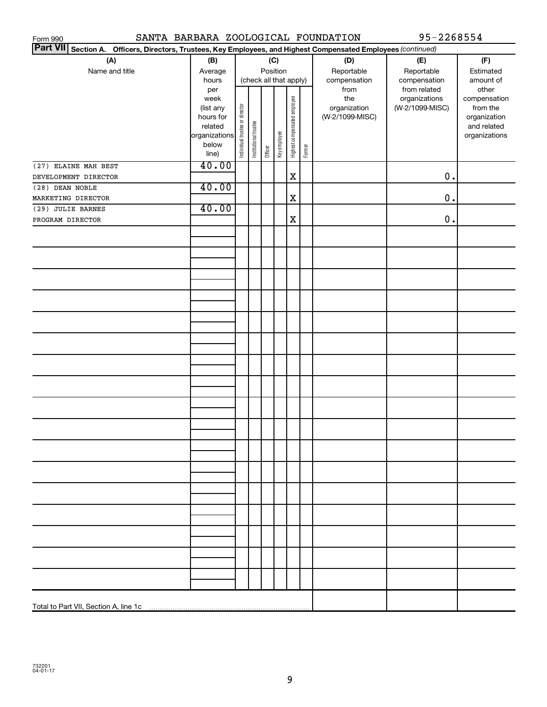| SANTA BARBARA ZOOLOGICAL FOUNDATION<br>Form 990                                                                 |                        |                                |                       |         |              |                              |        |                 | 95-2268554      |               |
|-----------------------------------------------------------------------------------------------------------------|------------------------|--------------------------------|-----------------------|---------|--------------|------------------------------|--------|-----------------|-----------------|---------------|
| Part VII Section A. Officers, Directors, Trustees, Key Employees, and Highest Compensated Employees (continued) |                        |                                |                       |         |              |                              |        |                 |                 |               |
| (A)                                                                                                             | (B)                    |                                |                       |         | (C)          |                              |        | (D)             | (E)             | (F)           |
| Name and title                                                                                                  | Average                |                                |                       |         | Position     |                              |        | Reportable      | Reportable      | Estimated     |
|                                                                                                                 | hours                  |                                |                       |         |              | (check all that apply)       |        | compensation    | compensation    | amount of     |
|                                                                                                                 | per                    |                                |                       |         |              |                              |        | from            | from related    | other         |
|                                                                                                                 | week                   |                                |                       |         |              |                              |        | the             | organizations   | compensation  |
|                                                                                                                 | (list any              |                                |                       |         |              |                              |        | organization    | (W-2/1099-MISC) | from the      |
|                                                                                                                 | hours for              |                                |                       |         |              |                              |        | (W-2/1099-MISC) |                 | organization  |
|                                                                                                                 | related                |                                |                       |         |              |                              |        |                 |                 | and related   |
|                                                                                                                 | organizations<br>below |                                |                       |         |              |                              |        |                 |                 | organizations |
|                                                                                                                 | line)                  | Individual trustee or director | Institutional trustee | Officer | Key employee | Highest compensated employee | Former |                 |                 |               |
| (27) ELAINE MAH BEST                                                                                            | 40.00                  |                                |                       |         |              |                              |        |                 |                 |               |
|                                                                                                                 |                        |                                |                       |         |              | $\mathbf X$                  |        |                 | $0$ .           |               |
| DEVELOPMENT DIRECTOR                                                                                            | 40.00                  |                                |                       |         |              |                              |        |                 |                 |               |
| (28) DEAN NOBLE                                                                                                 |                        |                                |                       |         |              |                              |        |                 |                 |               |
| MARKETING DIRECTOR                                                                                              |                        |                                |                       |         |              | X                            |        |                 | $0$ .           |               |
| (29) JULIE BARNES                                                                                               | 40.00                  |                                |                       |         |              |                              |        |                 |                 |               |
| PROGRAM DIRECTOR                                                                                                |                        |                                |                       |         |              | X                            |        |                 | $0$ .           |               |
|                                                                                                                 |                        |                                |                       |         |              |                              |        |                 |                 |               |
|                                                                                                                 |                        |                                |                       |         |              |                              |        |                 |                 |               |
|                                                                                                                 |                        |                                |                       |         |              |                              |        |                 |                 |               |
|                                                                                                                 |                        |                                |                       |         |              |                              |        |                 |                 |               |
|                                                                                                                 |                        |                                |                       |         |              |                              |        |                 |                 |               |
|                                                                                                                 |                        |                                |                       |         |              |                              |        |                 |                 |               |
|                                                                                                                 |                        |                                |                       |         |              |                              |        |                 |                 |               |
|                                                                                                                 |                        |                                |                       |         |              |                              |        |                 |                 |               |
|                                                                                                                 |                        |                                |                       |         |              |                              |        |                 |                 |               |
|                                                                                                                 |                        |                                |                       |         |              |                              |        |                 |                 |               |
|                                                                                                                 |                        |                                |                       |         |              |                              |        |                 |                 |               |
|                                                                                                                 |                        |                                |                       |         |              |                              |        |                 |                 |               |
|                                                                                                                 |                        |                                |                       |         |              |                              |        |                 |                 |               |
|                                                                                                                 |                        |                                |                       |         |              |                              |        |                 |                 |               |
|                                                                                                                 |                        |                                |                       |         |              |                              |        |                 |                 |               |
|                                                                                                                 |                        |                                |                       |         |              |                              |        |                 |                 |               |
|                                                                                                                 |                        |                                |                       |         |              |                              |        |                 |                 |               |
|                                                                                                                 |                        |                                |                       |         |              |                              |        |                 |                 |               |
|                                                                                                                 |                        |                                |                       |         |              |                              |        |                 |                 |               |
|                                                                                                                 |                        |                                |                       |         |              |                              |        |                 |                 |               |
|                                                                                                                 |                        |                                |                       |         |              |                              |        |                 |                 |               |
|                                                                                                                 |                        |                                |                       |         |              |                              |        |                 |                 |               |
|                                                                                                                 |                        |                                |                       |         |              |                              |        |                 |                 |               |
|                                                                                                                 |                        |                                |                       |         |              |                              |        |                 |                 |               |
|                                                                                                                 |                        |                                |                       |         |              |                              |        |                 |                 |               |
|                                                                                                                 |                        |                                |                       |         |              |                              |        |                 |                 |               |
|                                                                                                                 |                        |                                |                       |         |              |                              |        |                 |                 |               |
|                                                                                                                 |                        |                                |                       |         |              |                              |        |                 |                 |               |
|                                                                                                                 |                        |                                |                       |         |              |                              |        |                 |                 |               |
|                                                                                                                 |                        |                                |                       |         |              |                              |        |                 |                 |               |
|                                                                                                                 |                        |                                |                       |         |              |                              |        |                 |                 |               |
|                                                                                                                 |                        |                                |                       |         |              |                              |        |                 |                 |               |
|                                                                                                                 |                        |                                |                       |         |              |                              |        |                 |                 |               |
|                                                                                                                 |                        |                                |                       |         |              |                              |        |                 |                 |               |
|                                                                                                                 |                        |                                |                       |         |              |                              |        |                 |                 |               |
|                                                                                                                 |                        |                                |                       |         |              |                              |        |                 |                 |               |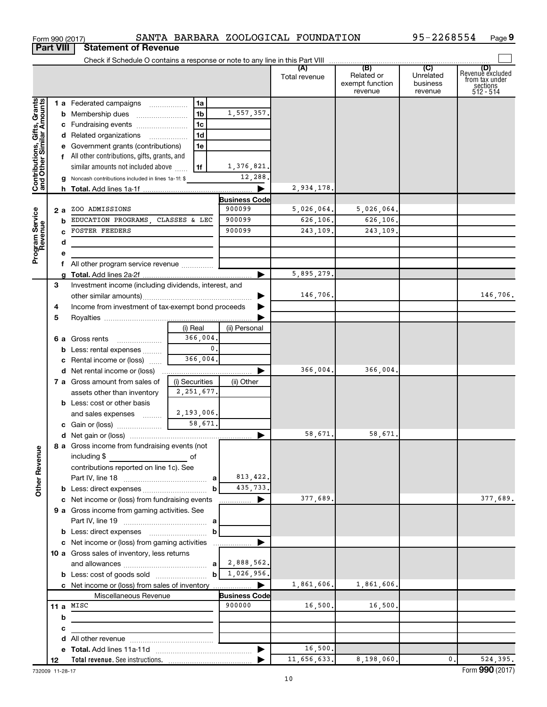|                                                                     | <b>Part VIII</b> | <b>Statement of Revenue</b>                              |                |                          |               |                                          |                                  |                                                                    |
|---------------------------------------------------------------------|------------------|----------------------------------------------------------|----------------|--------------------------|---------------|------------------------------------------|----------------------------------|--------------------------------------------------------------------|
|                                                                     |                  |                                                          |                |                          |               |                                          |                                  |                                                                    |
|                                                                     |                  |                                                          |                |                          | Total revenue | Related or<br>exempt function<br>revenue | Unrelated<br>business<br>revenue | (D)<br>Revenue excluded<br>from tax under<br>sections<br>512 - 514 |
|                                                                     |                  | 1 a Federated campaigns                                  | 1a             |                          |               |                                          |                                  |                                                                    |
| Grants<br>Contributions, Gifts, Grants<br>and Other Similar Amounts |                  |                                                          | 1b             | 1,557,357.               |               |                                          |                                  |                                                                    |
|                                                                     |                  | c Fundraising events                                     | 1c             |                          |               |                                          |                                  |                                                                    |
|                                                                     |                  | d Related organizations                                  | 1d             |                          |               |                                          |                                  |                                                                    |
|                                                                     |                  | e Government grants (contributions)                      | 1e             |                          |               |                                          |                                  |                                                                    |
|                                                                     |                  | f All other contributions, gifts, grants, and            |                |                          |               |                                          |                                  |                                                                    |
|                                                                     |                  | similar amounts not included above                       | 1f             | 1,376,821.               |               |                                          |                                  |                                                                    |
|                                                                     |                  | g Noncash contributions included in lines 1a-1f: \$      |                | 12,288.                  |               |                                          |                                  |                                                                    |
|                                                                     |                  |                                                          |                | ▶                        | 2,934,178.    |                                          |                                  |                                                                    |
|                                                                     |                  |                                                          |                | Business Code            |               |                                          |                                  |                                                                    |
|                                                                     | 2 a              | ZOO ADMISSIONS                                           |                | 900099                   | 5,026,064.    | 5,026,064.                               |                                  |                                                                    |
|                                                                     | b                | EDUCATION PROGRAMS, CLASSES & LEC                        |                | 900099                   | 626.106.      | 626,106.                                 |                                  |                                                                    |
|                                                                     |                  | <b>FOSTER FEEDERS</b>                                    |                | 900099                   | 243,109.      | 243,109.                                 |                                  |                                                                    |
|                                                                     | d                |                                                          |                |                          |               |                                          |                                  |                                                                    |
| Program Service<br>Revenue                                          |                  |                                                          |                |                          |               |                                          |                                  |                                                                    |
|                                                                     |                  | f All other program service revenue                      |                |                          |               |                                          |                                  |                                                                    |
|                                                                     |                  |                                                          |                |                          | 5,895,279.    |                                          |                                  |                                                                    |
|                                                                     | 3                | Investment income (including dividends, interest, and    |                |                          | 146,706.      |                                          |                                  | 146,706.                                                           |
|                                                                     |                  |                                                          |                |                          |               |                                          |                                  |                                                                    |
|                                                                     | 4<br>5           | Income from investment of tax-exempt bond proceeds       |                |                          |               |                                          |                                  |                                                                    |
|                                                                     |                  |                                                          | (i) Real       | (ii) Personal            |               |                                          |                                  |                                                                    |
|                                                                     |                  | 6 a Gross rents                                          | 366,004.       |                          |               |                                          |                                  |                                                                    |
|                                                                     |                  | <b>b</b> Less: rental expenses                           | 0.             |                          |               |                                          |                                  |                                                                    |
|                                                                     |                  | c Rental income or (loss)                                | 366,004.       |                          |               |                                          |                                  |                                                                    |
|                                                                     |                  |                                                          |                |                          | 366,004.      | 366,004.                                 |                                  |                                                                    |
|                                                                     |                  | 7 a Gross amount from sales of                           | (i) Securities | (ii) Other               |               |                                          |                                  |                                                                    |
|                                                                     |                  | assets other than inventory                              | 2, 251, 677.   |                          |               |                                          |                                  |                                                                    |
|                                                                     |                  | <b>b</b> Less: cost or other basis                       |                |                          |               |                                          |                                  |                                                                    |
|                                                                     |                  | and sales expenses                                       | 2,193,006.     |                          |               |                                          |                                  |                                                                    |
|                                                                     |                  |                                                          | 58,671.        |                          |               |                                          |                                  |                                                                    |
|                                                                     |                  |                                                          |                | ▶                        | 58,671.       | 58,671.                                  |                                  |                                                                    |
|                                                                     |                  | 8 a Gross income from fundraising events (not            |                |                          |               |                                          |                                  |                                                                    |
|                                                                     |                  | including $$$<br><u> 1990 - Johann Barbara, martin a</u> | of             |                          |               |                                          |                                  |                                                                    |
| <b>Other Revenue</b>                                                |                  | contributions reported on line 1c). See                  |                |                          |               |                                          |                                  |                                                                    |
|                                                                     |                  |                                                          |                | 813, 422.                |               |                                          |                                  |                                                                    |
|                                                                     |                  |                                                          | b              | 435,733.                 |               |                                          |                                  |                                                                    |
|                                                                     |                  | c Net income or (loss) from fundraising events           |                | ▶<br>.                   | 377,689.      |                                          |                                  | 377,689.                                                           |
|                                                                     |                  | 9 a Gross income from gaming activities. See             |                |                          |               |                                          |                                  |                                                                    |
|                                                                     |                  |                                                          |                |                          |               |                                          |                                  |                                                                    |
|                                                                     |                  |                                                          | b              |                          |               |                                          |                                  |                                                                    |
|                                                                     |                  | c Net income or (loss) from gaming activities            |                |                          |               |                                          |                                  |                                                                    |
|                                                                     |                  | 10 a Gross sales of inventory, less returns              |                |                          |               |                                          |                                  |                                                                    |
|                                                                     |                  |                                                          |                | 2,888,562.<br>1,026,956. |               |                                          |                                  |                                                                    |
|                                                                     |                  |                                                          | b              |                          | 1,861,606.    | 1,861,606.                               |                                  |                                                                    |
|                                                                     |                  | Miscellaneous Revenue                                    |                | <b>Business Code</b>     |               |                                          |                                  |                                                                    |
|                                                                     |                  | 11 a $MISC$                                              |                | 900000                   | 16,500.       | 16,500.                                  |                                  |                                                                    |
|                                                                     | b                |                                                          |                |                          |               |                                          |                                  |                                                                    |
|                                                                     | с                |                                                          |                |                          |               |                                          |                                  |                                                                    |
|                                                                     |                  |                                                          |                |                          |               |                                          |                                  |                                                                    |
|                                                                     |                  |                                                          |                | $\blacktriangleright$    | 16,500.       |                                          |                                  |                                                                    |
|                                                                     | 12               |                                                          |                |                          | 11,656,633.   | 8,198,060.                               | $\mathbf{0}$ .                   | 524,395.                                                           |

Form 990 (2017) Page SANTA BARBARA ZOOLOGICAL FOUNDATION 95-2268554

732009 11-28-17

**9**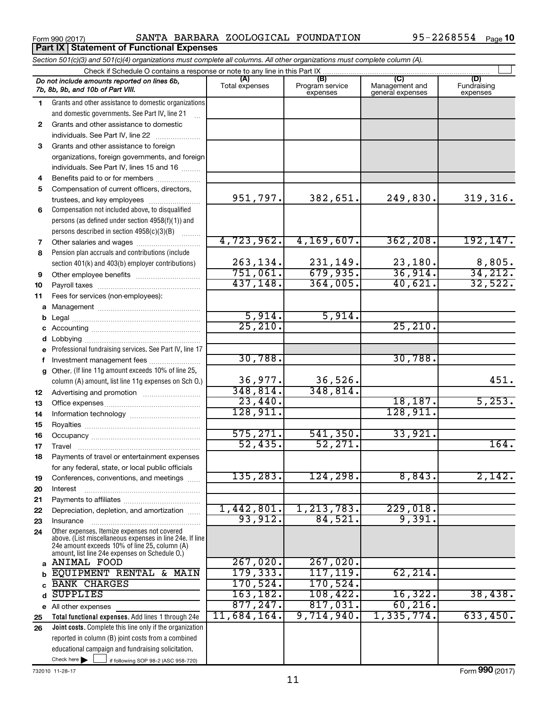Form 990 (2017) Page SANTA BARBARA ZOOLOGICAL FOUNDATION 95-2268554

|    | Section 501(c)(3) and 501(c)(4) organizations must complete all columns. All other organizations must complete column (A).                                                                                  |                |                             |                                    |                         |
|----|-------------------------------------------------------------------------------------------------------------------------------------------------------------------------------------------------------------|----------------|-----------------------------|------------------------------------|-------------------------|
|    | Check if Schedule O contains a response or note to any line in this Part IX<br>Do not include amounts reported on lines 6b,                                                                                 | (A)            | (B)                         | (C)                                | (D)                     |
|    | 7b, 8b, 9b, and 10b of Part VIII.                                                                                                                                                                           | Total expenses | Program service<br>expenses | Management and<br>general expenses | Fundraising<br>expenses |
| 1  | Grants and other assistance to domestic organizations                                                                                                                                                       |                |                             |                                    |                         |
|    | and domestic governments. See Part IV, line 21                                                                                                                                                              |                |                             |                                    |                         |
| 2  | Grants and other assistance to domestic                                                                                                                                                                     |                |                             |                                    |                         |
|    | individuals. See Part IV, line 22                                                                                                                                                                           |                |                             |                                    |                         |
| 3  | Grants and other assistance to foreign                                                                                                                                                                      |                |                             |                                    |                         |
|    | organizations, foreign governments, and foreign                                                                                                                                                             |                |                             |                                    |                         |
|    | individuals. See Part IV, lines 15 and 16                                                                                                                                                                   |                |                             |                                    |                         |
| 4  | Benefits paid to or for members                                                                                                                                                                             |                |                             |                                    |                         |
| 5  | Compensation of current officers, directors,                                                                                                                                                                |                |                             |                                    |                         |
|    | trustees, and key employees                                                                                                                                                                                 | 951,797.       | 382,651.                    | 249,830.                           | 319,316.                |
| 6  | Compensation not included above, to disqualified                                                                                                                                                            |                |                             |                                    |                         |
|    | persons (as defined under section 4958(f)(1)) and                                                                                                                                                           |                |                             |                                    |                         |
|    | persons described in section 4958(c)(3)(B)<br><b>Barbara</b>                                                                                                                                                |                |                             |                                    |                         |
| 7  |                                                                                                                                                                                                             | 4,723,962.     | 4, 169, 607.                | 362, 208.                          | 192, 147.               |
| 8  | Pension plan accruals and contributions (include                                                                                                                                                            |                |                             |                                    |                         |
|    | section 401(k) and 403(b) employer contributions)                                                                                                                                                           | 263,134.       | 231,149.                    | 23,180.                            | $\frac{8,805}{34,212}$  |
| 9  | Other employee benefits                                                                                                                                                                                     | 751,061.       | 679,935.                    | 36,914.                            |                         |
| 10 |                                                                                                                                                                                                             | 437, 148.      | 364,005.                    | 40,621.                            | 32,522.                 |
| 11 | Fees for services (non-employees):                                                                                                                                                                          |                |                             |                                    |                         |
|    |                                                                                                                                                                                                             |                |                             |                                    |                         |
| b  |                                                                                                                                                                                                             | 5,914.         | 5,914.                      |                                    |                         |
| С  |                                                                                                                                                                                                             | 25, 210.       |                             | 25, 210.                           |                         |
| d  |                                                                                                                                                                                                             |                |                             |                                    |                         |
| е  | Professional fundraising services. See Part IV, line 17                                                                                                                                                     |                |                             |                                    |                         |
| f. | Investment management fees                                                                                                                                                                                  | 30,788.        |                             | 30,788.                            |                         |
| g  | Other. (If line 11g amount exceeds 10% of line 25,                                                                                                                                                          |                |                             |                                    |                         |
|    | column (A) amount, list line 11g expenses on Sch O.)                                                                                                                                                        | 36,977.        | 36,526.                     |                                    | 451.                    |
| 12 |                                                                                                                                                                                                             | 348,814.       | 348,814.                    |                                    |                         |
| 13 |                                                                                                                                                                                                             | 23,440.        |                             | 18, 187.                           | 5,253.                  |
| 14 |                                                                                                                                                                                                             | 128,911.       |                             | 128,911.                           |                         |
| 15 |                                                                                                                                                                                                             |                |                             |                                    |                         |
| 16 |                                                                                                                                                                                                             | 575,271.       | 541,350.                    | 33,921.                            |                         |
| 17 |                                                                                                                                                                                                             | 52,435.        | 52, 271.                    |                                    | 164.                    |
| 18 | Payments of travel or entertainment expenses                                                                                                                                                                |                |                             |                                    |                         |
|    | for any federal, state, or local public officials                                                                                                                                                           |                |                             |                                    |                         |
| 19 | Conferences, conventions, and meetings                                                                                                                                                                      | 135,283.       | 124,298.                    | 8,843.                             | 2,142.                  |
| 20 | Interest                                                                                                                                                                                                    |                |                             |                                    |                         |
| 21 |                                                                                                                                                                                                             | 1,442,801.     | 1,213,783.                  | 229,018.                           |                         |
| 22 | Depreciation, depletion, and amortization                                                                                                                                                                   | 93,912.        | 84,521.                     | 9,391.                             |                         |
| 23 | Insurance                                                                                                                                                                                                   |                |                             |                                    |                         |
| 24 | Other expenses. Itemize expenses not covered<br>above. (List miscellaneous expenses in line 24e. If line<br>24e amount exceeds 10% of line 25, column (A)<br>amount, list line 24e expenses on Schedule O.) |                |                             |                                    |                         |
| a  | ANIMAL FOOD                                                                                                                                                                                                 | 267,020.       | 267,020.                    |                                    |                         |
|    | EQUIPMENT RENTAL & MAIN                                                                                                                                                                                     | 179, 333.      | 117, 119.                   | 62, 214.                           |                         |
|    | <b>BANK CHARGES</b>                                                                                                                                                                                         | 170, 524.      | 170,524.                    |                                    |                         |
| d  | <b>SUPPLIES</b>                                                                                                                                                                                             | 163, 182.      | 108,422.                    | 16,322.                            | 38,438.                 |
|    | e All other expenses                                                                                                                                                                                        | 877,247.       | 817,031.                    | 60, 216.                           |                         |
| 25 | Total functional expenses. Add lines 1 through 24e                                                                                                                                                          | 11,684,164.    | 9,714,940.                  | 1,335,774.                         | 633,450.                |
| 26 | Joint costs. Complete this line only if the organization                                                                                                                                                    |                |                             |                                    |                         |
|    | reported in column (B) joint costs from a combined                                                                                                                                                          |                |                             |                                    |                         |
|    | educational campaign and fundraising solicitation.                                                                                                                                                          |                |                             |                                    |                         |
|    | Check here<br>if following SOP 98-2 (ASC 958-720)                                                                                                                                                           |                |                             |                                    |                         |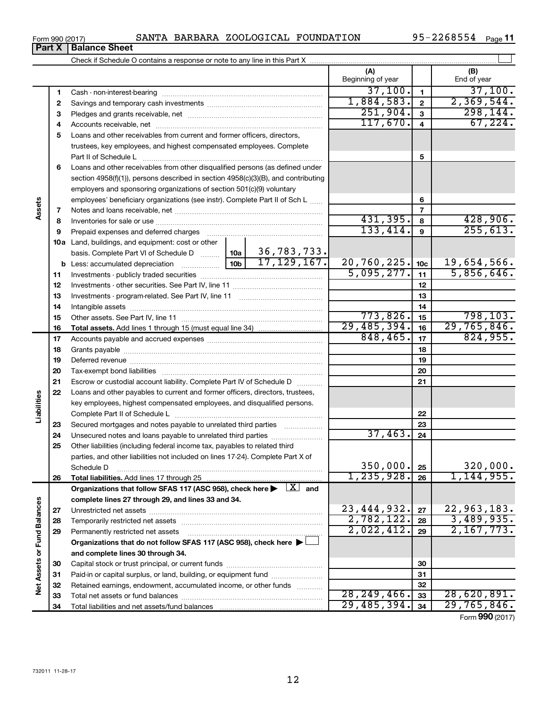| $-2268554$<br>SANTA BARBARA ZOOLOGICAL FOUNDATION<br>$QF - E$<br>Form 990 (2017) | Page |
|----------------------------------------------------------------------------------|------|
|----------------------------------------------------------------------------------|------|

|                      | Part X   | <u>UHILUJU ILU IL</u><br><b>Balance Sheet</b>                                                                    |                 |                        |                          |                 |                    |
|----------------------|----------|------------------------------------------------------------------------------------------------------------------|-----------------|------------------------|--------------------------|-----------------|--------------------|
|                      |          |                                                                                                                  |                 |                        |                          |                 |                    |
|                      |          |                                                                                                                  |                 |                        | (A)<br>Beginning of year |                 | (B)<br>End of year |
|                      | 1        |                                                                                                                  |                 |                        | 37,100.                  | $\mathbf{1}$    | 37,100.            |
|                      | 2        |                                                                                                                  |                 |                        | 1,884,583.               | $\mathbf{2}$    | 2,369,544.         |
|                      | З        |                                                                                                                  | 251,904.        | 3                      | 298, 144.                |                 |                    |
|                      | 4        |                                                                                                                  | 117,670.        | 4                      | 67,224.                  |                 |                    |
|                      | 5        | Loans and other receivables from current and former officers, directors,                                         |                 |                        |                          |                 |                    |
|                      |          | trustees, key employees, and highest compensated employees. Complete<br>Part II of Schedule L                    |                 |                        | 5                        |                 |                    |
|                      | 6        | Loans and other receivables from other disqualified persons (as defined under                                    |                 |                        |                          |                 |                    |
|                      |          | section 4958(f)(1)), persons described in section 4958(c)(3)(B), and contributing                                |                 |                        |                          |                 |                    |
|                      |          | employers and sponsoring organizations of section 501(c)(9) voluntary                                            |                 |                        |                          |                 |                    |
|                      |          | employees' beneficiary organizations (see instr). Complete Part II of Sch L                                      |                 |                        |                          | 6               |                    |
| Assets               | 7        |                                                                                                                  |                 |                        |                          | $\overline{7}$  |                    |
|                      | 8        |                                                                                                                  |                 |                        | 431,395.                 | 8               | 428,906.           |
|                      | 9        |                                                                                                                  |                 |                        | 133,414.                 | 9               | 255,613.           |
|                      |          | 10a Land, buildings, and equipment: cost or other                                                                |                 |                        |                          |                 |                    |
|                      |          | basis. Complete Part VI of Schedule D  10a                                                                       |                 | 36,783,733.            |                          |                 |                    |
|                      |          | <b>b</b> Less: accumulated depreciation                                                                          | 10 <sub>b</sub> | 17, 129, 167.          | 20,760,225.              | 10 <sub>c</sub> | 19,654,566.        |
|                      | 11       |                                                                                                                  |                 |                        | 5,095,277.               | 11              | 5,856,646.         |
|                      | 12       |                                                                                                                  |                 |                        |                          | 12              |                    |
|                      | 13       |                                                                                                                  |                 | 13                     |                          |                 |                    |
|                      | 14       |                                                                                                                  |                 |                        |                          | 14              |                    |
|                      | 15       |                                                                                                                  |                 |                        | 773,826.                 | 15              | 798, 103.          |
|                      | 16       |                                                                                                                  |                 |                        | 29,485,394.              | 16              | 29,765,846.        |
|                      | 17       |                                                                                                                  |                 |                        | 848,465.                 | 17              | 824,955.           |
|                      | 18       |                                                                                                                  |                 |                        |                          | 18              |                    |
|                      | 19       |                                                                                                                  |                 |                        |                          | 19              |                    |
|                      | 20       |                                                                                                                  |                 |                        | 20                       |                 |                    |
|                      | 21       | Escrow or custodial account liability. Complete Part IV of Schedule D                                            |                 |                        |                          | 21              |                    |
|                      | 22       | Loans and other payables to current and former officers, directors, trustees,                                    |                 |                        |                          |                 |                    |
|                      |          | key employees, highest compensated employees, and disqualified persons.                                          |                 |                        |                          |                 |                    |
| Liabilities          |          |                                                                                                                  |                 |                        |                          | 22              |                    |
|                      | 23       | Secured mortgages and notes payable to unrelated third parties                                                   |                 |                        |                          | 23              |                    |
|                      | 24       | Unsecured notes and loans payable to unrelated third parties                                                     |                 |                        | 37,463.                  | 24              |                    |
|                      | 25       | Other liabilities (including federal income tax, payables to related third                                       |                 |                        |                          |                 |                    |
|                      |          | parties, and other liabilities not included on lines 17-24). Complete Part X of                                  |                 |                        |                          |                 | 320,000.           |
|                      |          | Schedule D                                                                                                       |                 |                        | 350,000.<br>1, 235, 928. | 25              | 1, 144, 955.       |
|                      | 26       |                                                                                                                  |                 | $\boxed{\text{X}}$ and |                          | 26              |                    |
|                      |          | Organizations that follow SFAS 117 (ASC 958), check here ><br>complete lines 27 through 29, and lines 33 and 34. |                 |                        |                          |                 |                    |
|                      |          |                                                                                                                  |                 |                        | 23, 444, 932.            | 27              | 22,963,183.        |
|                      | 27<br>28 |                                                                                                                  |                 |                        | 2,782,122.               | 28              | 3,489,935.         |
| <b>Fund Balances</b> | 29       | Permanently restricted net assets                                                                                |                 |                        | 2,022,412.               | 29              | 2,167,773.         |
|                      |          | Organizations that do not follow SFAS 117 (ASC 958), check here ▶                                                |                 |                        |                          |                 |                    |
|                      |          | and complete lines 30 through 34.                                                                                |                 |                        |                          |                 |                    |
|                      | 30       |                                                                                                                  |                 |                        |                          | 30              |                    |
|                      | 31       | Paid-in or capital surplus, or land, building, or equipment fund                                                 |                 |                        |                          | 31              |                    |
| Net Assets or        | 32       | Retained earnings, endowment, accumulated income, or other funds                                                 |                 |                        |                          | 32              |                    |
|                      | 33       |                                                                                                                  |                 |                        | 28, 249, 466.            | 33              | 28,620,891.        |
|                      | 34       |                                                                                                                  |                 |                        | 29,485,394.              | 34              | 29,765,846.        |

| Form 990 (2017 |  |  |
|----------------|--|--|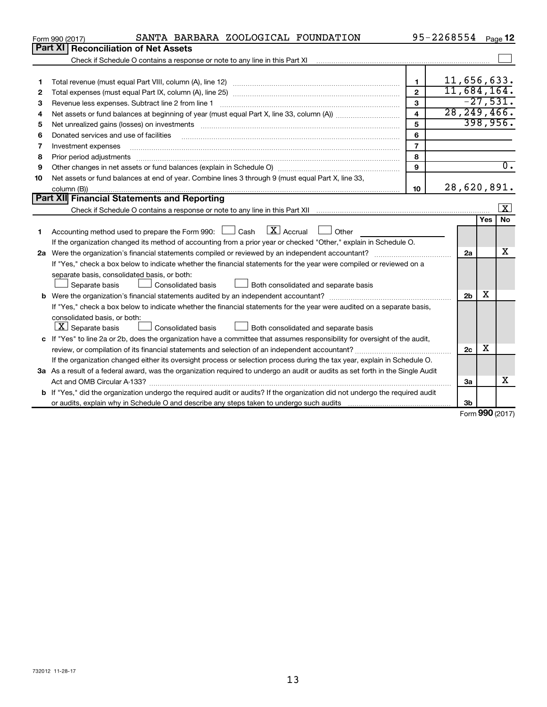|    | SANTA BARBARA ZOOLOGICAL FOUNDATION<br>Form 990 (2017)                                                                                                                                                                         |                         | 95-2268554     |     | Page 12                 |
|----|--------------------------------------------------------------------------------------------------------------------------------------------------------------------------------------------------------------------------------|-------------------------|----------------|-----|-------------------------|
|    | Part XI<br><b>Reconciliation of Net Assets</b>                                                                                                                                                                                 |                         |                |     |                         |
|    |                                                                                                                                                                                                                                |                         |                |     |                         |
|    |                                                                                                                                                                                                                                |                         |                |     |                         |
| 1  |                                                                                                                                                                                                                                | $\mathbf{1}$            | 11,656,633.    |     |                         |
| 2  |                                                                                                                                                                                                                                | $\overline{2}$          | 11,684,164.    |     |                         |
| З  | Revenue less expenses. Subtract line 2 from line 1                                                                                                                                                                             | 3                       |                |     | $-27,531.$              |
| 4  |                                                                                                                                                                                                                                | $\overline{\mathbf{A}}$ | 28, 249, 466.  |     |                         |
| 5  |                                                                                                                                                                                                                                | 5                       |                |     | 398,956.                |
| 6  | Donated services and use of facilities                                                                                                                                                                                         | 6                       |                |     |                         |
| 7  | Investment expenses                                                                                                                                                                                                            | $\overline{7}$          |                |     |                         |
| 8  | Prior period adjustments material contents and content and content and content and content and content and content and content and content and content and content and content and content and content and content and content | 8                       |                |     |                         |
| 9  |                                                                                                                                                                                                                                | 9                       |                |     | $\overline{0}$ .        |
| 10 | Net assets or fund balances at end of year. Combine lines 3 through 9 (must equal Part X, line 33,                                                                                                                             |                         |                |     |                         |
|    | column (B))                                                                                                                                                                                                                    | 10                      | 28,620,891.    |     |                         |
|    | Part XII Financial Statements and Reporting                                                                                                                                                                                    |                         |                |     |                         |
|    |                                                                                                                                                                                                                                |                         |                |     | $\overline{\mathbf{x}}$ |
|    |                                                                                                                                                                                                                                |                         |                | Yes | <b>No</b>               |
| 1  | $\mathbf{X}$ Accrual<br>Accounting method used to prepare the Form 990: [130] Cash<br>Other<br>$\mathcal{L}$                                                                                                                   |                         |                |     |                         |
|    | If the organization changed its method of accounting from a prior year or checked "Other," explain in Schedule O.                                                                                                              |                         |                |     |                         |
|    |                                                                                                                                                                                                                                |                         | 2a             |     | х                       |
|    | If "Yes," check a box below to indicate whether the financial statements for the year were compiled or reviewed on a                                                                                                           |                         |                |     |                         |
|    | separate basis, consolidated basis, or both:                                                                                                                                                                                   |                         |                |     |                         |
|    | Separate basis<br>Consolidated basis<br>Both consolidated and separate basis                                                                                                                                                   |                         |                |     |                         |
|    |                                                                                                                                                                                                                                |                         | 2 <sub>b</sub> | х   |                         |
|    | If "Yes," check a box below to indicate whether the financial statements for the year were audited on a separate basis,                                                                                                        |                         |                |     |                         |
|    | consolidated basis, or both:                                                                                                                                                                                                   |                         |                |     |                         |
|    | $ \mathbf{X} $ Separate basis<br>Consolidated basis<br>Both consolidated and separate basis                                                                                                                                    |                         |                |     |                         |
|    | c If "Yes" to line 2a or 2b, does the organization have a committee that assumes responsibility for oversight of the audit,                                                                                                    |                         |                |     |                         |
|    |                                                                                                                                                                                                                                |                         | 2c             | х   |                         |
|    | If the organization changed either its oversight process or selection process during the tax year, explain in Schedule O.                                                                                                      |                         |                |     |                         |
|    | 3a As a result of a federal award, was the organization required to undergo an audit or audits as set forth in the Single Audit                                                                                                |                         |                |     |                         |
|    |                                                                                                                                                                                                                                |                         | 3a             |     | X                       |
|    | b If "Yes," did the organization undergo the required audit or audits? If the organization did not undergo the required audit                                                                                                  |                         |                |     |                         |
|    |                                                                                                                                                                                                                                |                         | 3b             |     |                         |
|    |                                                                                                                                                                                                                                |                         |                |     | $000 \, \text{m}$       |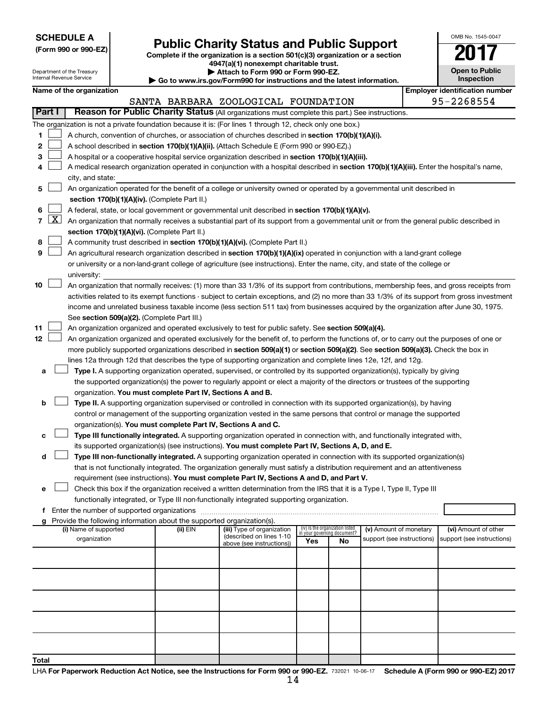| <b>SCHEDULE A</b> |  |
|-------------------|--|
|-------------------|--|

**Total**

# **Public Charity Status and Public Support**<br> **Addition is a section 501(c)(3) organization or a section**<br>  $4947(a)(1)$  nonexempt charitable trust.

**(Form 990 or 990-EZ) Complete if the organization is a section 501(c)(3) organization or a section**

| OMB No 1545-0047                 |
|----------------------------------|
| NF                               |
| <b>Open to Public</b><br>enactic |

 $\Box$ 

| Department of the Treasury<br>Internal Revenue Service |                     | Attach to Form 990 or Form 990-EZ.<br>$\blacktriangleright$ Go to www.irs.gov/Form990 for instructions and the latest information. |  |                                                                        |                                                                                                                                               |                                 | <b>Open to Public</b><br>Inspection |                            |  |                                       |
|--------------------------------------------------------|---------------------|------------------------------------------------------------------------------------------------------------------------------------|--|------------------------------------------------------------------------|-----------------------------------------------------------------------------------------------------------------------------------------------|---------------------------------|-------------------------------------|----------------------------|--|---------------------------------------|
|                                                        |                     | Name of the organization                                                                                                           |  |                                                                        |                                                                                                                                               |                                 |                                     |                            |  | <b>Employer identification number</b> |
|                                                        |                     |                                                                                                                                    |  |                                                                        | SANTA BARBARA ZOOLOGICAL FOUNDATION                                                                                                           |                                 |                                     |                            |  | 95-2268554                            |
|                                                        | Part I              |                                                                                                                                    |  |                                                                        | Reason for Public Charity Status (All organizations must complete this part.) See instructions.                                               |                                 |                                     |                            |  |                                       |
|                                                        |                     |                                                                                                                                    |  |                                                                        | The organization is not a private foundation because it is: (For lines 1 through 12, check only one box.)                                     |                                 |                                     |                            |  |                                       |
| 1                                                      |                     |                                                                                                                                    |  |                                                                        | A church, convention of churches, or association of churches described in section 170(b)(1)(A)(i).                                            |                                 |                                     |                            |  |                                       |
| 2                                                      |                     |                                                                                                                                    |  |                                                                        | A school described in section 170(b)(1)(A)(ii). (Attach Schedule E (Form 990 or 990-EZ).)                                                     |                                 |                                     |                            |  |                                       |
| 3                                                      |                     |                                                                                                                                    |  |                                                                        | A hospital or a cooperative hospital service organization described in section 170(b)(1)(A)(iii).                                             |                                 |                                     |                            |  |                                       |
| 4                                                      |                     |                                                                                                                                    |  |                                                                        | A medical research organization operated in conjunction with a hospital described in section 170(b)(1)(A)(iii). Enter the hospital's name,    |                                 |                                     |                            |  |                                       |
|                                                        |                     | city, and state:                                                                                                                   |  |                                                                        |                                                                                                                                               |                                 |                                     |                            |  |                                       |
| 5                                                      |                     |                                                                                                                                    |  |                                                                        | An organization operated for the benefit of a college or university owned or operated by a governmental unit described in                     |                                 |                                     |                            |  |                                       |
|                                                        |                     |                                                                                                                                    |  | section 170(b)(1)(A)(iv). (Complete Part II.)                          |                                                                                                                                               |                                 |                                     |                            |  |                                       |
| 6                                                      |                     |                                                                                                                                    |  |                                                                        | A federal, state, or local government or governmental unit described in section 170(b)(1)(A)(v).                                              |                                 |                                     |                            |  |                                       |
| $\overline{7}$                                         | $\lfloor x \rfloor$ |                                                                                                                                    |  |                                                                        | An organization that normally receives a substantial part of its support from a governmental unit or from the general public described in     |                                 |                                     |                            |  |                                       |
|                                                        |                     |                                                                                                                                    |  | section 170(b)(1)(A)(vi). (Complete Part II.)                          |                                                                                                                                               |                                 |                                     |                            |  |                                       |
| 8                                                      |                     |                                                                                                                                    |  |                                                                        | A community trust described in section 170(b)(1)(A)(vi). (Complete Part II.)                                                                  |                                 |                                     |                            |  |                                       |
| 9                                                      |                     |                                                                                                                                    |  |                                                                        | An agricultural research organization described in section 170(b)(1)(A)(ix) operated in conjunction with a land-grant college                 |                                 |                                     |                            |  |                                       |
|                                                        |                     |                                                                                                                                    |  |                                                                        | or university or a non-land-grant college of agriculture (see instructions). Enter the name, city, and state of the college or                |                                 |                                     |                            |  |                                       |
|                                                        |                     | university:                                                                                                                        |  |                                                                        |                                                                                                                                               |                                 |                                     |                            |  |                                       |
| 10                                                     |                     |                                                                                                                                    |  |                                                                        | An organization that normally receives: (1) more than 33 1/3% of its support from contributions, membership fees, and gross receipts from     |                                 |                                     |                            |  |                                       |
|                                                        |                     |                                                                                                                                    |  |                                                                        |                                                                                                                                               |                                 |                                     |                            |  |                                       |
|                                                        |                     |                                                                                                                                    |  |                                                                        | activities related to its exempt functions - subject to certain exceptions, and (2) no more than 33 1/3% of its support from gross investment |                                 |                                     |                            |  |                                       |
|                                                        |                     |                                                                                                                                    |  | See section 509(a)(2). (Complete Part III.)                            | income and unrelated business taxable income (less section 511 tax) from businesses acquired by the organization after June 30, 1975.         |                                 |                                     |                            |  |                                       |
| 11                                                     |                     |                                                                                                                                    |  |                                                                        | An organization organized and operated exclusively to test for public safety. See section 509(a)(4).                                          |                                 |                                     |                            |  |                                       |
| 12                                                     |                     |                                                                                                                                    |  |                                                                        | An organization organized and operated exclusively for the benefit of, to perform the functions of, or to carry out the purposes of one or    |                                 |                                     |                            |  |                                       |
|                                                        |                     |                                                                                                                                    |  |                                                                        | more publicly supported organizations described in section 509(a)(1) or section 509(a)(2). See section 509(a)(3). Check the box in            |                                 |                                     |                            |  |                                       |
|                                                        |                     |                                                                                                                                    |  |                                                                        | lines 12a through 12d that describes the type of supporting organization and complete lines 12e, 12f, and 12g.                                |                                 |                                     |                            |  |                                       |
| а                                                      |                     |                                                                                                                                    |  |                                                                        | Type I. A supporting organization operated, supervised, or controlled by its supported organization(s), typically by giving                   |                                 |                                     |                            |  |                                       |
|                                                        |                     |                                                                                                                                    |  |                                                                        | the supported organization(s) the power to regularly appoint or elect a majority of the directors or trustees of the supporting               |                                 |                                     |                            |  |                                       |
|                                                        |                     |                                                                                                                                    |  | organization. You must complete Part IV, Sections A and B.             |                                                                                                                                               |                                 |                                     |                            |  |                                       |
| b                                                      |                     |                                                                                                                                    |  |                                                                        | Type II. A supporting organization supervised or controlled in connection with its supported organization(s), by having                       |                                 |                                     |                            |  |                                       |
|                                                        |                     |                                                                                                                                    |  |                                                                        | control or management of the supporting organization vested in the same persons that control or manage the supported                          |                                 |                                     |                            |  |                                       |
|                                                        |                     |                                                                                                                                    |  | organization(s). You must complete Part IV, Sections A and C.          |                                                                                                                                               |                                 |                                     |                            |  |                                       |
| с                                                      |                     |                                                                                                                                    |  |                                                                        | Type III functionally integrated. A supporting organization operated in connection with, and functionally integrated with,                    |                                 |                                     |                            |  |                                       |
|                                                        |                     |                                                                                                                                    |  |                                                                        | its supported organization(s) (see instructions). You must complete Part IV, Sections A, D, and E.                                            |                                 |                                     |                            |  |                                       |
| d                                                      |                     |                                                                                                                                    |  |                                                                        | Type III non-functionally integrated. A supporting organization operated in connection with its supported organization(s)                     |                                 |                                     |                            |  |                                       |
|                                                        |                     |                                                                                                                                    |  |                                                                        | that is not functionally integrated. The organization generally must satisfy a distribution requirement and an attentiveness                  |                                 |                                     |                            |  |                                       |
|                                                        |                     |                                                                                                                                    |  |                                                                        | requirement (see instructions). You must complete Part IV, Sections A and D, and Part V.                                                      |                                 |                                     |                            |  |                                       |
| е                                                      |                     |                                                                                                                                    |  |                                                                        | Check this box if the organization received a written determination from the IRS that it is a Type I, Type II, Type III                       |                                 |                                     |                            |  |                                       |
|                                                        |                     |                                                                                                                                    |  |                                                                        |                                                                                                                                               |                                 |                                     |                            |  |                                       |
|                                                        |                     |                                                                                                                                    |  |                                                                        | functionally integrated, or Type III non-functionally integrated supporting organization.                                                     |                                 |                                     |                            |  |                                       |
| a                                                      |                     |                                                                                                                                    |  | Provide the following information about the supported organization(s). |                                                                                                                                               |                                 |                                     |                            |  |                                       |
|                                                        |                     | (i) Name of supported                                                                                                              |  | (ii) EIN                                                               | (iii) Type of organization                                                                                                                    | (iv) Is the organization listed |                                     | (v) Amount of monetary     |  | (vi) Amount of other                  |
|                                                        |                     | organization                                                                                                                       |  |                                                                        | (described on lines 1-10                                                                                                                      | Yes                             | in your governing document?<br>No   | support (see instructions) |  | support (see instructions)            |
|                                                        |                     |                                                                                                                                    |  |                                                                        | above (see instructions))                                                                                                                     |                                 |                                     |                            |  |                                       |
|                                                        |                     |                                                                                                                                    |  |                                                                        |                                                                                                                                               |                                 |                                     |                            |  |                                       |
|                                                        |                     |                                                                                                                                    |  |                                                                        |                                                                                                                                               |                                 |                                     |                            |  |                                       |
|                                                        |                     |                                                                                                                                    |  |                                                                        |                                                                                                                                               |                                 |                                     |                            |  |                                       |
|                                                        |                     |                                                                                                                                    |  |                                                                        |                                                                                                                                               |                                 |                                     |                            |  |                                       |
|                                                        |                     |                                                                                                                                    |  |                                                                        |                                                                                                                                               |                                 |                                     |                            |  |                                       |
|                                                        |                     |                                                                                                                                    |  |                                                                        |                                                                                                                                               |                                 |                                     |                            |  |                                       |
|                                                        |                     |                                                                                                                                    |  |                                                                        |                                                                                                                                               |                                 |                                     |                            |  |                                       |
|                                                        |                     |                                                                                                                                    |  |                                                                        |                                                                                                                                               |                                 |                                     |                            |  |                                       |
|                                                        |                     |                                                                                                                                    |  |                                                                        |                                                                                                                                               |                                 |                                     |                            |  |                                       |
|                                                        |                     |                                                                                                                                    |  |                                                                        |                                                                                                                                               |                                 |                                     |                            |  |                                       |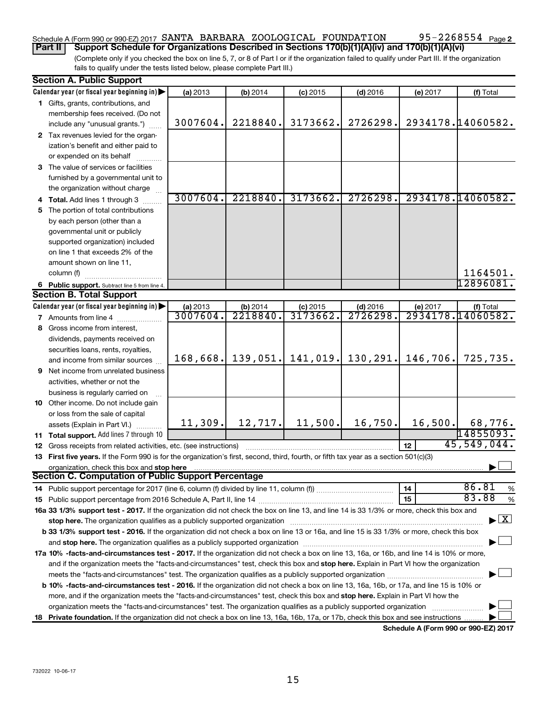# Schedule A (Form 990 or 990-EZ) 2017 SANTA BARBARA ZOOLOGICAL FOUNDATION 95-2268554 Page

95-2268554 Page 2

(Complete only if you checked the box on line 5, 7, or 8 of Part I or if the organization failed to qualify under Part III. If the organization fails to qualify under the tests listed below, please complete Part III.) **Part II Support Schedule for Organizations Described in Sections 170(b)(1)(A)(iv) and 170(b)(1)(A)(vi)**

| <b>Section A. Public Support</b>                                                                                                           |          |          |            |                      |          |                                    |
|--------------------------------------------------------------------------------------------------------------------------------------------|----------|----------|------------|----------------------|----------|------------------------------------|
| Calendar year (or fiscal year beginning in)                                                                                                | (a) 2013 | (b) 2014 | $(c)$ 2015 | $(d)$ 2016           | (e) 2017 | (f) Total                          |
| 1 Gifts, grants, contributions, and                                                                                                        |          |          |            |                      |          |                                    |
| membership fees received. (Do not                                                                                                          |          |          |            |                      |          |                                    |
| include any "unusual grants.")                                                                                                             | 3007604. | 2218840. | 3173662.   | 2726298.             |          | 2934178.14060582.                  |
| 2 Tax revenues levied for the organ-                                                                                                       |          |          |            |                      |          |                                    |
| ization's benefit and either paid to                                                                                                       |          |          |            |                      |          |                                    |
| or expended on its behalf                                                                                                                  |          |          |            |                      |          |                                    |
| 3 The value of services or facilities                                                                                                      |          |          |            |                      |          |                                    |
| furnished by a governmental unit to                                                                                                        |          |          |            |                      |          |                                    |
| the organization without charge                                                                                                            |          |          |            |                      |          |                                    |
| 4 Total. Add lines 1 through 3                                                                                                             | 3007604. | 2218840. | 3173662.   | 2726298.             |          | 2934178.14060582.                  |
| 5 The portion of total contributions                                                                                                       |          |          |            |                      |          |                                    |
| by each person (other than a                                                                                                               |          |          |            |                      |          |                                    |
| governmental unit or publicly                                                                                                              |          |          |            |                      |          |                                    |
| supported organization) included                                                                                                           |          |          |            |                      |          |                                    |
| on line 1 that exceeds 2% of the                                                                                                           |          |          |            |                      |          |                                    |
| amount shown on line 11,                                                                                                                   |          |          |            |                      |          |                                    |
| column (f)                                                                                                                                 |          |          |            |                      |          | 1164501.                           |
| 6 Public support. Subtract line 5 from line 4.                                                                                             |          |          |            |                      |          | 12896081.                          |
| <b>Section B. Total Support</b>                                                                                                            |          |          |            |                      |          |                                    |
| Calendar year (or fiscal year beginning in) $\blacktriangleright$                                                                          | (a) 2013 | (b) 2014 | $(c)$ 2015 | $(d)$ 2016           | (e) 2017 | (f) Total                          |
| <b>7</b> Amounts from line 4                                                                                                               | 3007604. | 2218840. | 3173662.   | 2726298.             |          | 2934178.14060582.                  |
| 8 Gross income from interest,                                                                                                              |          |          |            |                      |          |                                    |
| dividends, payments received on                                                                                                            |          |          |            |                      |          |                                    |
| securities loans, rents, royalties,                                                                                                        |          |          |            |                      |          |                                    |
| and income from similar sources                                                                                                            | 168,668. | 139,051. |            | $141,019.$ 130, 291. | 146,706. | 725,735.                           |
| <b>9</b> Net income from unrelated business                                                                                                |          |          |            |                      |          |                                    |
| activities, whether or not the                                                                                                             |          |          |            |                      |          |                                    |
| business is regularly carried on                                                                                                           |          |          |            |                      |          |                                    |
| 10 Other income. Do not include gain                                                                                                       |          |          |            |                      |          |                                    |
| or loss from the sale of capital                                                                                                           |          |          |            |                      |          |                                    |
| assets (Explain in Part VI.)                                                                                                               | 11, 309. | 12, 717. | 11,500.    | 16,750.              | 16,500.  | 68,776.                            |
| 11 Total support. Add lines 7 through 10                                                                                                   |          |          |            |                      |          | 14855093.                          |
| <b>12</b> Gross receipts from related activities, etc. (see instructions)                                                                  |          |          |            |                      | 12       | 45,549,044.                        |
| 13 First five years. If the Form 990 is for the organization's first, second, third, fourth, or fifth tax year as a section 501(c)(3)      |          |          |            |                      |          |                                    |
| organization, check this box and stop here                                                                                                 |          |          |            |                      |          |                                    |
| Section C. Computation of Public Support Percentage                                                                                        |          |          |            |                      |          |                                    |
|                                                                                                                                            |          |          |            |                      | 14       | 86.81<br>%                         |
|                                                                                                                                            |          |          |            |                      | 15       | 83.88<br>%                         |
| 16a 33 1/3% support test - 2017. If the organization did not check the box on line 13, and line 14 is 33 1/3% or more, check this box and  |          |          |            |                      |          |                                    |
| stop here. The organization qualifies as a publicly supported organization                                                                 |          |          |            |                      |          | $\blacktriangleright$ $\mathbf{X}$ |
| b 33 1/3% support test - 2016. If the organization did not check a box on line 13 or 16a, and line 15 is 33 1/3% or more, check this box   |          |          |            |                      |          |                                    |
|                                                                                                                                            |          |          |            |                      |          |                                    |
| 17a 10% -facts-and-circumstances test - 2017. If the organization did not check a box on line 13, 16a, or 16b, and line 14 is 10% or more, |          |          |            |                      |          |                                    |
| and if the organization meets the "facts-and-circumstances" test, check this box and stop here. Explain in Part VI how the organization    |          |          |            |                      |          |                                    |
|                                                                                                                                            |          |          |            |                      |          |                                    |
| b 10% -facts-and-circumstances test - 2016. If the organization did not check a box on line 13, 16a, 16b, or 17a, and line 15 is 10% or    |          |          |            |                      |          |                                    |
| more, and if the organization meets the "facts-and-circumstances" test, check this box and stop here. Explain in Part VI how the           |          |          |            |                      |          |                                    |
| organization meets the "facts-and-circumstances" test. The organization qualifies as a publicly supported organization                     |          |          |            |                      |          |                                    |
| 18 Private foundation. If the organization did not check a box on line 13, 16a, 16b, 17a, or 17b, check this box and see instructions.     |          |          |            |                      |          |                                    |
|                                                                                                                                            |          |          |            |                      |          |                                    |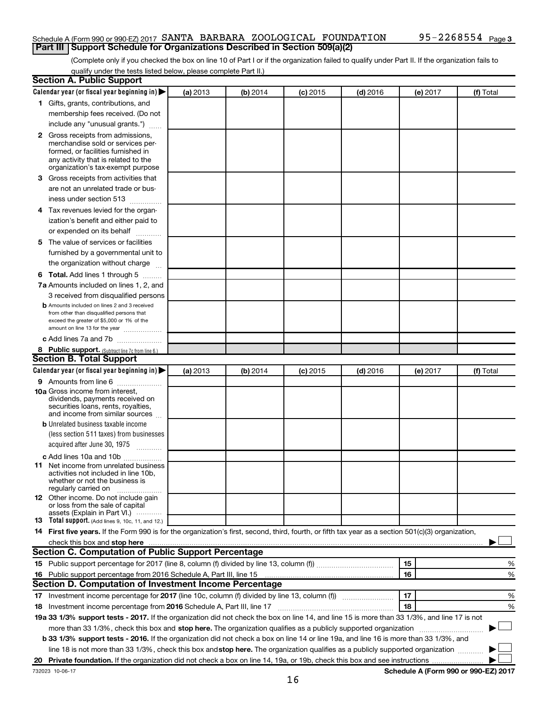# Schedule A (Form 990 or 990-EZ) 2017 SANTA BARBARA ZOOLOGICAL FOUNDATION 95-2268554 Page **Part III Support Schedule for Organizations Described in Section 509(a)(2)**

(Complete only if you checked the box on line 10 of Part I or if the organization failed to qualify under Part II. If the organization fails to qualify under the tests listed below, please complete Part II.)

| <b>Section A. Public Support</b>                                                                                                                                                                                              |          |          |            |            |          |           |
|-------------------------------------------------------------------------------------------------------------------------------------------------------------------------------------------------------------------------------|----------|----------|------------|------------|----------|-----------|
| Calendar year (or fiscal year beginning in)                                                                                                                                                                                   | (a) 2013 | (b) 2014 | $(c)$ 2015 | $(d)$ 2016 | (e) 2017 | (f) Total |
| 1 Gifts, grants, contributions, and                                                                                                                                                                                           |          |          |            |            |          |           |
| membership fees received. (Do not                                                                                                                                                                                             |          |          |            |            |          |           |
| include any "unusual grants.")                                                                                                                                                                                                |          |          |            |            |          |           |
| <b>2</b> Gross receipts from admissions,                                                                                                                                                                                      |          |          |            |            |          |           |
| merchandise sold or services per-                                                                                                                                                                                             |          |          |            |            |          |           |
| formed, or facilities furnished in                                                                                                                                                                                            |          |          |            |            |          |           |
| any activity that is related to the<br>organization's tax-exempt purpose                                                                                                                                                      |          |          |            |            |          |           |
|                                                                                                                                                                                                                               |          |          |            |            |          |           |
| 3 Gross receipts from activities that                                                                                                                                                                                         |          |          |            |            |          |           |
| are not an unrelated trade or bus-                                                                                                                                                                                            |          |          |            |            |          |           |
| iness under section 513                                                                                                                                                                                                       |          |          |            |            |          |           |
| 4 Tax revenues levied for the organ-                                                                                                                                                                                          |          |          |            |            |          |           |
| ization's benefit and either paid to                                                                                                                                                                                          |          |          |            |            |          |           |
| or expended on its behalf                                                                                                                                                                                                     |          |          |            |            |          |           |
| 5 The value of services or facilities                                                                                                                                                                                         |          |          |            |            |          |           |
| furnished by a governmental unit to                                                                                                                                                                                           |          |          |            |            |          |           |
| the organization without charge                                                                                                                                                                                               |          |          |            |            |          |           |
| 6 Total. Add lines 1 through 5                                                                                                                                                                                                |          |          |            |            |          |           |
| 7a Amounts included on lines 1, 2, and                                                                                                                                                                                        |          |          |            |            |          |           |
| 3 received from disqualified persons                                                                                                                                                                                          |          |          |            |            |          |           |
| <b>b</b> Amounts included on lines 2 and 3 received                                                                                                                                                                           |          |          |            |            |          |           |
| from other than disqualified persons that<br>exceed the greater of \$5,000 or 1% of the                                                                                                                                       |          |          |            |            |          |           |
| amount on line 13 for the year                                                                                                                                                                                                |          |          |            |            |          |           |
| c Add lines 7a and 7b                                                                                                                                                                                                         |          |          |            |            |          |           |
| 8 Public support. (Subtract line 7c from line 6.)                                                                                                                                                                             |          |          |            |            |          |           |
| <b>Section B. Total Support</b>                                                                                                                                                                                               |          |          |            |            |          |           |
| Calendar year (or fiscal year beginning in)                                                                                                                                                                                   | (a) 2013 | (b) 2014 | $(c)$ 2015 | $(d)$ 2016 | (e) 2017 | (f) Total |
| 9 Amounts from line 6                                                                                                                                                                                                         |          |          |            |            |          |           |
| <b>10a</b> Gross income from interest,                                                                                                                                                                                        |          |          |            |            |          |           |
| dividends, payments received on                                                                                                                                                                                               |          |          |            |            |          |           |
| securities loans, rents, royalties,<br>and income from similar sources                                                                                                                                                        |          |          |            |            |          |           |
| <b>b</b> Unrelated business taxable income                                                                                                                                                                                    |          |          |            |            |          |           |
| (less section 511 taxes) from businesses                                                                                                                                                                                      |          |          |            |            |          |           |
| acquired after June 30, 1975                                                                                                                                                                                                  |          |          |            |            |          |           |
| c Add lines 10a and 10b                                                                                                                                                                                                       |          |          |            |            |          |           |
| <b>11</b> Net income from unrelated business                                                                                                                                                                                  |          |          |            |            |          |           |
| activities not included in line 10b.                                                                                                                                                                                          |          |          |            |            |          |           |
| whether or not the business is                                                                                                                                                                                                |          |          |            |            |          |           |
| regularly carried on<br>12 Other income. Do not include gain                                                                                                                                                                  |          |          |            |            |          |           |
| or loss from the sale of capital                                                                                                                                                                                              |          |          |            |            |          |           |
| assets (Explain in Part VI.)                                                                                                                                                                                                  |          |          |            |            |          |           |
| <b>13</b> Total support. (Add lines 9, 10c, 11, and 12.)                                                                                                                                                                      |          |          |            |            |          |           |
| 14 First five years. If the Form 990 is for the organization's first, second, third, fourth, or fifth tax year as a section 501(c)(3) organization,                                                                           |          |          |            |            |          |           |
| check this box and stop here manufactured and stop here and stop here are manufactured and stop here and stop here and stop here and stop here and stop here and stop here and stop here and stop here and stop here and stop |          |          |            |            |          |           |
| Section C. Computation of Public Support Percentage                                                                                                                                                                           |          |          |            |            |          |           |
|                                                                                                                                                                                                                               |          |          |            |            | 15       | ℅         |
| 16 Public support percentage from 2016 Schedule A, Part III, line 15                                                                                                                                                          |          |          |            |            | 16       | %         |
| Section D. Computation of Investment Income Percentage                                                                                                                                                                        |          |          |            |            |          |           |
| 17 Investment income percentage for 2017 (line 10c, column (f) divided by line 13, column (f))                                                                                                                                |          |          |            |            | 17       | %         |
| 18 Investment income percentage from 2016 Schedule A, Part III, line 17                                                                                                                                                       |          |          |            |            | 18       | %         |
| 19a 33 1/3% support tests - 2017. If the organization did not check the box on line 14, and line 15 is more than 33 1/3%, and line 17 is not                                                                                  |          |          |            |            |          |           |
| more than 33 1/3%, check this box and stop here. The organization qualifies as a publicly supported organization                                                                                                              |          |          |            |            |          |           |
| b 33 1/3% support tests - 2016. If the organization did not check a box on line 14 or line 19a, and line 16 is more than 33 1/3%, and                                                                                         |          |          |            |            |          |           |
| line 18 is not more than 33 1/3%, check this box and stop here. The organization qualifies as a publicly supported organization                                                                                               |          |          |            |            |          |           |
|                                                                                                                                                                                                                               |          |          |            |            |          |           |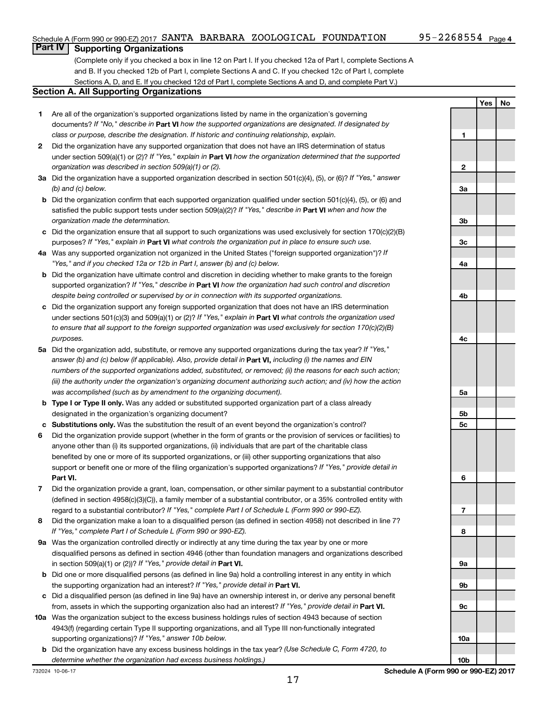**Yes No**

# **Part IV Supporting Organizations**

(Complete only if you checked a box in line 12 on Part I. If you checked 12a of Part I, complete Sections A and B. If you checked 12b of Part I, complete Sections A and C. If you checked 12c of Part I, complete Sections A, D, and E. If you checked 12d of Part I, complete Sections A and D, and complete Part V.)

# **Section A. All Supporting Organizations**

- **1** Are all of the organization's supported organizations listed by name in the organization's governing documents? If "No," describe in Part VI how the supported organizations are designated. If designated by *class or purpose, describe the designation. If historic and continuing relationship, explain.*
- **2** Did the organization have any supported organization that does not have an IRS determination of status under section 509(a)(1) or (2)? If "Yes," explain in Part **VI** how the organization determined that the supported *organization was described in section 509(a)(1) or (2).*
- **3a** Did the organization have a supported organization described in section 501(c)(4), (5), or (6)? If "Yes," answer *(b) and (c) below.*
- **b** Did the organization confirm that each supported organization qualified under section 501(c)(4), (5), or (6) and satisfied the public support tests under section 509(a)(2)? If "Yes," describe in Part VI when and how the *organization made the determination.*
- **c** Did the organization ensure that all support to such organizations was used exclusively for section 170(c)(2)(B) purposes? If "Yes," explain in Part VI what controls the organization put in place to ensure such use.
- **4 a** *If* Was any supported organization not organized in the United States ("foreign supported organization")? *"Yes," and if you checked 12a or 12b in Part I, answer (b) and (c) below.*
- **b** Did the organization have ultimate control and discretion in deciding whether to make grants to the foreign supported organization? If "Yes," describe in Part VI how the organization had such control and discretion *despite being controlled or supervised by or in connection with its supported organizations.*
- **c** Did the organization support any foreign supported organization that does not have an IRS determination under sections 501(c)(3) and 509(a)(1) or (2)? If "Yes," explain in Part VI what controls the organization used *to ensure that all support to the foreign supported organization was used exclusively for section 170(c)(2)(B) purposes.*
- **5a** Did the organization add, substitute, or remove any supported organizations during the tax year? If "Yes," answer (b) and (c) below (if applicable). Also, provide detail in **Part VI,** including (i) the names and EIN *numbers of the supported organizations added, substituted, or removed; (ii) the reasons for each such action; (iii) the authority under the organization's organizing document authorizing such action; and (iv) how the action was accomplished (such as by amendment to the organizing document).*
- **b Type I or Type II only.** Was any added or substituted supported organization part of a class already designated in the organization's organizing document?
- **c Substitutions only.**  Was the substitution the result of an event beyond the organization's control?
- **6** Did the organization provide support (whether in the form of grants or the provision of services or facilities) to **Part VI.** support or benefit one or more of the filing organization's supported organizations? If "Yes," provide detail in anyone other than (i) its supported organizations, (ii) individuals that are part of the charitable class benefited by one or more of its supported organizations, or (iii) other supporting organizations that also
- **7** Did the organization provide a grant, loan, compensation, or other similar payment to a substantial contributor regard to a substantial contributor? If "Yes," complete Part I of Schedule L (Form 990 or 990-EZ). (defined in section 4958(c)(3)(C)), a family member of a substantial contributor, or a 35% controlled entity with
- **8** Did the organization make a loan to a disqualified person (as defined in section 4958) not described in line 7? *If "Yes," complete Part I of Schedule L (Form 990 or 990-EZ).*
- **9 a** Was the organization controlled directly or indirectly at any time during the tax year by one or more in section 509(a)(1) or (2))? If "Yes," provide detail in **Part VI.** disqualified persons as defined in section 4946 (other than foundation managers and organizations described
- **b** Did one or more disqualified persons (as defined in line 9a) hold a controlling interest in any entity in which the supporting organization had an interest? If "Yes," provide detail in Part VI.
- **c** Did a disqualified person (as defined in line 9a) have an ownership interest in, or derive any personal benefit from, assets in which the supporting organization also had an interest? If "Yes," provide detail in Part VI.
- **10 a** Was the organization subject to the excess business holdings rules of section 4943 because of section supporting organizations)? If "Yes," answer 10b below. 4943(f) (regarding certain Type II supporting organizations, and all Type III non-functionally integrated
	- **b** Did the organization have any excess business holdings in the tax year? (Use Schedule C, Form 4720, to *determine whether the organization had excess business holdings.)*

**1 2 3a 3b 3c 4a 4b 4c 5a 5b 5c 6 7 8 9a 9b 9c 10a**

732024 10-06-17

**10b**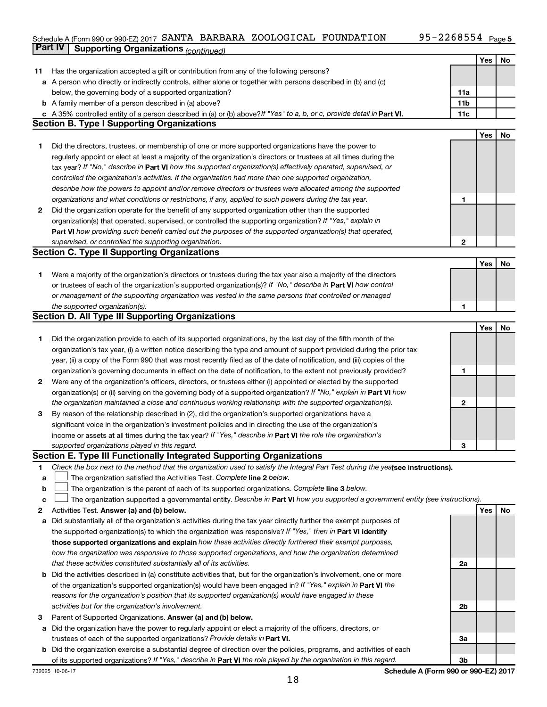# Schedule A (Form 990 or 990-EZ) 2017 SANTA BARBARA ZOOLOGICAL FOUNDATION 95-2268554 Page **Part IV Supporting Organizations** *(continued)*

|    |                                                                                                                                                                                                                                   |                 | Yes | No |
|----|-----------------------------------------------------------------------------------------------------------------------------------------------------------------------------------------------------------------------------------|-----------------|-----|----|
| 11 | Has the organization accepted a gift or contribution from any of the following persons?                                                                                                                                           |                 |     |    |
|    | a A person who directly or indirectly controls, either alone or together with persons described in (b) and (c)                                                                                                                    |                 |     |    |
|    | below, the governing body of a supported organization?                                                                                                                                                                            | 11a             |     |    |
|    | <b>b</b> A family member of a person described in (a) above?                                                                                                                                                                      | 11 <sub>b</sub> |     |    |
|    | c A 35% controlled entity of a person described in (a) or (b) above? If "Yes" to a, b, or c, provide detail in Part VI.                                                                                                           | 11c             |     |    |
|    | <b>Section B. Type I Supporting Organizations</b>                                                                                                                                                                                 |                 |     |    |
|    |                                                                                                                                                                                                                                   |                 | Yes | No |
| 1  | Did the directors, trustees, or membership of one or more supported organizations have the power to                                                                                                                               |                 |     |    |
|    | regularly appoint or elect at least a majority of the organization's directors or trustees at all times during the                                                                                                                |                 |     |    |
|    | tax year? If "No," describe in Part VI how the supported organization(s) effectively operated, supervised, or                                                                                                                     |                 |     |    |
|    | controlled the organization's activities. If the organization had more than one supported organization,                                                                                                                           |                 |     |    |
|    | describe how the powers to appoint and/or remove directors or trustees were allocated among the supported                                                                                                                         |                 |     |    |
|    | organizations and what conditions or restrictions, if any, applied to such powers during the tax year.                                                                                                                            | 1               |     |    |
| 2  | Did the organization operate for the benefit of any supported organization other than the supported                                                                                                                               |                 |     |    |
|    | organization(s) that operated, supervised, or controlled the supporting organization? If "Yes," explain in                                                                                                                        |                 |     |    |
|    | Part VI how providing such benefit carried out the purposes of the supported organization(s) that operated,                                                                                                                       |                 |     |    |
|    | supervised, or controlled the supporting organization.                                                                                                                                                                            | 2               |     |    |
|    | <b>Section C. Type II Supporting Organizations</b>                                                                                                                                                                                |                 |     |    |
|    |                                                                                                                                                                                                                                   |                 | Yes | No |
| 1  | Were a majority of the organization's directors or trustees during the tax year also a majority of the directors                                                                                                                  |                 |     |    |
|    | or trustees of each of the organization's supported organization(s)? If "No," describe in Part VI how control                                                                                                                     |                 |     |    |
|    | or management of the supporting organization was vested in the same persons that controlled or managed                                                                                                                            |                 |     |    |
|    | the supported organization(s).                                                                                                                                                                                                    |                 |     |    |
|    | <b>Section D. All Type III Supporting Organizations</b>                                                                                                                                                                           |                 |     |    |
|    |                                                                                                                                                                                                                                   |                 | Yes | No |
| 1  | Did the organization provide to each of its supported organizations, by the last day of the fifth month of the                                                                                                                    |                 |     |    |
|    | organization's tax year, (i) a written notice describing the type and amount of support provided during the prior tax                                                                                                             |                 |     |    |
|    | year, (ii) a copy of the Form 990 that was most recently filed as of the date of notification, and (iii) copies of the                                                                                                            |                 |     |    |
|    | organization's governing documents in effect on the date of notification, to the extent not previously provided?                                                                                                                  | 1               |     |    |
| 2  | Were any of the organization's officers, directors, or trustees either (i) appointed or elected by the supported                                                                                                                  |                 |     |    |
|    | organization(s) or (ii) serving on the governing body of a supported organization? If "No," explain in Part VI how<br>the organization maintained a close and continuous working relationship with the supported organization(s). | 2               |     |    |
| 3  | By reason of the relationship described in (2), did the organization's supported organizations have a                                                                                                                             |                 |     |    |
|    | significant voice in the organization's investment policies and in directing the use of the organization's                                                                                                                        |                 |     |    |
|    | income or assets at all times during the tax year? If "Yes," describe in Part VI the role the organization's                                                                                                                      |                 |     |    |
|    | supported organizations played in this regard.                                                                                                                                                                                    | З               |     |    |
|    | Section E. Type III Functionally Integrated Supporting Organizations                                                                                                                                                              |                 |     |    |
| 1  | Check the box next to the method that the organization used to satisfy the Integral Part Test during the yealsee instructions).                                                                                                   |                 |     |    |
| a  | The organization satisfied the Activities Test. Complete line 2 below.                                                                                                                                                            |                 |     |    |
| b  | The organization is the parent of each of its supported organizations. Complete line 3 below.                                                                                                                                     |                 |     |    |
| c  | The organization supported a governmental entity. Describe in Part VI how you supported a government entity (see instructions).                                                                                                   |                 |     |    |
| 2  | Activities Test. Answer (a) and (b) below.                                                                                                                                                                                        |                 | Yes | No |
| a  | Did substantially all of the organization's activities during the tax year directly further the exempt purposes of                                                                                                                |                 |     |    |
|    | the supported organization(s) to which the organization was responsive? If "Yes," then in Part VI identify                                                                                                                        |                 |     |    |
|    | those supported organizations and explain how these activities directly furthered their exempt purposes,                                                                                                                          |                 |     |    |
|    | how the organization was responsive to those supported organizations, and how the organization determined                                                                                                                         |                 |     |    |
|    | that these activities constituted substantially all of its activities.                                                                                                                                                            | 2a              |     |    |
|    | <b>b</b> Did the activities described in (a) constitute activities that, but for the organization's involvement, one or more                                                                                                      |                 |     |    |
|    | of the organization's supported organization(s) would have been engaged in? If "Yes," explain in Part VI the                                                                                                                      |                 |     |    |
|    | reasons for the organization's position that its supported organization(s) would have engaged in these                                                                                                                            |                 |     |    |
|    | activities but for the organization's involvement.                                                                                                                                                                                | 2b              |     |    |
| з  | Parent of Supported Organizations. Answer (a) and (b) below.                                                                                                                                                                      |                 |     |    |
| а  | Did the organization have the power to regularly appoint or elect a majority of the officers, directors, or                                                                                                                       |                 |     |    |
|    | trustees of each of the supported organizations? Provide details in Part VI.                                                                                                                                                      | За              |     |    |
|    | <b>b</b> Did the organization exercise a substantial degree of direction over the policies, programs, and activities of each                                                                                                      |                 |     |    |
|    | of its supported organizations? If "Yes," describe in Part VI the role played by the organization in this regard.                                                                                                                 | 3b              |     |    |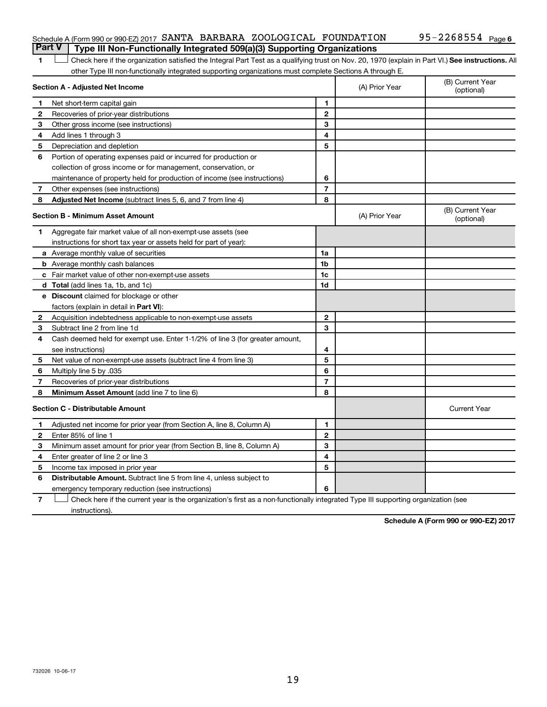# Schedule A (Form 990 or 990-EZ) 2017 SANTA BARBARA ZOOLOGICAL FOUNDATION 95-2268554 Page **Part V Type III Non-Functionally Integrated 509(a)(3) Supporting Organizations**

1 **Letter See instructions.** All Check here if the organization satisfied the Integral Part Test as a qualifying trust on Nov. 20, 1970 (explain in Part VI.) See instructions. All other Type III non-functionally integrated supporting organizations must complete Sections A through E.

|                                         | Section A - Adjusted Net Income                                              | (A) Prior Year | (B) Current Year<br>(optional) |                                |
|-----------------------------------------|------------------------------------------------------------------------------|----------------|--------------------------------|--------------------------------|
| 1                                       | Net short-term capital gain                                                  | 1              |                                |                                |
| 2                                       | Recoveries of prior-year distributions                                       | $\mathbf{2}$   |                                |                                |
| 3                                       | Other gross income (see instructions)                                        | 3              |                                |                                |
| 4                                       | Add lines 1 through 3                                                        | 4              |                                |                                |
| 5                                       | Depreciation and depletion                                                   | 5              |                                |                                |
| 6                                       | Portion of operating expenses paid or incurred for production or             |                |                                |                                |
|                                         | collection of gross income or for management, conservation, or               |                |                                |                                |
|                                         | maintenance of property held for production of income (see instructions)     | 6              |                                |                                |
| 7                                       | Other expenses (see instructions)                                            | $\overline{7}$ |                                |                                |
| 8                                       | Adjusted Net Income (subtract lines 5, 6, and 7 from line 4)                 | 8              |                                |                                |
| <b>Section B - Minimum Asset Amount</b> |                                                                              |                | (A) Prior Year                 | (B) Current Year<br>(optional) |
| 1.                                      | Aggregate fair market value of all non-exempt-use assets (see                |                |                                |                                |
|                                         | instructions for short tax year or assets held for part of year):            |                |                                |                                |
|                                         | a Average monthly value of securities                                        | 1a             |                                |                                |
|                                         | <b>b</b> Average monthly cash balances                                       | 1b             |                                |                                |
|                                         | c Fair market value of other non-exempt-use assets                           | 1c             |                                |                                |
|                                         | d Total (add lines 1a, 1b, and 1c)                                           | 1d             |                                |                                |
|                                         | <b>e</b> Discount claimed for blockage or other                              |                |                                |                                |
|                                         | factors (explain in detail in <b>Part VI</b> ):                              |                |                                |                                |
| 2                                       | Acquisition indebtedness applicable to non-exempt-use assets                 | $\mathbf{2}$   |                                |                                |
| З                                       | Subtract line 2 from line 1d                                                 | 3              |                                |                                |
| 4                                       | Cash deemed held for exempt use. Enter 1-1/2% of line 3 (for greater amount, |                |                                |                                |
|                                         | see instructions)                                                            | 4              |                                |                                |
| 5                                       | Net value of non-exempt-use assets (subtract line 4 from line 3)             | 5              |                                |                                |
| 6                                       | Multiply line 5 by .035                                                      | 6              |                                |                                |
| 7                                       | Recoveries of prior-year distributions                                       | 7              |                                |                                |
| 8                                       | Minimum Asset Amount (add line 7 to line 6)                                  | 8              |                                |                                |
|                                         | <b>Section C - Distributable Amount</b>                                      |                |                                | <b>Current Year</b>            |
| $\mathbf 1$                             | Adjusted net income for prior year (from Section A, line 8, Column A)        | 1              |                                |                                |
| $\mathbf{2}$                            | Enter 85% of line 1                                                          | $\mathbf{2}$   |                                |                                |
| 3                                       | Minimum asset amount for prior year (from Section B, line 8, Column A)       | 3              |                                |                                |
| 4                                       | Enter greater of line 2 or line 3                                            | 4              |                                |                                |
| 5                                       | Income tax imposed in prior year                                             | 5              |                                |                                |
| 6                                       | <b>Distributable Amount.</b> Subtract line 5 from line 4, unless subject to  |                |                                |                                |
|                                         | emergency temporary reduction (see instructions)                             | 6              |                                |                                |
|                                         |                                                                              |                |                                |                                |

**7** Check here if the current year is the organization's first as a non-functionally integrated Type III supporting organization (see † instructions).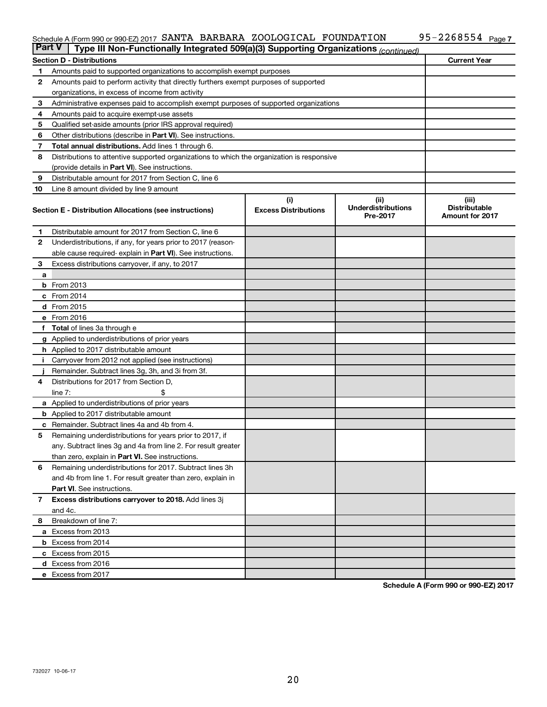### Schedule A (Form 990 or 990-EZ) 2017 Page SANTA BARBARA ZOOLOGICAL FOUNDATION 95-2268554

| <b>Part V</b> | Type III Non-Functionally Integrated 509(a)(3) Supporting Organizations (continued)        |                             |                                       |                                                |  |  |  |  |  |
|---------------|--------------------------------------------------------------------------------------------|-----------------------------|---------------------------------------|------------------------------------------------|--|--|--|--|--|
|               | <b>Section D - Distributions</b>                                                           |                             |                                       | <b>Current Year</b>                            |  |  |  |  |  |
| 1             | Amounts paid to supported organizations to accomplish exempt purposes                      |                             |                                       |                                                |  |  |  |  |  |
| $\mathbf{2}$  | Amounts paid to perform activity that directly furthers exempt purposes of supported       |                             |                                       |                                                |  |  |  |  |  |
|               | organizations, in excess of income from activity                                           |                             |                                       |                                                |  |  |  |  |  |
| 3             | Administrative expenses paid to accomplish exempt purposes of supported organizations      |                             |                                       |                                                |  |  |  |  |  |
| 4             | Amounts paid to acquire exempt-use assets                                                  |                             |                                       |                                                |  |  |  |  |  |
| 5             | Qualified set-aside amounts (prior IRS approval required)                                  |                             |                                       |                                                |  |  |  |  |  |
| 6             | Other distributions (describe in <b>Part VI</b> ). See instructions.                       |                             |                                       |                                                |  |  |  |  |  |
| 7             | Total annual distributions. Add lines 1 through 6.                                         |                             |                                       |                                                |  |  |  |  |  |
| 8             | Distributions to attentive supported organizations to which the organization is responsive |                             |                                       |                                                |  |  |  |  |  |
|               | (provide details in Part VI). See instructions.                                            |                             |                                       |                                                |  |  |  |  |  |
| 9             | Distributable amount for 2017 from Section C, line 6                                       |                             |                                       |                                                |  |  |  |  |  |
| 10            | Line 8 amount divided by line 9 amount                                                     |                             |                                       |                                                |  |  |  |  |  |
|               |                                                                                            | (i)                         | (ii)                                  | (iii)                                          |  |  |  |  |  |
|               | Section E - Distribution Allocations (see instructions)                                    | <b>Excess Distributions</b> | <b>Underdistributions</b><br>Pre-2017 | <b>Distributable</b><br><b>Amount for 2017</b> |  |  |  |  |  |
| 1             | Distributable amount for 2017 from Section C, line 6                                       |                             |                                       |                                                |  |  |  |  |  |
| $\mathbf{2}$  | Underdistributions, if any, for years prior to 2017 (reason-                               |                             |                                       |                                                |  |  |  |  |  |
|               | able cause required- explain in Part VI). See instructions.                                |                             |                                       |                                                |  |  |  |  |  |
| 3             | Excess distributions carryover, if any, to 2017                                            |                             |                                       |                                                |  |  |  |  |  |
| a             |                                                                                            |                             |                                       |                                                |  |  |  |  |  |
|               | <b>b</b> From 2013                                                                         |                             |                                       |                                                |  |  |  |  |  |
|               | c From 2014                                                                                |                             |                                       |                                                |  |  |  |  |  |
|               | d From 2015                                                                                |                             |                                       |                                                |  |  |  |  |  |
|               | e From 2016                                                                                |                             |                                       |                                                |  |  |  |  |  |
|               | f Total of lines 3a through e                                                              |                             |                                       |                                                |  |  |  |  |  |
|               | <b>g</b> Applied to underdistributions of prior years                                      |                             |                                       |                                                |  |  |  |  |  |
|               | h Applied to 2017 distributable amount                                                     |                             |                                       |                                                |  |  |  |  |  |
| Ť.            | Carryover from 2012 not applied (see instructions)                                         |                             |                                       |                                                |  |  |  |  |  |
|               | Remainder. Subtract lines 3g, 3h, and 3i from 3f.                                          |                             |                                       |                                                |  |  |  |  |  |
| 4             | Distributions for 2017 from Section D,                                                     |                             |                                       |                                                |  |  |  |  |  |
|               | line $7:$                                                                                  |                             |                                       |                                                |  |  |  |  |  |
|               | a Applied to underdistributions of prior years                                             |                             |                                       |                                                |  |  |  |  |  |
|               | <b>b</b> Applied to 2017 distributable amount                                              |                             |                                       |                                                |  |  |  |  |  |
| с             | Remainder. Subtract lines 4a and 4b from 4.                                                |                             |                                       |                                                |  |  |  |  |  |
| 5             | Remaining underdistributions for years prior to 2017, if                                   |                             |                                       |                                                |  |  |  |  |  |
|               | any. Subtract lines 3g and 4a from line 2. For result greater                              |                             |                                       |                                                |  |  |  |  |  |
|               | than zero, explain in Part VI. See instructions.                                           |                             |                                       |                                                |  |  |  |  |  |
| 6             | Remaining underdistributions for 2017. Subtract lines 3h                                   |                             |                                       |                                                |  |  |  |  |  |
|               | and 4b from line 1. For result greater than zero, explain in                               |                             |                                       |                                                |  |  |  |  |  |
|               | <b>Part VI.</b> See instructions.                                                          |                             |                                       |                                                |  |  |  |  |  |
| $\mathbf{7}$  | Excess distributions carryover to 2018. Add lines 3j                                       |                             |                                       |                                                |  |  |  |  |  |
|               | and 4c.                                                                                    |                             |                                       |                                                |  |  |  |  |  |
| 8             | Breakdown of line 7:                                                                       |                             |                                       |                                                |  |  |  |  |  |
|               | a Excess from 2013                                                                         |                             |                                       |                                                |  |  |  |  |  |
|               | <b>b</b> Excess from 2014                                                                  |                             |                                       |                                                |  |  |  |  |  |
|               | c Excess from 2015                                                                         |                             |                                       |                                                |  |  |  |  |  |
|               | d Excess from 2016                                                                         |                             |                                       |                                                |  |  |  |  |  |
|               | e Excess from 2017                                                                         |                             |                                       |                                                |  |  |  |  |  |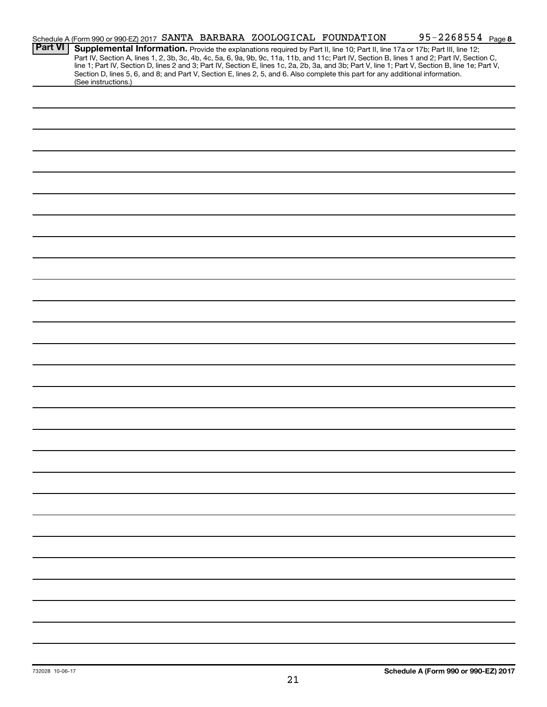|                | Schedule A (Form 990 or 990-EZ) 2017 SANTA BARBARA ZOOLOGICAL FOUNDATION |  |                                                                                                                                 | 95-2268554 Page 8                                                                                                                                                                                                                                                                                                                                              |
|----------------|--------------------------------------------------------------------------|--|---------------------------------------------------------------------------------------------------------------------------------|----------------------------------------------------------------------------------------------------------------------------------------------------------------------------------------------------------------------------------------------------------------------------------------------------------------------------------------------------------------|
| <b>Part VI</b> |                                                                          |  | Section D, lines 5, 6, and 8; and Part V, Section E, lines 2, 5, and 6. Also complete this part for any additional information. | Supplemental Information. Provide the explanations required by Part II, line 10; Part II, line 17a or 17b; Part III, line 12;<br>Part IV, Section A, lines 1, 2, 3b, 3c, 4b, 4c, 5a, 6, 9a, 9b, 9c, 11a, 11b, and 11c; Part IV, Section B, lines 1 and 2; Part IV, Section C, line 1; Part IV, Section D, lines 2 and 3; Part IV, Section E, lines 1c, 2a, 2b, |
|                | (See instructions.)                                                      |  |                                                                                                                                 |                                                                                                                                                                                                                                                                                                                                                                |
|                |                                                                          |  |                                                                                                                                 |                                                                                                                                                                                                                                                                                                                                                                |
|                |                                                                          |  |                                                                                                                                 |                                                                                                                                                                                                                                                                                                                                                                |
|                |                                                                          |  |                                                                                                                                 |                                                                                                                                                                                                                                                                                                                                                                |
|                |                                                                          |  |                                                                                                                                 |                                                                                                                                                                                                                                                                                                                                                                |
|                |                                                                          |  |                                                                                                                                 |                                                                                                                                                                                                                                                                                                                                                                |
|                |                                                                          |  |                                                                                                                                 |                                                                                                                                                                                                                                                                                                                                                                |
|                |                                                                          |  |                                                                                                                                 |                                                                                                                                                                                                                                                                                                                                                                |
|                |                                                                          |  |                                                                                                                                 |                                                                                                                                                                                                                                                                                                                                                                |
|                |                                                                          |  |                                                                                                                                 |                                                                                                                                                                                                                                                                                                                                                                |
|                |                                                                          |  |                                                                                                                                 |                                                                                                                                                                                                                                                                                                                                                                |
|                |                                                                          |  |                                                                                                                                 |                                                                                                                                                                                                                                                                                                                                                                |
|                |                                                                          |  |                                                                                                                                 |                                                                                                                                                                                                                                                                                                                                                                |
|                |                                                                          |  |                                                                                                                                 |                                                                                                                                                                                                                                                                                                                                                                |
|                |                                                                          |  |                                                                                                                                 |                                                                                                                                                                                                                                                                                                                                                                |
|                |                                                                          |  |                                                                                                                                 |                                                                                                                                                                                                                                                                                                                                                                |
|                |                                                                          |  |                                                                                                                                 |                                                                                                                                                                                                                                                                                                                                                                |
|                |                                                                          |  |                                                                                                                                 |                                                                                                                                                                                                                                                                                                                                                                |
|                |                                                                          |  |                                                                                                                                 |                                                                                                                                                                                                                                                                                                                                                                |
|                |                                                                          |  |                                                                                                                                 |                                                                                                                                                                                                                                                                                                                                                                |
|                |                                                                          |  |                                                                                                                                 |                                                                                                                                                                                                                                                                                                                                                                |
|                |                                                                          |  |                                                                                                                                 |                                                                                                                                                                                                                                                                                                                                                                |
|                |                                                                          |  |                                                                                                                                 |                                                                                                                                                                                                                                                                                                                                                                |
|                |                                                                          |  |                                                                                                                                 |                                                                                                                                                                                                                                                                                                                                                                |
|                |                                                                          |  |                                                                                                                                 |                                                                                                                                                                                                                                                                                                                                                                |
|                |                                                                          |  |                                                                                                                                 |                                                                                                                                                                                                                                                                                                                                                                |
|                |                                                                          |  |                                                                                                                                 |                                                                                                                                                                                                                                                                                                                                                                |
|                |                                                                          |  |                                                                                                                                 |                                                                                                                                                                                                                                                                                                                                                                |
|                |                                                                          |  |                                                                                                                                 |                                                                                                                                                                                                                                                                                                                                                                |
|                |                                                                          |  |                                                                                                                                 |                                                                                                                                                                                                                                                                                                                                                                |
|                |                                                                          |  |                                                                                                                                 |                                                                                                                                                                                                                                                                                                                                                                |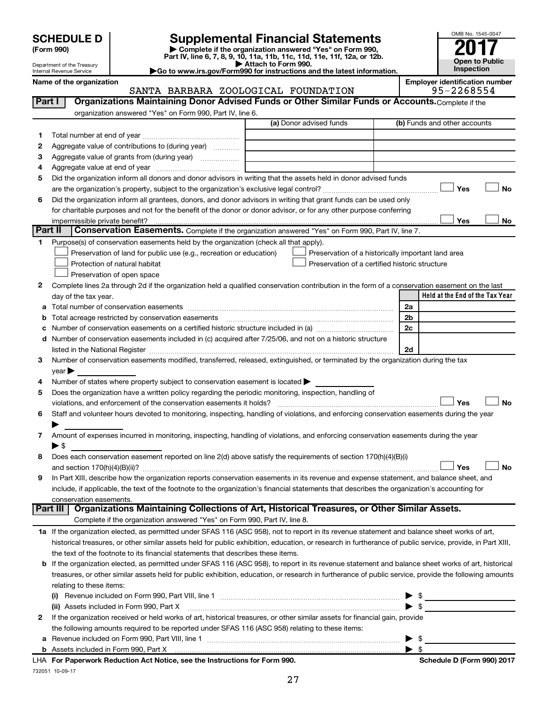| <b>SCHEDULE D</b> |  |
|-------------------|--|
|-------------------|--|

Department of the Treasury Internal Revenue Service

732051 10-09-17

**(Form 990) | Complete if the organization answered "Yes" on Form 990, Part IV, line 6, 7, 8, 9, 10, 11a, 11b, 11c, 11d, 11e, 11f, 12a, or 12b. SCHEDULE D Supplemental Financial Statements**<br> **Form 990 2017**<br> **Part IV** line 6.7.8.9.10, 11a, 11b, 11d, 11d, 11d, 11d, 11d, 12a, 0r, 12b

**| Attach to Form 990. |Go to www.irs.gov/Form990 for instructions and the latest information.**



|  | Name of the organizatio |
|--|-------------------------|
|  |                         |

### on **Name of the organization SANTA BARBARA ZOOLOGICAL FOUNDATION Employer identification number**<br>95-2268554 SANTA BARBARA ZOOLOGICAL FOUNDATION

| Part I  | Organizations Maintaining Donor Advised Funds or Other Similar Funds or Accounts. Complete if the                                                                                                                              |                                                    |                                 |
|---------|--------------------------------------------------------------------------------------------------------------------------------------------------------------------------------------------------------------------------------|----------------------------------------------------|---------------------------------|
|         | organization answered "Yes" on Form 990, Part IV, line 6.                                                                                                                                                                      |                                                    |                                 |
|         |                                                                                                                                                                                                                                | (a) Donor advised funds                            | (b) Funds and other accounts    |
| 1.      |                                                                                                                                                                                                                                |                                                    |                                 |
| 2       | Aggregate value of contributions to (during year)                                                                                                                                                                              |                                                    |                                 |
| 3       | Aggregate value of grants from (during year)                                                                                                                                                                                   |                                                    |                                 |
| 4       |                                                                                                                                                                                                                                |                                                    |                                 |
| 5       | Did the organization inform all donors and donor advisors in writing that the assets held in donor advised funds                                                                                                               |                                                    |                                 |
|         |                                                                                                                                                                                                                                |                                                    | Yes<br>No                       |
| 6       | Did the organization inform all grantees, donors, and donor advisors in writing that grant funds can be used only                                                                                                              |                                                    |                                 |
|         | for charitable purposes and not for the benefit of the donor or donor advisor, or for any other purpose conferring                                                                                                             |                                                    |                                 |
|         | impermissible private benefit?                                                                                                                                                                                                 |                                                    | Yes<br>No                       |
| Part II | Conservation Easements. Complete if the organization answered "Yes" on Form 990, Part IV, line 7.                                                                                                                              |                                                    |                                 |
| 1.      | Purpose(s) of conservation easements held by the organization (check all that apply).                                                                                                                                          |                                                    |                                 |
|         | Preservation of land for public use (e.g., recreation or education)                                                                                                                                                            | Preservation of a historically important land area |                                 |
|         | Protection of natural habitat                                                                                                                                                                                                  | Preservation of a certified historic structure     |                                 |
|         | Preservation of open space                                                                                                                                                                                                     |                                                    |                                 |
| 2       | Complete lines 2a through 2d if the organization held a qualified conservation contribution in the form of a conservation easement on the last                                                                                 |                                                    |                                 |
|         | day of the tax year.                                                                                                                                                                                                           |                                                    | Held at the End of the Tax Year |
|         |                                                                                                                                                                                                                                |                                                    | 2a                              |
|         | <b>b</b> Total acreage restricted by conservation easements                                                                                                                                                                    |                                                    | 2b                              |
|         | Number of conservation easements on a certified historic structure included in (a) manufacture included in (a)                                                                                                                 |                                                    | 2c                              |
|         | d Number of conservation easements included in (c) acquired after 7/25/06, and not on a historic structure                                                                                                                     |                                                    |                                 |
|         | listed in the National Register [11, 11] The Marian Community of the National Property of the National Register [11] The Marian Community of the National Register [11] The Marian Community of the National Property of the N |                                                    | 2d                              |
| 3       | Number of conservation easements modified, transferred, released, extinguished, or terminated by the organization during the tax                                                                                               |                                                    |                                 |
|         | $year \blacktriangleright$                                                                                                                                                                                                     |                                                    |                                 |
| 4       | Number of states where property subject to conservation easement is located >                                                                                                                                                  |                                                    |                                 |
| 5       | Does the organization have a written policy regarding the periodic monitoring, inspection, handling of                                                                                                                         |                                                    |                                 |
|         | violations, and enforcement of the conservation easements it holds?                                                                                                                                                            |                                                    | Yes<br><b>No</b>                |
| 6       | Staff and volunteer hours devoted to monitoring, inspecting, handling of violations, and enforcing conservation easements during the year                                                                                      |                                                    |                                 |
|         | Amount of expenses incurred in monitoring, inspecting, handling of violations, and enforcing conservation easements during the year                                                                                            |                                                    |                                 |
| 7       | $\blacktriangleright$ \$                                                                                                                                                                                                       |                                                    |                                 |
| 8       | Does each conservation easement reported on line 2(d) above satisfy the requirements of section 170(h)(4)(B)(i)                                                                                                                |                                                    |                                 |
|         |                                                                                                                                                                                                                                |                                                    | <b>No</b><br>Yes                |
| 9       | In Part XIII, describe how the organization reports conservation easements in its revenue and expense statement, and balance sheet, and                                                                                        |                                                    |                                 |
|         | include, if applicable, the text of the footnote to the organization's financial statements that describes the organization's accounting for                                                                                   |                                                    |                                 |
|         | conservation easements.                                                                                                                                                                                                        |                                                    |                                 |
|         | Organizations Maintaining Collections of Art, Historical Treasures, or Other Similar Assets.<br>Part III                                                                                                                       |                                                    |                                 |
|         | Complete if the organization answered "Yes" on Form 990, Part IV, line 8.                                                                                                                                                      |                                                    |                                 |
|         | 1a If the organization elected, as permitted under SFAS 116 (ASC 958), not to report in its revenue statement and balance sheet works of art,                                                                                  |                                                    |                                 |
|         | historical treasures, or other similar assets held for public exhibition, education, or research in furtherance of public service, provide, in Part XIII,                                                                      |                                                    |                                 |
|         | the text of the footnote to its financial statements that describes these items.                                                                                                                                               |                                                    |                                 |
|         | b If the organization elected, as permitted under SFAS 116 (ASC 958), to report in its revenue statement and balance sheet works of art, historical                                                                            |                                                    |                                 |
|         | treasures, or other similar assets held for public exhibition, education, or research in furtherance of public service, provide the following amounts                                                                          |                                                    |                                 |
|         | relating to these items:                                                                                                                                                                                                       |                                                    |                                 |
|         | (i) Revenue included on Form 990, Part VIII, line 1 $\ldots$ $\ldots$ $\ldots$ $\ldots$ $\ldots$ $\ldots$ $\ldots$ $\ldots$ $\ldots$ $\ldots$ $\ldots$                                                                         |                                                    |                                 |
|         |                                                                                                                                                                                                                                |                                                    |                                 |
| 2       | If the organization received or held works of art, historical treasures, or other similar assets for financial gain, provide                                                                                                   |                                                    |                                 |
|         | the following amounts required to be reported under SFAS 116 (ASC 958) relating to these items:                                                                                                                                |                                                    |                                 |
|         |                                                                                                                                                                                                                                |                                                    | $\blacktriangleright$ s         |
|         |                                                                                                                                                                                                                                |                                                    | $\blacktriangleright$ \$        |
|         | LHA For Paperwork Reduction Act Notice, see the Instructions for Form 990.                                                                                                                                                     |                                                    | Schedule D (Form 990) 2017      |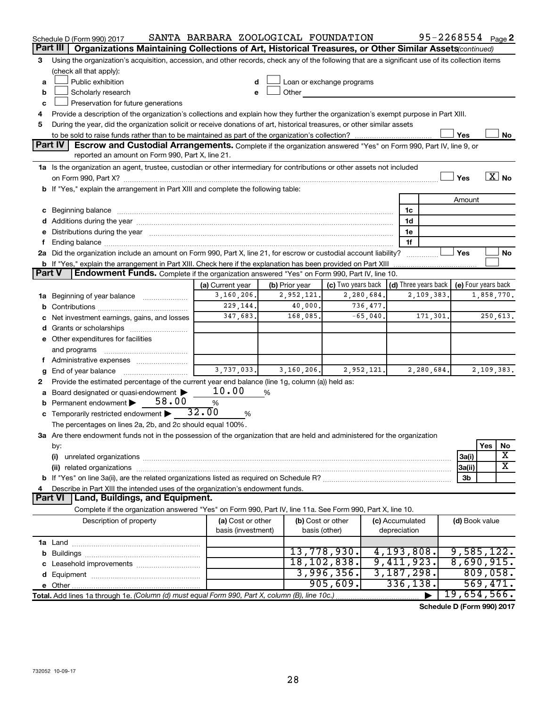|               | Schedule D (Form 990) 2017                                                                                                                                                                                                     | SANTA BARBARA ZOOLOGICAL FOUNDATION |                |                                                                                                                                                                                                                               |                 |              | $95 - 2268554$ Page 2 |                                       |            |                   |  |
|---------------|--------------------------------------------------------------------------------------------------------------------------------------------------------------------------------------------------------------------------------|-------------------------------------|----------------|-------------------------------------------------------------------------------------------------------------------------------------------------------------------------------------------------------------------------------|-----------------|--------------|-----------------------|---------------------------------------|------------|-------------------|--|
|               | Part III<br>Organizations Maintaining Collections of Art, Historical Treasures, or Other Similar Assets(continued)                                                                                                             |                                     |                |                                                                                                                                                                                                                               |                 |              |                       |                                       |            |                   |  |
| 3             | Using the organization's acquisition, accession, and other records, check any of the following that are a significant use of its collection items                                                                              |                                     |                |                                                                                                                                                                                                                               |                 |              |                       |                                       |            |                   |  |
|               | (check all that apply):                                                                                                                                                                                                        |                                     |                |                                                                                                                                                                                                                               |                 |              |                       |                                       |            |                   |  |
| a             | Public exhibition                                                                                                                                                                                                              |                                     |                | Loan or exchange programs                                                                                                                                                                                                     |                 |              |                       |                                       |            |                   |  |
| b             | Scholarly research                                                                                                                                                                                                             |                                     |                | Other and the contract of the contract of the contract of the contract of the contract of the contract of the contract of the contract of the contract of the contract of the contract of the contract of the contract of the |                 |              |                       |                                       |            |                   |  |
| c             | Preservation for future generations                                                                                                                                                                                            |                                     |                |                                                                                                                                                                                                                               |                 |              |                       |                                       |            |                   |  |
| 4             | Provide a description of the organization's collections and explain how they further the organization's exempt purpose in Part XIII.                                                                                           |                                     |                |                                                                                                                                                                                                                               |                 |              |                       |                                       |            |                   |  |
| 5             | During the year, did the organization solicit or receive donations of art, historical treasures, or other similar assets                                                                                                       |                                     |                |                                                                                                                                                                                                                               |                 |              |                       |                                       |            |                   |  |
|               |                                                                                                                                                                                                                                |                                     |                |                                                                                                                                                                                                                               |                 |              |                       | Yes                                   |            | No                |  |
|               | <b>Part IV</b><br><b>Escrow and Custodial Arrangements.</b> Complete if the organization answered "Yes" on Form 990, Part IV, line 9, or<br>reported an amount on Form 990, Part X, line 21.                                   |                                     |                |                                                                                                                                                                                                                               |                 |              |                       |                                       |            |                   |  |
|               |                                                                                                                                                                                                                                |                                     |                |                                                                                                                                                                                                                               |                 |              |                       |                                       |            |                   |  |
|               | 1a Is the organization an agent, trustee, custodian or other intermediary for contributions or other assets not included                                                                                                       |                                     |                |                                                                                                                                                                                                                               |                 |              |                       | Yes                                   |            | $\overline{X}$ No |  |
|               | b If "Yes," explain the arrangement in Part XIII and complete the following table:                                                                                                                                             |                                     |                |                                                                                                                                                                                                                               |                 |              |                       |                                       |            |                   |  |
|               |                                                                                                                                                                                                                                |                                     |                |                                                                                                                                                                                                                               |                 |              |                       | Amount                                |            |                   |  |
|               | c Beginning balance measurements and the contract of the contract of the contract of the contract of the contract of the contract of the contract of the contract of the contract of the contract of the contract of the contr |                                     |                |                                                                                                                                                                                                                               |                 | 1c           |                       |                                       |            |                   |  |
|               |                                                                                                                                                                                                                                |                                     |                |                                                                                                                                                                                                                               |                 | 1d           |                       |                                       |            |                   |  |
|               | e Distributions during the year manufactured and contain an account of the year manufactured and the year manufactured and the year manufactured and the year manufactured and the year manufactured and the year manufactured |                                     |                |                                                                                                                                                                                                                               |                 | 1e           |                       |                                       |            |                   |  |
|               |                                                                                                                                                                                                                                |                                     |                |                                                                                                                                                                                                                               |                 | 1f           |                       |                                       |            |                   |  |
|               | 2a Did the organization include an amount on Form 990, Part X, line 21, for escrow or custodial account liability?                                                                                                             |                                     |                |                                                                                                                                                                                                                               |                 |              |                       | Yes                                   |            | No                |  |
|               | <b>b</b> If "Yes," explain the arrangement in Part XIII. Check here if the explanation has been provided on Part XIII                                                                                                          |                                     |                |                                                                                                                                                                                                                               |                 |              |                       |                                       |            |                   |  |
| <b>Part V</b> | Endowment Funds. Complete if the organization answered "Yes" on Form 990, Part IV, line 10.                                                                                                                                    |                                     |                |                                                                                                                                                                                                                               |                 |              |                       |                                       |            |                   |  |
|               |                                                                                                                                                                                                                                | (a) Current year                    | (b) Prior year | (c) Two years back $ $ (d) Three years back $ $                                                                                                                                                                               |                 |              |                       | (e) Four years back                   |            |                   |  |
|               | 1a Beginning of year balance                                                                                                                                                                                                   | 3,160,206.                          | 2,952,121.     | 2,280,684.                                                                                                                                                                                                                    |                 |              | 2,109,383             |                                       | 1,858,770. |                   |  |
|               |                                                                                                                                                                                                                                | 229, 144.                           | 40,000.        | 736,477.                                                                                                                                                                                                                      |                 |              |                       |                                       |            |                   |  |
|               | c Net investment earnings, gains, and losses                                                                                                                                                                                   | 347,683.                            | 168,085.       | $-65,040.$                                                                                                                                                                                                                    |                 |              | 171,301.              |                                       | 250,613.   |                   |  |
|               |                                                                                                                                                                                                                                |                                     |                |                                                                                                                                                                                                                               |                 |              |                       |                                       |            |                   |  |
|               | e Other expenditures for facilities                                                                                                                                                                                            |                                     |                |                                                                                                                                                                                                                               |                 |              |                       |                                       |            |                   |  |
|               | and programs                                                                                                                                                                                                                   |                                     |                |                                                                                                                                                                                                                               |                 |              |                       |                                       |            |                   |  |
|               | f Administrative expenses                                                                                                                                                                                                      |                                     |                |                                                                                                                                                                                                                               |                 |              |                       |                                       |            |                   |  |
|               | <b>g</b> End of year balance $\ldots$                                                                                                                                                                                          | 3,737,033.                          | 3,160,206.     | 2,952,121.                                                                                                                                                                                                                    |                 |              | 2,280,684.            |                                       | 2,109,383. |                   |  |
| 2             | Provide the estimated percentage of the current year end balance (line 1g, column (a)) held as:                                                                                                                                |                                     |                |                                                                                                                                                                                                                               |                 |              |                       |                                       |            |                   |  |
|               | a Board designated or quasi-endowment >                                                                                                                                                                                        | 10.00                               | %              |                                                                                                                                                                                                                               |                 |              |                       |                                       |            |                   |  |
|               | <b>b</b> Permanent endowment $\triangleright$ 58.00                                                                                                                                                                            | %                                   |                |                                                                                                                                                                                                                               |                 |              |                       |                                       |            |                   |  |
|               | <b>c</b> Temporarily restricted endowment $\triangleright$ 32.00                                                                                                                                                               | %                                   |                |                                                                                                                                                                                                                               |                 |              |                       |                                       |            |                   |  |
|               | The percentages on lines 2a, 2b, and 2c should equal 100%.                                                                                                                                                                     |                                     |                |                                                                                                                                                                                                                               |                 |              |                       |                                       |            |                   |  |
|               | 3a Are there endowment funds not in the possession of the organization that are held and administered for the organization                                                                                                     |                                     |                |                                                                                                                                                                                                                               |                 |              |                       |                                       | Yes        |                   |  |
|               | by:<br>(i)                                                                                                                                                                                                                     |                                     |                |                                                                                                                                                                                                                               |                 |              |                       | 3a(i)                                 |            | No<br>X           |  |
|               |                                                                                                                                                                                                                                |                                     |                |                                                                                                                                                                                                                               |                 |              |                       | 3a(ii)                                |            | x                 |  |
|               |                                                                                                                                                                                                                                |                                     |                |                                                                                                                                                                                                                               |                 |              |                       | 3b                                    |            |                   |  |
| 4             | Describe in Part XIII the intended uses of the organization's endowment funds.                                                                                                                                                 |                                     |                |                                                                                                                                                                                                                               |                 |              |                       |                                       |            |                   |  |
|               | Land, Buildings, and Equipment.<br><b>Part VI</b>                                                                                                                                                                              |                                     |                |                                                                                                                                                                                                                               |                 |              |                       |                                       |            |                   |  |
|               | Complete if the organization answered "Yes" on Form 990, Part IV, line 11a. See Form 990, Part X, line 10.                                                                                                                     |                                     |                |                                                                                                                                                                                                                               |                 |              |                       |                                       |            |                   |  |
|               | Description of property                                                                                                                                                                                                        | (a) Cost or other                   |                | (b) Cost or other                                                                                                                                                                                                             | (c) Accumulated |              |                       | (d) Book value                        |            |                   |  |
|               |                                                                                                                                                                                                                                | basis (investment)                  |                | basis (other)                                                                                                                                                                                                                 |                 | depreciation |                       |                                       |            |                   |  |
|               |                                                                                                                                                                                                                                |                                     |                |                                                                                                                                                                                                                               |                 |              |                       |                                       |            |                   |  |
|               |                                                                                                                                                                                                                                |                                     |                | 13,778,930.                                                                                                                                                                                                                   |                 | 4, 193, 808. |                       | 9,585,122.                            |            |                   |  |
|               |                                                                                                                                                                                                                                |                                     |                | 18, 102, 838.                                                                                                                                                                                                                 |                 | 9,411,923.   |                       | 8,690,915.                            |            |                   |  |
|               |                                                                                                                                                                                                                                |                                     |                | 3,996,356.                                                                                                                                                                                                                    |                 | 3,187,298.   |                       |                                       | 809,058.   |                   |  |
|               |                                                                                                                                                                                                                                |                                     |                | 905,609.                                                                                                                                                                                                                      |                 | 336, 138.    |                       |                                       | 569,471.   |                   |  |
|               | Total. Add lines 1a through 1e. (Column (d) must equal Form 990, Part X, column (B), line 10c.)                                                                                                                                |                                     |                |                                                                                                                                                                                                                               |                 |              |                       | 19,654,566.                           |            |                   |  |
|               |                                                                                                                                                                                                                                |                                     |                |                                                                                                                                                                                                                               |                 |              |                       | $d_{\text{obs}} = 5$ (Ferma 000) 0047 |            |                   |  |

**Schedule D (Form 990) 2017**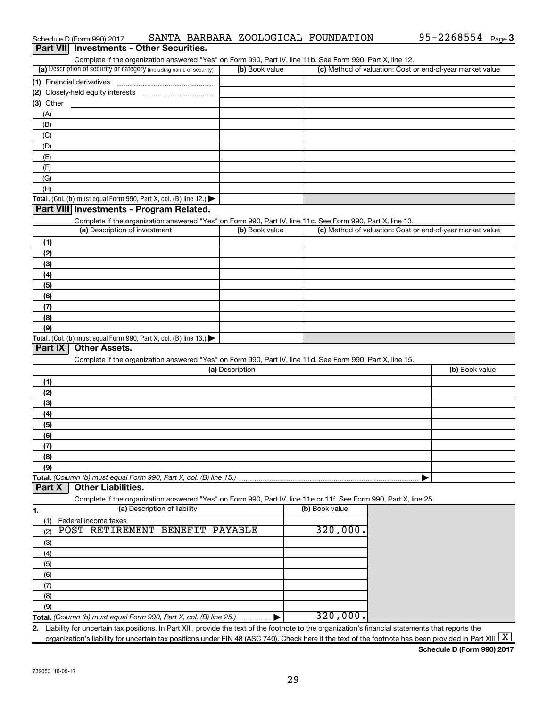| Complete if the organization answered "Yes" on Form 990, Part IV, line 11b. See Form 990, Part X, line 12.                                                             |                 |                                                                                                            |                                                           |
|------------------------------------------------------------------------------------------------------------------------------------------------------------------------|-----------------|------------------------------------------------------------------------------------------------------------|-----------------------------------------------------------|
| (a) Description of security or category (including name of security)                                                                                                   | (b) Book value  |                                                                                                            | (c) Method of valuation: Cost or end-of-year market value |
| (1) Financial derivatives                                                                                                                                              |                 |                                                                                                            |                                                           |
|                                                                                                                                                                        |                 |                                                                                                            |                                                           |
| $(3)$ Other                                                                                                                                                            |                 |                                                                                                            |                                                           |
| (A)                                                                                                                                                                    |                 |                                                                                                            |                                                           |
| (B)                                                                                                                                                                    |                 |                                                                                                            |                                                           |
| (C)                                                                                                                                                                    |                 |                                                                                                            |                                                           |
| (D)                                                                                                                                                                    |                 |                                                                                                            |                                                           |
| (E)                                                                                                                                                                    |                 |                                                                                                            |                                                           |
| (F)                                                                                                                                                                    |                 |                                                                                                            |                                                           |
| (G)                                                                                                                                                                    |                 |                                                                                                            |                                                           |
| (H)                                                                                                                                                                    |                 |                                                                                                            |                                                           |
| Total. (Col. (b) must equal Form 990, Part X, col. (B) line 12.)                                                                                                       |                 |                                                                                                            |                                                           |
| Part VIII Investments - Program Related.                                                                                                                               |                 |                                                                                                            |                                                           |
| Complete if the organization answered "Yes" on Form 990, Part IV, line 11c. See Form 990, Part X, line 13.                                                             |                 |                                                                                                            |                                                           |
| (a) Description of investment                                                                                                                                          | (b) Book value  |                                                                                                            | (c) Method of valuation: Cost or end-of-year market value |
| (1)                                                                                                                                                                    |                 |                                                                                                            |                                                           |
| (2)                                                                                                                                                                    |                 |                                                                                                            |                                                           |
| (3)                                                                                                                                                                    |                 |                                                                                                            |                                                           |
| (4)                                                                                                                                                                    |                 |                                                                                                            |                                                           |
| (5)                                                                                                                                                                    |                 |                                                                                                            |                                                           |
| (6)                                                                                                                                                                    |                 |                                                                                                            |                                                           |
| (7)                                                                                                                                                                    |                 |                                                                                                            |                                                           |
| (8)                                                                                                                                                                    |                 |                                                                                                            |                                                           |
| (9)                                                                                                                                                                    |                 |                                                                                                            |                                                           |
| Total. (Col. (b) must equal Form 990, Part X, col. (B) line 13.)                                                                                                       |                 |                                                                                                            |                                                           |
| <b>Part IX</b><br><b>Other Assets.</b>                                                                                                                                 |                 |                                                                                                            |                                                           |
|                                                                                                                                                                        |                 |                                                                                                            |                                                           |
|                                                                                                                                                                        |                 | Complete if the organization answered "Yes" on Form 990, Part IV, line 11d. See Form 990, Part X, line 15. |                                                           |
|                                                                                                                                                                        | (a) Description |                                                                                                            | (b) Book value                                            |
| (1)                                                                                                                                                                    |                 |                                                                                                            |                                                           |
| (2)                                                                                                                                                                    |                 |                                                                                                            |                                                           |
| (3)                                                                                                                                                                    |                 |                                                                                                            |                                                           |
| (4)                                                                                                                                                                    |                 |                                                                                                            |                                                           |
|                                                                                                                                                                        |                 |                                                                                                            |                                                           |
| (5)                                                                                                                                                                    |                 |                                                                                                            |                                                           |
| (6)                                                                                                                                                                    |                 |                                                                                                            |                                                           |
| (7)<br>(8)                                                                                                                                                             |                 |                                                                                                            |                                                           |
|                                                                                                                                                                        |                 |                                                                                                            |                                                           |
| (9)                                                                                                                                                                    |                 |                                                                                                            |                                                           |
| <b>Other Liabilities.</b>                                                                                                                                              |                 |                                                                                                            |                                                           |
|                                                                                                                                                                        |                 |                                                                                                            |                                                           |
| Complete if the organization answered "Yes" on Form 990, Part IV, line 11e or 11f. See Form 990, Part X, line 25.<br>(a) Description of liability                      |                 | (b) Book value                                                                                             |                                                           |
|                                                                                                                                                                        |                 |                                                                                                            |                                                           |
| Federal income taxes<br>(1)<br>POST RETIREMENT BENEFIT<br>(2)                                                                                                          | PAYABLE         | 320,000.                                                                                                   |                                                           |
|                                                                                                                                                                        |                 |                                                                                                            |                                                           |
| (3)                                                                                                                                                                    |                 |                                                                                                            |                                                           |
| (4)                                                                                                                                                                    |                 |                                                                                                            |                                                           |
| (5)                                                                                                                                                                    |                 |                                                                                                            |                                                           |
| (6)                                                                                                                                                                    |                 |                                                                                                            |                                                           |
| (7)                                                                                                                                                                    |                 |                                                                                                            |                                                           |
| (8)                                                                                                                                                                    |                 |                                                                                                            |                                                           |
| Total. (Column (b) must equal Form 990, Part X, col. (B) line 15.)<br><b>Part X</b><br>1.<br>(9)<br>Total. (Column (b) must equal Form 990, Part X, col. (B) line 25.) |                 | 320,000.                                                                                                   |                                                           |

Schedule D (Form 990) 2017 SANTA BARBARA ZOOLOGICAL FOUNDATION 95-2268554 Page

**Schedule D (Form 990) 2017**

95-2268554 Page 3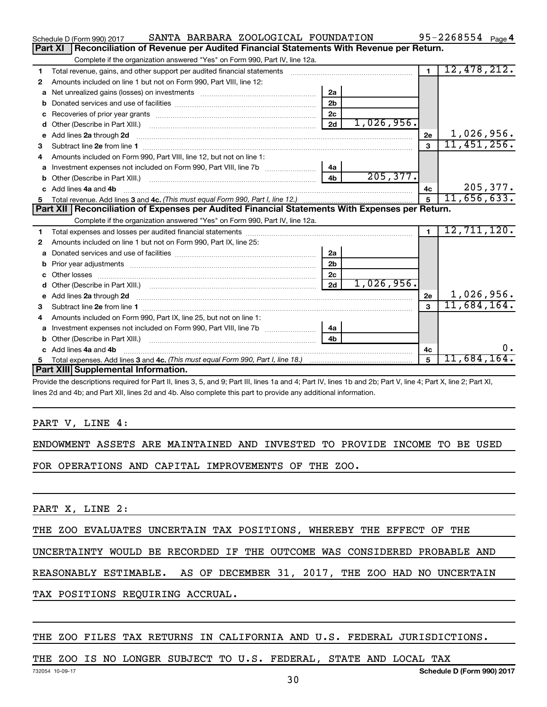| SANTA BARBARA ZOOLOGICAL FOUNDATION<br>Schedule D (Form 990) 2017                                                            |                |            |                | 95-2268554 $_{Page 4}$ |
|------------------------------------------------------------------------------------------------------------------------------|----------------|------------|----------------|------------------------|
| Part XI<br>Reconciliation of Revenue per Audited Financial Statements With Revenue per Return.                               |                |            |                |                        |
| Complete if the organization answered "Yes" on Form 990, Part IV, line 12a.                                                  |                |            |                |                        |
| Total revenue, gains, and other support per audited financial statements<br>1                                                |                |            | $\blacksquare$ | 12,478,212.            |
| Amounts included on line 1 but not on Form 990, Part VIII, line 12:<br>2                                                     |                |            |                |                        |
| a                                                                                                                            | 2a             |            |                |                        |
|                                                                                                                              | 2 <sub>b</sub> |            |                |                        |
|                                                                                                                              | 2 <sub>c</sub> |            |                |                        |
| d                                                                                                                            | 2d             | 1,026,956. |                |                        |
| Add lines 2a through 2d<br>е                                                                                                 |                |            | <b>2e</b>      | 1,026,956.             |
| З                                                                                                                            |                |            | $\mathbf{3}$   | 11,451,256.            |
| Amounts included on Form 990, Part VIII, line 12, but not on line 1:<br>4                                                    |                |            |                |                        |
|                                                                                                                              | 4а             |            |                |                        |
|                                                                                                                              | 4 <sub>b</sub> | 205, 377.  |                |                        |
| c Add lines 4a and 4b                                                                                                        |                |            | 4c             | 205, 377.              |
|                                                                                                                              |                |            | $5^{\circ}$    | 11,656,633.            |
|                                                                                                                              |                |            |                |                        |
| Part XII Reconciliation of Expenses per Audited Financial Statements With Expenses per Return.                               |                |            |                |                        |
| Complete if the organization answered "Yes" on Form 990, Part IV, line 12a.                                                  |                |            |                |                        |
| 1                                                                                                                            |                |            | $\blacksquare$ | 12, 711, 120.          |
| Amounts included on line 1 but not on Form 990, Part IX, line 25:<br>2                                                       |                |            |                |                        |
| a                                                                                                                            | 2a             |            |                |                        |
| b                                                                                                                            | 2 <sub>b</sub> |            |                |                        |
| Other losses                                                                                                                 | 2c             |            |                |                        |
| d                                                                                                                            | 2d             | 1,026,956. |                |                        |
| Add lines 2a through 2d <b>continuum contract and all contract and all contract and all contract and all contract a</b><br>e |                |            | 2e             | 1,026,956.             |
| з                                                                                                                            |                |            | $\mathbf{a}$   | 11,684,164.            |
| Amounts included on Form 990, Part IX, line 25, but not on line 1:<br>4                                                      |                |            |                |                        |
| a                                                                                                                            | 4a             |            |                |                        |
| Other (Describe in Part XIII.)                                                                                               | 4 <sub>b</sub> |            |                |                        |
| Add lines 4a and 4b                                                                                                          |                |            | 4c             | 0.                     |
| 5<br>Part XIII Supplemental Information.                                                                                     |                |            | 5              | 11,684,164.            |

Provide the descriptions required for Part II, lines 3, 5, and 9; Part III, lines 1a and 4; Part IV, lines 1b and 2b; Part V, line 4; Part X, line 2; Part XI, lines 2d and 4b; and Part XII, lines 2d and 4b. Also complete this part to provide any additional information.

## PART V, LINE 4:

ENDOWMENT ASSETS ARE MAINTAINED AND INVESTED TO PROVIDE INCOME TO BE USED

FOR OPERATIONS AND CAPITAL IMPROVEMENTS OF THE ZOO.

PART X, LINE 2:

THE ZOO EVALUATES UNCERTAIN TAX POSITIONS, WHEREBY THE EFFECT OF THE

UNCERTAINTY WOULD BE RECORDED IF THE OUTCOME WAS CONSIDERED PROBABLE AND

REASONABLY ESTIMABLE. AS OF DECEMBER 31, 2017, THE ZOO HAD NO UNCERTAIN

TAX POSITIONS REQUIRING ACCRUAL.

## THE ZOO FILES TAX RETURNS IN CALIFORNIA AND U.S. FEDERAL JURISDICTIONS.

# THE ZOO IS NO LONGER SUBJECT TO U.S. FEDERAL, STATE AND LOCAL TAX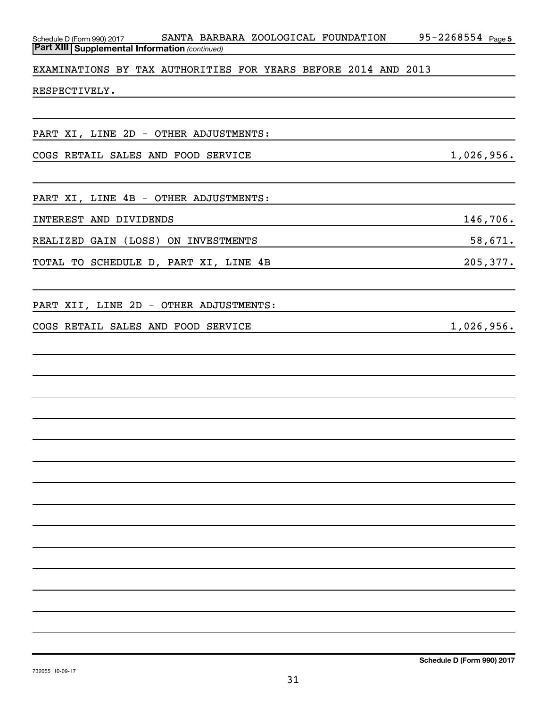| SANTA BARBARA ZOOLOGICAL FOUNDATION<br>Schedule D (Form 990) 2017<br><b>Part XIII Supplemental Information (continued)</b> | $95 - 2268554$ Page 5 |
|----------------------------------------------------------------------------------------------------------------------------|-----------------------|
|                                                                                                                            |                       |
| EXAMINATIONS BY TAX AUTHORITIES FOR YEARS BEFORE 2014 AND 2013                                                             |                       |
| RESPECTIVELY.                                                                                                              |                       |
|                                                                                                                            |                       |
| PART XI, LINE 2D - OTHER ADJUSTMENTS:                                                                                      |                       |
| COGS RETAIL SALES AND FOOD SERVICE                                                                                         | 1,026,956.            |
|                                                                                                                            |                       |
| PART XI, LINE 4B - OTHER ADJUSTMENTS:                                                                                      |                       |
| INTEREST AND DIVIDENDS                                                                                                     | 146,706.              |
| REALIZED GAIN (LOSS)<br>ON INVESTMENTS                                                                                     | 58,671.               |
| TOTAL TO SCHEDULE D, PART XI, LINE 4B                                                                                      | 205, 377.             |
|                                                                                                                            |                       |
| PART XII, LINE 2D - OTHER ADJUSTMENTS:                                                                                     |                       |
| COGS RETAIL SALES AND FOOD SERVICE                                                                                         | 1,026,956.            |
|                                                                                                                            |                       |
|                                                                                                                            |                       |
|                                                                                                                            |                       |
|                                                                                                                            |                       |
|                                                                                                                            |                       |
|                                                                                                                            |                       |
|                                                                                                                            |                       |
|                                                                                                                            |                       |
|                                                                                                                            |                       |
|                                                                                                                            |                       |
|                                                                                                                            |                       |
|                                                                                                                            |                       |
|                                                                                                                            |                       |
|                                                                                                                            |                       |
|                                                                                                                            |                       |
|                                                                                                                            |                       |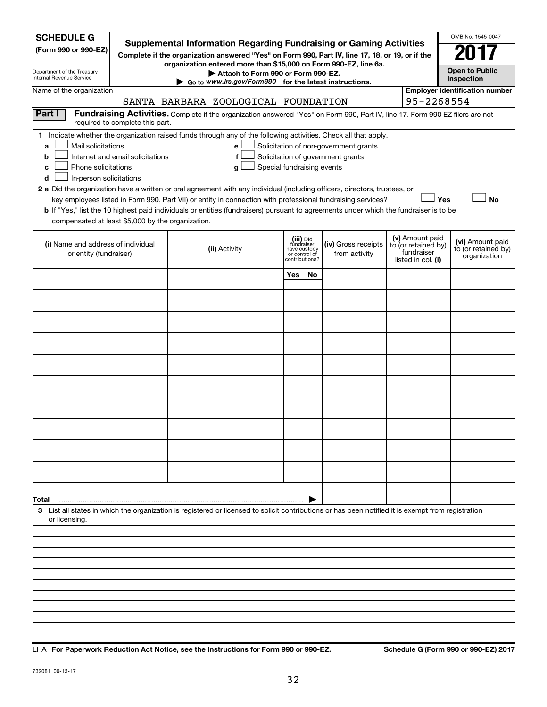| <b>SCHEDULE G</b><br>(Form 990 or 990-EZ)<br>Department of the Treasury<br><b>Internal Revenue Service</b>                                                                                                                                                                                                                                                                                                                                                                                                                                                                  | <b>Supplemental Information Regarding Fundraising or Gaming Activities</b><br>Complete if the organization answered "Yes" on Form 990, Part IV, line 17, 18, or 19, or if the<br>organization entered more than \$15,000 on Form 990-EZ, line 6a.<br>Attach to Form 990 or Form 990-EZ.<br>Go to www.irs.gov/Form990 for the latest instructions. |                                |                                          |                                                                            |  |                                                                            | OMB No. 1545-0047<br><b>Open to Public</b><br>Inspection |
|-----------------------------------------------------------------------------------------------------------------------------------------------------------------------------------------------------------------------------------------------------------------------------------------------------------------------------------------------------------------------------------------------------------------------------------------------------------------------------------------------------------------------------------------------------------------------------|---------------------------------------------------------------------------------------------------------------------------------------------------------------------------------------------------------------------------------------------------------------------------------------------------------------------------------------------------|--------------------------------|------------------------------------------|----------------------------------------------------------------------------|--|----------------------------------------------------------------------------|----------------------------------------------------------|
| Name of the organization                                                                                                                                                                                                                                                                                                                                                                                                                                                                                                                                                    | SANTA BARBARA ZOOLOGICAL FOUNDATION                                                                                                                                                                                                                                                                                                               |                                |                                          |                                                                            |  | 95-2268554                                                                 | <b>Employer identification number</b>                    |
| Part I<br>required to complete this part.                                                                                                                                                                                                                                                                                                                                                                                                                                                                                                                                   | Fundraising Activities. Complete if the organization answered "Yes" on Form 990, Part IV, line 17. Form 990-EZ filers are not                                                                                                                                                                                                                     |                                |                                          |                                                                            |  |                                                                            |                                                          |
| 1 Indicate whether the organization raised funds through any of the following activities. Check all that apply.<br>Mail solicitations<br>a<br>Internet and email solicitations<br>b<br>Phone solicitations<br>c<br>In-person solicitations<br>d<br>2 a Did the organization have a written or oral agreement with any individual (including officers, directors, trustees, or<br>b If "Yes," list the 10 highest paid individuals or entities (fundraisers) pursuant to agreements under which the fundraiser is to be<br>compensated at least \$5,000 by the organization. | e<br>f<br>Special fundraising events<br>g<br>key employees listed in Form 990, Part VII) or entity in connection with professional fundraising services?                                                                                                                                                                                          |                                |                                          | Solicitation of non-government grants<br>Solicitation of government grants |  | Yes                                                                        | <b>No</b>                                                |
| (i) Name and address of individual<br>or entity (fundraiser)                                                                                                                                                                                                                                                                                                                                                                                                                                                                                                                | (ii) Activity                                                                                                                                                                                                                                                                                                                                     | have custody<br>contributions? | (iii) Did<br>fundraiser<br>or control of | (iv) Gross receipts<br>from activity                                       |  | (v) Amount paid<br>to (or retained by)<br>fundraiser<br>listed in col. (i) | (vi) Amount paid<br>to (or retained by)<br>organization  |
|                                                                                                                                                                                                                                                                                                                                                                                                                                                                                                                                                                             |                                                                                                                                                                                                                                                                                                                                                   | Yes                            | No.                                      |                                                                            |  |                                                                            |                                                          |
|                                                                                                                                                                                                                                                                                                                                                                                                                                                                                                                                                                             |                                                                                                                                                                                                                                                                                                                                                   |                                |                                          |                                                                            |  |                                                                            |                                                          |
|                                                                                                                                                                                                                                                                                                                                                                                                                                                                                                                                                                             |                                                                                                                                                                                                                                                                                                                                                   |                                |                                          |                                                                            |  |                                                                            |                                                          |
|                                                                                                                                                                                                                                                                                                                                                                                                                                                                                                                                                                             |                                                                                                                                                                                                                                                                                                                                                   |                                |                                          |                                                                            |  |                                                                            |                                                          |
|                                                                                                                                                                                                                                                                                                                                                                                                                                                                                                                                                                             |                                                                                                                                                                                                                                                                                                                                                   |                                |                                          |                                                                            |  |                                                                            |                                                          |
|                                                                                                                                                                                                                                                                                                                                                                                                                                                                                                                                                                             |                                                                                                                                                                                                                                                                                                                                                   |                                |                                          |                                                                            |  |                                                                            |                                                          |
|                                                                                                                                                                                                                                                                                                                                                                                                                                                                                                                                                                             |                                                                                                                                                                                                                                                                                                                                                   |                                |                                          |                                                                            |  |                                                                            |                                                          |
|                                                                                                                                                                                                                                                                                                                                                                                                                                                                                                                                                                             |                                                                                                                                                                                                                                                                                                                                                   |                                |                                          |                                                                            |  |                                                                            |                                                          |
|                                                                                                                                                                                                                                                                                                                                                                                                                                                                                                                                                                             |                                                                                                                                                                                                                                                                                                                                                   |                                |                                          |                                                                            |  |                                                                            |                                                          |
|                                                                                                                                                                                                                                                                                                                                                                                                                                                                                                                                                                             |                                                                                                                                                                                                                                                                                                                                                   |                                |                                          |                                                                            |  |                                                                            |                                                          |
| Total                                                                                                                                                                                                                                                                                                                                                                                                                                                                                                                                                                       |                                                                                                                                                                                                                                                                                                                                                   |                                |                                          |                                                                            |  |                                                                            |                                                          |
| 3 List all states in which the organization is registered or licensed to solicit contributions or has been notified it is exempt from registration<br>or licensing.                                                                                                                                                                                                                                                                                                                                                                                                         |                                                                                                                                                                                                                                                                                                                                                   |                                |                                          |                                                                            |  |                                                                            |                                                          |
|                                                                                                                                                                                                                                                                                                                                                                                                                                                                                                                                                                             |                                                                                                                                                                                                                                                                                                                                                   |                                |                                          |                                                                            |  |                                                                            |                                                          |
|                                                                                                                                                                                                                                                                                                                                                                                                                                                                                                                                                                             |                                                                                                                                                                                                                                                                                                                                                   |                                |                                          |                                                                            |  |                                                                            |                                                          |
|                                                                                                                                                                                                                                                                                                                                                                                                                                                                                                                                                                             |                                                                                                                                                                                                                                                                                                                                                   |                                |                                          |                                                                            |  |                                                                            |                                                          |
|                                                                                                                                                                                                                                                                                                                                                                                                                                                                                                                                                                             |                                                                                                                                                                                                                                                                                                                                                   |                                |                                          |                                                                            |  |                                                                            |                                                          |

**For Paperwork Reduction Act Notice, see the Instructions for Form 990 or 990-EZ. Schedule G (Form 990 or 990-EZ) 2017** LHA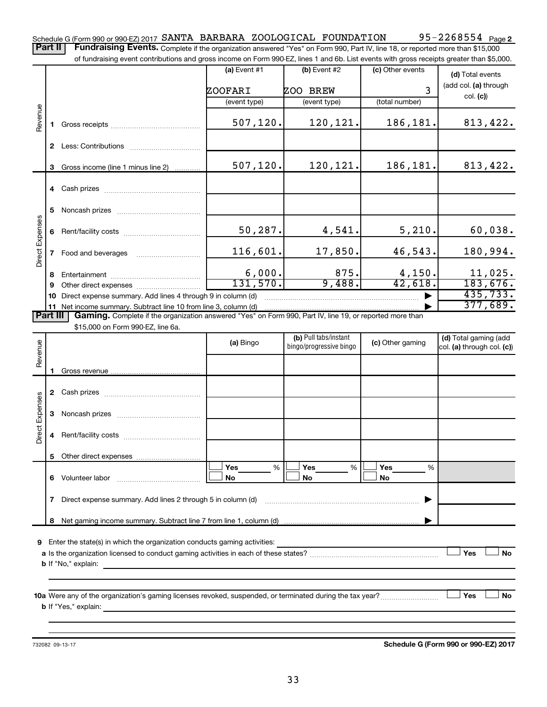95-2268554 <sub>Page 2</sub> Schedule G (Form 990 or 990-EZ) 2017  $SANTA$  BARBARA ZOOLOGICAL FOUNDATION 95-2268554  $Page$ 

Part II | Fundraising Events. Complete if the organization answered "Yes" on Form 990, Part IV, line 18, or reported more than \$15,000 of fundraising event contributions and gross income on Form 990-EZ, lines 1 and 6b. List events with gross receipts greater than \$5,000.

|                        |                |                                                                                                                                                                          | $(a)$ Event #1 | (b) Event #2            | (c) Other events | (d) Total events           |
|------------------------|----------------|--------------------------------------------------------------------------------------------------------------------------------------------------------------------------|----------------|-------------------------|------------------|----------------------------|
|                        |                |                                                                                                                                                                          | ZOOFARI        | ZOO BREW                | 3                | (add col. (a) through      |
|                        |                |                                                                                                                                                                          | (event type)   | (event type)            | (total number)   | col. (c)                   |
| Revenue                |                |                                                                                                                                                                          |                |                         |                  |                            |
|                        |                |                                                                                                                                                                          | 507, 120.      | 120,121.                | 186,181.         | 813,422.                   |
|                        |                |                                                                                                                                                                          |                |                         |                  |                            |
|                        |                |                                                                                                                                                                          |                |                         |                  |                            |
|                        | 3              | Gross income (line 1 minus line 2)                                                                                                                                       | 507, 120.      | 120,121.                | 186,181.         | 813,422.                   |
|                        |                |                                                                                                                                                                          |                |                         |                  |                            |
|                        |                |                                                                                                                                                                          |                |                         |                  |                            |
|                        |                |                                                                                                                                                                          |                |                         |                  |                            |
|                        | 5              |                                                                                                                                                                          |                |                         |                  |                            |
| <b>Direct Expenses</b> | 6              |                                                                                                                                                                          | 50,287.        | 4,541.                  | 5,210.           | 60,038.                    |
|                        |                |                                                                                                                                                                          |                |                         |                  |                            |
|                        | $\mathbf{7}$   |                                                                                                                                                                          | 116,601.       | 17,850.                 | 46,543.          | 180,994.                   |
|                        |                |                                                                                                                                                                          |                |                         |                  |                            |
|                        | 8              |                                                                                                                                                                          | 6,000.         | 875.                    | 4,150.           | 11,025.                    |
|                        | 9              |                                                                                                                                                                          | 131,570.       | 9,488.                  | 42,618.          | 183,676.                   |
|                        | 10             | Direct expense summary. Add lines 4 through 9 in column (d)                                                                                                              |                |                         |                  | 435,733.                   |
|                        | 11<br>Part III | Net income summary. Subtract line 10 from line 3, column (d)<br>Gaming. Complete if the organization answered "Yes" on Form 990, Part IV, line 19, or reported more than |                |                         |                  | 377,689.                   |
|                        |                | \$15,000 on Form 990-EZ, line 6a.                                                                                                                                        |                |                         |                  |                            |
|                        |                |                                                                                                                                                                          |                | (b) Pull tabs/instant   |                  | (d) Total gaming (add      |
| Revenue                |                |                                                                                                                                                                          | (a) Bingo      | bingo/progressive bingo | (c) Other gaming | col. (a) through col. (c)) |
|                        |                |                                                                                                                                                                          |                |                         |                  |                            |
|                        |                |                                                                                                                                                                          |                |                         |                  |                            |
|                        |                |                                                                                                                                                                          |                |                         |                  |                            |
|                        |                |                                                                                                                                                                          |                |                         |                  |                            |
| Direct Expenses        |                |                                                                                                                                                                          |                |                         |                  |                            |
|                        |                |                                                                                                                                                                          |                |                         |                  |                            |
|                        |                |                                                                                                                                                                          |                |                         |                  |                            |
|                        |                |                                                                                                                                                                          |                |                         |                  |                            |

**5** Other direct expenses **6** Volunteer labor **7** Direct expense summary. Add lines 2 through 5 in column (d) ~~~~~~~~~~~~~~~~~~~~~~~~ | **8** Net gaming income summary. Subtract line 7 from line 1, column (d) **Yes Yes Yes No No No** % % % Volunteer labor ~~~~~~~~~~~~~ |  $|\Box$  Yes  $\qquad \%$   $|\Box$  Yes  $\qquad \%$   $|\Box$  $|\Box$  No  $|\Box$  No  $|\Box$ 

**9** Enter the state(s) in which the organization conducts gaming activities:

| <b>a</b> Is the organization licensed to conduct gaming activities in each of these states? |  |  | No |
|---------------------------------------------------------------------------------------------|--|--|----|
| <b>b</b> If "No," explain:                                                                  |  |  |    |

**10 a Yes No** Were any of the organization's gaming licenses revoked, suspended, or terminated during the tax year? ~~~~~~~~~ † † **b** If "Yes," explain:

732082 09-13-17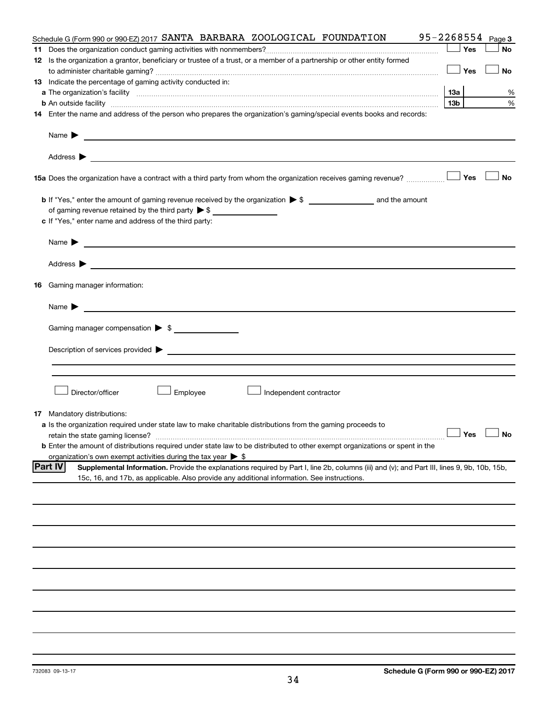| Schedule G (Form 990 or 990-EZ) 2017 SANTA BARBARA ZOOLOGICAL FOUNDATION                                                                                                                                                                                           |                 |     | $95 - 2268554$ Page 3 |
|--------------------------------------------------------------------------------------------------------------------------------------------------------------------------------------------------------------------------------------------------------------------|-----------------|-----|-----------------------|
|                                                                                                                                                                                                                                                                    |                 | Yes | <b>No</b>             |
| 12 Is the organization a grantor, beneficiary or trustee of a trust, or a member of a partnership or other entity formed                                                                                                                                           |                 |     |                       |
|                                                                                                                                                                                                                                                                    |                 | Yes | No                    |
| 13 Indicate the percentage of gaming activity conducted in:                                                                                                                                                                                                        |                 |     |                       |
|                                                                                                                                                                                                                                                                    | 13а             |     | %                     |
| <b>b</b> An outside facility <i>www.communicality communicality communicality communicality communically communically communically communically communically communically communically communically communically communically communi</i>                          | 13 <sub>b</sub> |     | %                     |
| 14 Enter the name and address of the person who prepares the organization's gaming/special events books and records:                                                                                                                                               |                 |     |                       |
| Name $\blacktriangleright$<br><u> 1989 - Johann Barn, fransk politik formuler (d. 1989)</u>                                                                                                                                                                        |                 |     |                       |
|                                                                                                                                                                                                                                                                    |                 |     |                       |
| 15a Does the organization have a contract with a third party from whom the organization receives gaming revenue?                                                                                                                                                   |                 | Yes | <b>No</b>             |
|                                                                                                                                                                                                                                                                    |                 |     |                       |
| of gaming revenue retained by the third party > \$                                                                                                                                                                                                                 |                 |     |                       |
| c If "Yes," enter name and address of the third party:                                                                                                                                                                                                             |                 |     |                       |
|                                                                                                                                                                                                                                                                    |                 |     |                       |
| <u>and the state of the state of the state of the state of the state of the state of the state of the state of the state of the state of the state of the state of the state of the state of the state of the state of the state</u><br>Name $\blacktriangleright$ |                 |     |                       |
| Address $\blacktriangleright$<br><u> 1989 - Jan Barbara (h. 1989).</u><br>Demografia                                                                                                                                                                               |                 |     |                       |
| 16 Gaming manager information:                                                                                                                                                                                                                                     |                 |     |                       |
| <u>and the contract of the contract of the contract of the contract of the contract of the contract of the contract of</u><br>Name $\blacktriangleright$                                                                                                           |                 |     |                       |
|                                                                                                                                                                                                                                                                    |                 |     |                       |
| Gaming manager compensation > \$                                                                                                                                                                                                                                   |                 |     |                       |
|                                                                                                                                                                                                                                                                    |                 |     |                       |
|                                                                                                                                                                                                                                                                    |                 |     |                       |
|                                                                                                                                                                                                                                                                    |                 |     |                       |
|                                                                                                                                                                                                                                                                    |                 |     |                       |
| Director/officer<br>Employee<br>Independent contractor                                                                                                                                                                                                             |                 |     |                       |
|                                                                                                                                                                                                                                                                    |                 |     |                       |
| <b>17</b> Mandatory distributions:                                                                                                                                                                                                                                 |                 |     |                       |
| a Is the organization required under state law to make charitable distributions from the gaming proceeds to                                                                                                                                                        |                 |     |                       |
| retain the state gaming license?                                                                                                                                                                                                                                   |                 |     | $\Box$ Yes $\Box$ No  |
| <b>b</b> Enter the amount of distributions required under state law to be distributed to other exempt organizations or spent in the                                                                                                                                |                 |     |                       |
| organization's own exempt activities during the tax year $\triangleright$ \$                                                                                                                                                                                       |                 |     |                       |
| <b>Part IV</b><br>Supplemental Information. Provide the explanations required by Part I, line 2b, columns (iii) and (v); and Part III, lines 9, 9b, 10b, 15b,                                                                                                      |                 |     |                       |
| 15c, 16, and 17b, as applicable. Also provide any additional information. See instructions.                                                                                                                                                                        |                 |     |                       |
|                                                                                                                                                                                                                                                                    |                 |     |                       |
|                                                                                                                                                                                                                                                                    |                 |     |                       |
|                                                                                                                                                                                                                                                                    |                 |     |                       |
|                                                                                                                                                                                                                                                                    |                 |     |                       |
|                                                                                                                                                                                                                                                                    |                 |     |                       |
|                                                                                                                                                                                                                                                                    |                 |     |                       |
|                                                                                                                                                                                                                                                                    |                 |     |                       |
|                                                                                                                                                                                                                                                                    |                 |     |                       |
|                                                                                                                                                                                                                                                                    |                 |     |                       |
|                                                                                                                                                                                                                                                                    |                 |     |                       |
|                                                                                                                                                                                                                                                                    |                 |     |                       |
|                                                                                                                                                                                                                                                                    |                 |     |                       |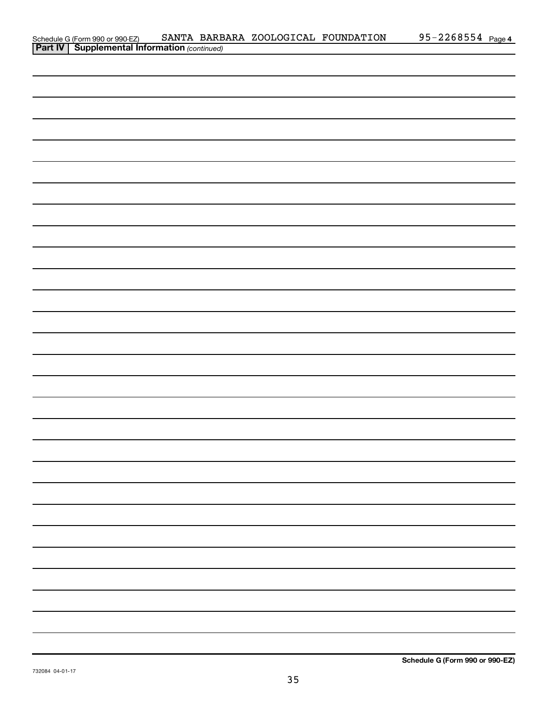| Schedule G (Form 990 or 990-EZ) SANTA BARB<br><b>Part IV   Supplemental Information</b> (continued) | SANTA BARBARA ZOOLOGICAL FOUNDATION | 95-2268554 Page 4 |
|-----------------------------------------------------------------------------------------------------|-------------------------------------|-------------------|
|                                                                                                     |                                     |                   |
|                                                                                                     |                                     |                   |
|                                                                                                     |                                     |                   |
|                                                                                                     |                                     |                   |
|                                                                                                     |                                     |                   |
|                                                                                                     |                                     |                   |
|                                                                                                     |                                     |                   |
|                                                                                                     |                                     |                   |
|                                                                                                     |                                     |                   |
|                                                                                                     |                                     |                   |
|                                                                                                     |                                     |                   |
|                                                                                                     |                                     |                   |
|                                                                                                     |                                     |                   |
|                                                                                                     |                                     |                   |
|                                                                                                     |                                     |                   |
|                                                                                                     |                                     |                   |
|                                                                                                     |                                     |                   |
|                                                                                                     |                                     |                   |
|                                                                                                     |                                     |                   |
|                                                                                                     |                                     |                   |
|                                                                                                     |                                     |                   |
|                                                                                                     |                                     |                   |
|                                                                                                     |                                     |                   |
|                                                                                                     |                                     |                   |
|                                                                                                     |                                     |                   |
|                                                                                                     |                                     |                   |
|                                                                                                     |                                     |                   |
|                                                                                                     |                                     |                   |
|                                                                                                     |                                     |                   |
|                                                                                                     |                                     |                   |
|                                                                                                     |                                     |                   |
|                                                                                                     |                                     |                   |
|                                                                                                     |                                     |                   |
|                                                                                                     |                                     |                   |
|                                                                                                     |                                     |                   |
|                                                                                                     |                                     |                   |
|                                                                                                     |                                     |                   |
|                                                                                                     |                                     |                   |
|                                                                                                     |                                     |                   |
|                                                                                                     |                                     |                   |
|                                                                                                     |                                     |                   |
|                                                                                                     |                                     |                   |
|                                                                                                     |                                     |                   |
|                                                                                                     |                                     |                   |
|                                                                                                     |                                     |                   |
|                                                                                                     |                                     |                   |
|                                                                                                     |                                     |                   |
|                                                                                                     |                                     |                   |
|                                                                                                     |                                     |                   |
|                                                                                                     |                                     |                   |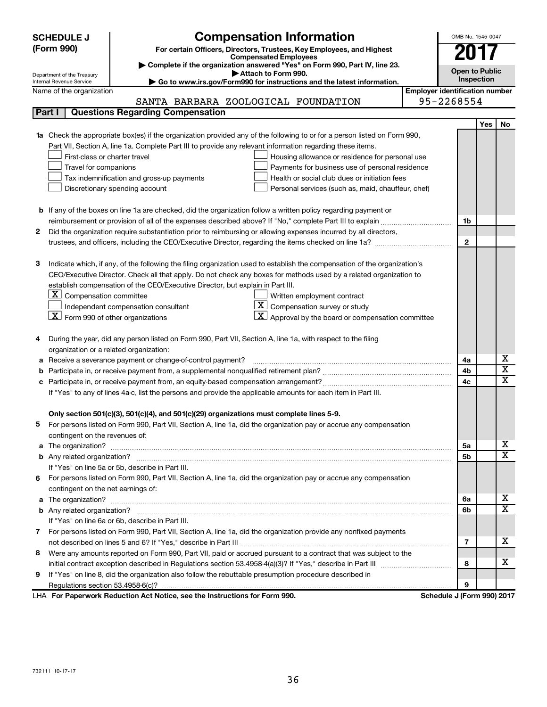| <b>SCHEDULE J</b>                                      | <b>Compensation Information</b>                                                                                           |                                       | OMB No. 1545-0047          |                       |                         |  |  |  |
|--------------------------------------------------------|---------------------------------------------------------------------------------------------------------------------------|---------------------------------------|----------------------------|-----------------------|-------------------------|--|--|--|
| (Form 990)                                             | For certain Officers, Directors, Trustees, Key Employees, and Highest                                                     |                                       | 201                        |                       |                         |  |  |  |
|                                                        | <b>Compensated Employees</b>                                                                                              |                                       |                            |                       |                         |  |  |  |
| Department of the Treasury                             | Complete if the organization answered "Yes" on Form 990, Part IV, line 23.<br>Attach to Form 990.                         |                                       |                            | <b>Open to Public</b> |                         |  |  |  |
| Internal Revenue Service                               | Go to www.irs.gov/Form990 for instructions and the latest information.                                                    |                                       | Inspection                 |                       |                         |  |  |  |
| Name of the organization                               |                                                                                                                           | <b>Employer identification number</b> |                            |                       |                         |  |  |  |
|                                                        | SANTA BARBARA ZOOLOGICAL FOUNDATION                                                                                       |                                       | 95-2268554                 |                       |                         |  |  |  |
| Part I                                                 | <b>Questions Regarding Compensation</b>                                                                                   |                                       |                            |                       |                         |  |  |  |
|                                                        |                                                                                                                           |                                       |                            | Yes                   | No                      |  |  |  |
| 1a                                                     | Check the appropriate box(es) if the organization provided any of the following to or for a person listed on Form 990,    |                                       |                            |                       |                         |  |  |  |
|                                                        | Part VII, Section A, line 1a. Complete Part III to provide any relevant information regarding these items.                |                                       |                            |                       |                         |  |  |  |
| First-class or charter travel                          | Housing allowance or residence for personal use                                                                           |                                       |                            |                       |                         |  |  |  |
| Travel for companions                                  | Payments for business use of personal residence                                                                           |                                       |                            |                       |                         |  |  |  |
|                                                        | Health or social club dues or initiation fees<br>Tax indemnification and gross-up payments                                |                                       |                            |                       |                         |  |  |  |
|                                                        | Discretionary spending account<br>Personal services (such as, maid, chauffeur, chef)                                      |                                       |                            |                       |                         |  |  |  |
|                                                        |                                                                                                                           |                                       |                            |                       |                         |  |  |  |
|                                                        | <b>b</b> If any of the boxes on line 1a are checked, did the organization follow a written policy regarding payment or    |                                       |                            |                       |                         |  |  |  |
|                                                        |                                                                                                                           |                                       | 1b                         |                       |                         |  |  |  |
| 2                                                      | Did the organization require substantiation prior to reimbursing or allowing expenses incurred by all directors,          |                                       |                            |                       |                         |  |  |  |
|                                                        | trustees, and officers, including the CEO/Executive Director, regarding the items checked on line 1a?                     |                                       | $\mathbf{2}$               |                       |                         |  |  |  |
|                                                        |                                                                                                                           |                                       |                            |                       |                         |  |  |  |
| з                                                      | Indicate which, if any, of the following the filing organization used to establish the compensation of the organization's |                                       |                            |                       |                         |  |  |  |
|                                                        | CEO/Executive Director. Check all that apply. Do not check any boxes for methods used by a related organization to        |                                       |                            |                       |                         |  |  |  |
|                                                        | establish compensation of the CEO/Executive Director, but explain in Part III.                                            |                                       |                            |                       |                         |  |  |  |
| $\lfloor \underline{x} \rfloor$ Compensation committee | Written employment contract                                                                                               |                                       |                            |                       |                         |  |  |  |
|                                                        | $ \mathbf{X} $ Compensation survey or study<br>Independent compensation consultant                                        |                                       |                            |                       |                         |  |  |  |
| $\lfloor x \rfloor$ Form 990 of other organizations    | $\lfloor \underline{X} \rfloor$ Approval by the board or compensation committee                                           |                                       |                            |                       |                         |  |  |  |
|                                                        |                                                                                                                           |                                       |                            |                       |                         |  |  |  |
| 4                                                      | During the year, did any person listed on Form 990, Part VII, Section A, line 1a, with respect to the filing              |                                       |                            |                       |                         |  |  |  |
| organization or a related organization:                |                                                                                                                           |                                       |                            |                       |                         |  |  |  |
| а                                                      | Receive a severance payment or change-of-control payment?                                                                 |                                       | 4a                         |                       | х                       |  |  |  |
| b                                                      |                                                                                                                           |                                       | 4b                         |                       | $\overline{\textbf{x}}$ |  |  |  |
| c                                                      |                                                                                                                           |                                       | 4c                         |                       | $\overline{\textbf{x}}$ |  |  |  |
|                                                        | If "Yes" to any of lines 4a-c, list the persons and provide the applicable amounts for each item in Part III.             |                                       |                            |                       |                         |  |  |  |
|                                                        |                                                                                                                           |                                       |                            |                       |                         |  |  |  |
|                                                        | Only section 501(c)(3), 501(c)(4), and 501(c)(29) organizations must complete lines 5-9.                                  |                                       |                            |                       |                         |  |  |  |
|                                                        | For persons listed on Form 990, Part VII, Section A, line 1a, did the organization pay or accrue any compensation         |                                       |                            |                       |                         |  |  |  |
| contingent on the revenues of:                         |                                                                                                                           |                                       |                            |                       |                         |  |  |  |
|                                                        |                                                                                                                           |                                       | 5а                         |                       | х                       |  |  |  |
|                                                        |                                                                                                                           |                                       | 5b                         |                       | х                       |  |  |  |
|                                                        | If "Yes" on line 5a or 5b, describe in Part III.                                                                          |                                       |                            |                       |                         |  |  |  |
|                                                        | 6 For persons listed on Form 990, Part VII, Section A, line 1a, did the organization pay or accrue any compensation       |                                       |                            |                       |                         |  |  |  |
| contingent on the net earnings of:                     |                                                                                                                           |                                       |                            |                       |                         |  |  |  |
|                                                        |                                                                                                                           |                                       | 6a                         |                       | х                       |  |  |  |
|                                                        |                                                                                                                           |                                       | 6b                         |                       | х                       |  |  |  |
|                                                        | If "Yes" on line 6a or 6b, describe in Part III.                                                                          |                                       |                            |                       |                         |  |  |  |
|                                                        | 7 For persons listed on Form 990, Part VII, Section A, line 1a, did the organization provide any nonfixed payments        |                                       |                            |                       |                         |  |  |  |
|                                                        |                                                                                                                           |                                       | 7                          |                       | х                       |  |  |  |
|                                                        | 8 Were any amounts reported on Form 990, Part VII, paid or accrued pursuant to a contract that was subject to the         |                                       |                            |                       |                         |  |  |  |
|                                                        |                                                                                                                           |                                       | 8                          |                       | х                       |  |  |  |
| 9.                                                     | If "Yes" on line 8, did the organization also follow the rebuttable presumption procedure described in                    |                                       |                            |                       |                         |  |  |  |
|                                                        |                                                                                                                           |                                       | 9                          |                       |                         |  |  |  |
|                                                        | LHA For Paperwork Reduction Act Notice, see the Instructions for Form 990.                                                |                                       | Schedule J (Form 990) 2017 |                       |                         |  |  |  |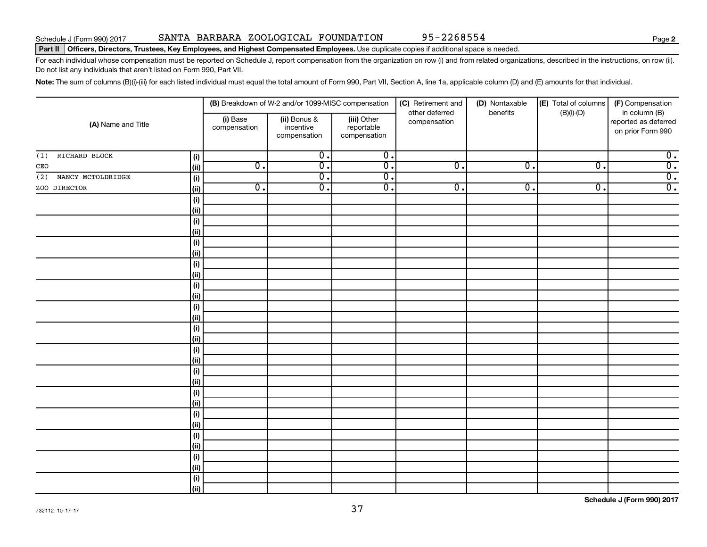### Part II | Officers, Directors, Trustees, Key Employees, and Highest Compensated Employees. Use duplicate copies if additional space is needed.

For each individual whose compensation must be reported on Schedule J, report compensation from the organization on row (i) and from related organizations, described in the instructions, on row (ii). Do not list any individuals that aren't listed on Form 990, Part VII.

Note: The sum of columns (B)(i)-(iii) for each listed individual must equal the total amount of Form 990, Part VII, Section A, line 1a, applicable column (D) and (E) amounts for that individual.

|                                        |                          | (B) Breakdown of W-2 and/or 1099-MISC compensation |                                           | (C) Retirement and             | (D) Nontaxable              | (E) Total of columns | (F) Compensation                                           |  |
|----------------------------------------|--------------------------|----------------------------------------------------|-------------------------------------------|--------------------------------|-----------------------------|----------------------|------------------------------------------------------------|--|
| (A) Name and Title                     | (i) Base<br>compensation | (ii) Bonus &<br>incentive<br>compensation          | (iii) Other<br>reportable<br>compensation | other deferred<br>compensation | benefits                    | $(B)(i)-(D)$         | in column (B)<br>reported as deferred<br>on prior Form 990 |  |
| RICHARD BLOCK<br>(1)<br>$(\sf{i})$     |                          | $\overline{0}$ .                                   | $\overline{0}$ .                          |                                |                             |                      | $\overline{0}$ .                                           |  |
| (ii)<br>CEO                            | $\overline{0}$ .         | $\overline{0}$ .                                   | $\overline{0}$ .                          | $\overline{0}$ .               | $\overline{0}$ .            | $\overline{0}$ .     | $\overline{0}$ .                                           |  |
| (2)<br>NANCY MCTOLDRIDGE<br>$(\sf{i})$ |                          | $\overline{0}$ .                                   | $\overline{0}$ .                          |                                |                             |                      | $\overline{0}$ .                                           |  |
| ZOO DIRECTOR<br>(ii)                   | $\overline{0}$ .         | $\overline{0}$ .                                   | $\overline{\mathfrak{o}}$ .               | $\overline{0}$ .               | $\overline{\mathfrak{o}}$ . | $\overline{0}$ .     | $\overline{\mathbf{0}}$ .                                  |  |
| $\qquad \qquad \textbf{(i)}$           |                          |                                                    |                                           |                                |                             |                      |                                                            |  |
| (ii)                                   |                          |                                                    |                                           |                                |                             |                      |                                                            |  |
| $(\sf{i})$                             |                          |                                                    |                                           |                                |                             |                      |                                                            |  |
| (ii)                                   |                          |                                                    |                                           |                                |                             |                      |                                                            |  |
| $(\sf{i})$                             |                          |                                                    |                                           |                                |                             |                      |                                                            |  |
| (ii)                                   |                          |                                                    |                                           |                                |                             |                      |                                                            |  |
| $(\sf{i})$                             |                          |                                                    |                                           |                                |                             |                      |                                                            |  |
| (ii)                                   |                          |                                                    |                                           |                                |                             |                      |                                                            |  |
| $(\sf{i})$                             |                          |                                                    |                                           |                                |                             |                      |                                                            |  |
| (ii)                                   |                          |                                                    |                                           |                                |                             |                      |                                                            |  |
| $(\sf{i})$                             |                          |                                                    |                                           |                                |                             |                      |                                                            |  |
| (ii)                                   |                          |                                                    |                                           |                                |                             |                      |                                                            |  |
| $(\sf{i})$                             |                          |                                                    |                                           |                                |                             |                      |                                                            |  |
| (ii)                                   |                          |                                                    |                                           |                                |                             |                      |                                                            |  |
| $(\sf{i})$                             |                          |                                                    |                                           |                                |                             |                      |                                                            |  |
| (i)                                    |                          |                                                    |                                           |                                |                             |                      |                                                            |  |
| $(\sf{i})$                             |                          |                                                    |                                           |                                |                             |                      |                                                            |  |
| (ii)                                   |                          |                                                    |                                           |                                |                             |                      |                                                            |  |
| $(\sf{i})$<br>(ii)                     |                          |                                                    |                                           |                                |                             |                      |                                                            |  |
|                                        |                          |                                                    |                                           |                                |                             |                      |                                                            |  |
| $(\sf{i})$<br>(i)                      |                          |                                                    |                                           |                                |                             |                      |                                                            |  |
| $(\sf{i})$                             |                          |                                                    |                                           |                                |                             |                      |                                                            |  |
| (i)                                    |                          |                                                    |                                           |                                |                             |                      |                                                            |  |
| $(\sf{i})$                             |                          |                                                    |                                           |                                |                             |                      |                                                            |  |
| (ii)                                   |                          |                                                    |                                           |                                |                             |                      |                                                            |  |
| $(\sf{i})$                             |                          |                                                    |                                           |                                |                             |                      |                                                            |  |
| (ii)                                   |                          |                                                    |                                           |                                |                             |                      |                                                            |  |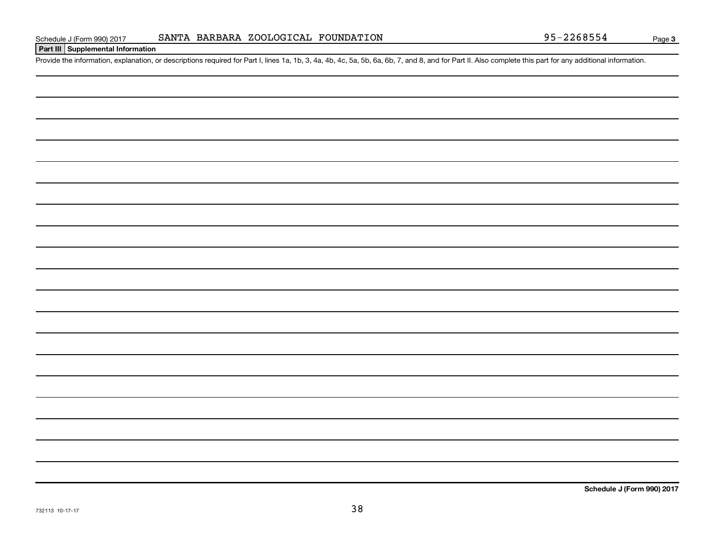# **Part III Supplemental Information**

Provide the information, explanation, or descriptions required for Part I, lines 1a, 1b, 3, 4a, 4b, 4c, 5a, 5b, 6a, 6b, 7, and 8, and for Part II. Also complete this part for any additional information.

**Schedule J (Form 990) 2017**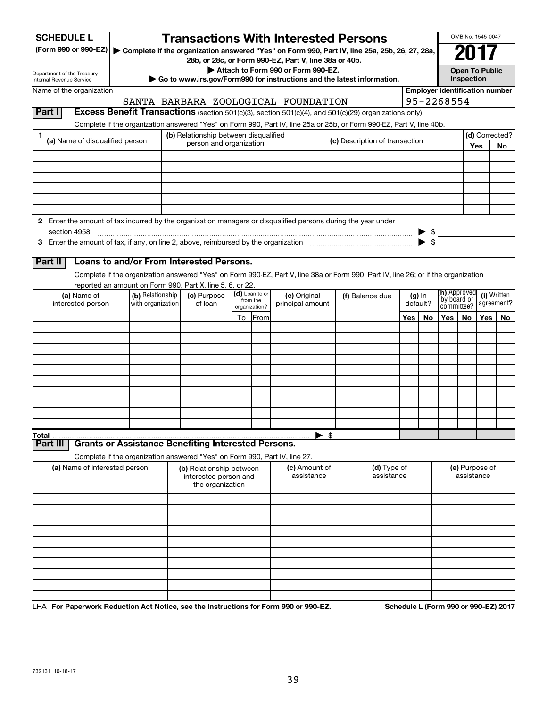| <b>SCHEDULE L</b><br>(Form 990 or 990-EZ)                                                                     |                                     |                                       |                                                                       |    |                  | <b>Transactions With Interested Persons</b>                                                 |                 | Complete if the organization answered "Yes" on Form 990, Part IV, line 25a, 25b, 26, 27, 28a,                                      |                      |    |                                                     | OMB No. 1545-0047            |     |                |
|---------------------------------------------------------------------------------------------------------------|-------------------------------------|---------------------------------------|-----------------------------------------------------------------------|----|------------------|---------------------------------------------------------------------------------------------|-----------------|------------------------------------------------------------------------------------------------------------------------------------|----------------------|----|-----------------------------------------------------|------------------------------|-----|----------------|
| Department of the Treasury                                                                                    |                                     |                                       |                                                                       |    |                  | 28b, or 28c, or Form 990-EZ, Part V, line 38a or 40b.<br>Attach to Form 990 or Form 990-EZ. |                 |                                                                                                                                    |                      |    |                                                     | <b>Open To Public</b>        |     |                |
| Internal Revenue Service                                                                                      |                                     |                                       |                                                                       |    |                  |                                                                                             |                 | Go to www.irs.gov/Form990 for instructions and the latest information.                                                             |                      |    |                                                     | Inspection                   |     |                |
| Name of the organization                                                                                      | SANTA BARBARA ZOOLOGICAL FOUNDATION |                                       |                                                                       |    |                  |                                                                                             |                 |                                                                                                                                    |                      |    | <b>Employer identification number</b><br>95-2268554 |                              |     |                |
| Part I                                                                                                        |                                     |                                       |                                                                       |    |                  |                                                                                             |                 | Excess Benefit Transactions (section 501(c)(3), section 501(c)(4), and 501(c)(29) organizations only).                             |                      |    |                                                     |                              |     |                |
|                                                                                                               |                                     |                                       |                                                                       |    |                  |                                                                                             |                 | Complete if the organization answered "Yes" on Form 990, Part IV, line 25a or 25b, or Form 990-EZ, Part V, line 40b.               |                      |    |                                                     |                              |     |                |
| 1                                                                                                             |                                     | (b) Relationship between disqualified |                                                                       |    |                  |                                                                                             |                 |                                                                                                                                    |                      |    |                                                     |                              |     | (d) Corrected? |
| (a) Name of disqualified person                                                                               |                                     |                                       | person and organization                                               |    |                  |                                                                                             |                 | (c) Description of transaction                                                                                                     |                      |    |                                                     |                              | Yes | No             |
|                                                                                                               |                                     |                                       |                                                                       |    |                  |                                                                                             |                 |                                                                                                                                    |                      |    |                                                     |                              |     |                |
|                                                                                                               |                                     |                                       |                                                                       |    |                  |                                                                                             |                 |                                                                                                                                    |                      |    |                                                     |                              |     |                |
|                                                                                                               |                                     |                                       |                                                                       |    |                  |                                                                                             |                 |                                                                                                                                    |                      |    |                                                     |                              |     |                |
|                                                                                                               |                                     |                                       |                                                                       |    |                  |                                                                                             |                 |                                                                                                                                    |                      |    |                                                     |                              |     |                |
|                                                                                                               |                                     |                                       |                                                                       |    |                  |                                                                                             |                 |                                                                                                                                    |                      |    |                                                     |                              |     |                |
| 2 Enter the amount of tax incurred by the organization managers or disqualified persons during the year under |                                     |                                       |                                                                       |    |                  |                                                                                             |                 |                                                                                                                                    |                      |    |                                                     |                              |     |                |
| section 4958                                                                                                  |                                     |                                       |                                                                       |    |                  |                                                                                             |                 |                                                                                                                                    |                      |    | $\triangleright$ \$                                 |                              |     |                |
|                                                                                                               |                                     |                                       |                                                                       |    |                  |                                                                                             |                 |                                                                                                                                    |                      |    | $\blacktriangleright$ \$                            |                              |     |                |
|                                                                                                               |                                     |                                       |                                                                       |    |                  |                                                                                             |                 |                                                                                                                                    |                      |    |                                                     |                              |     |                |
| Loans to and/or From Interested Persons.<br>Part II                                                           |                                     |                                       |                                                                       |    |                  |                                                                                             |                 |                                                                                                                                    |                      |    |                                                     |                              |     |                |
|                                                                                                               |                                     |                                       |                                                                       |    |                  |                                                                                             |                 | Complete if the organization answered "Yes" on Form 990-EZ, Part V, line 38a or Form 990, Part IV, line 26; or if the organization |                      |    |                                                     |                              |     |                |
| reported an amount on Form 990, Part X, line 5, 6, or 22.<br>(a) Name of                                      | (b) Relationship                    |                                       |                                                                       |    | (d) Loan to or   | (e) Original                                                                                |                 |                                                                                                                                    |                      |    | <b>(h)</b> Approved                                 |                              |     | (i) Written    |
| interested person                                                                                             | with organization                   |                                       | (c) Purpose<br>from the<br>of loan<br>organization?                   |    | principal amount |                                                                                             | (f) Balance due |                                                                                                                                    | $(g)$ In<br>default? |    | `by board or<br>agreement?<br>committee?            |                              |     |                |
|                                                                                                               |                                     |                                       |                                                                       | To | <b>From</b>      |                                                                                             |                 |                                                                                                                                    | Yes                  | No | Yes                                                 | No                           | Yes | No.            |
|                                                                                                               |                                     |                                       |                                                                       |    |                  |                                                                                             |                 |                                                                                                                                    |                      |    |                                                     |                              |     |                |
|                                                                                                               |                                     |                                       |                                                                       |    |                  |                                                                                             |                 |                                                                                                                                    |                      |    |                                                     |                              |     |                |
|                                                                                                               |                                     |                                       |                                                                       |    |                  |                                                                                             |                 |                                                                                                                                    |                      |    |                                                     |                              |     |                |
|                                                                                                               |                                     |                                       |                                                                       |    |                  |                                                                                             |                 |                                                                                                                                    |                      |    |                                                     |                              |     |                |
|                                                                                                               |                                     |                                       |                                                                       |    |                  |                                                                                             |                 |                                                                                                                                    |                      |    |                                                     |                              |     |                |
|                                                                                                               |                                     |                                       |                                                                       |    |                  |                                                                                             |                 |                                                                                                                                    |                      |    |                                                     |                              |     |                |
|                                                                                                               |                                     |                                       |                                                                       |    |                  |                                                                                             |                 |                                                                                                                                    |                      |    |                                                     |                              |     |                |
|                                                                                                               |                                     |                                       |                                                                       |    |                  |                                                                                             |                 |                                                                                                                                    |                      |    |                                                     |                              |     |                |
|                                                                                                               |                                     |                                       |                                                                       |    |                  |                                                                                             |                 |                                                                                                                                    |                      |    |                                                     |                              |     |                |
| Total                                                                                                         |                                     |                                       |                                                                       |    |                  | $\blacktriangleright$ \$                                                                    |                 |                                                                                                                                    |                      |    |                                                     |                              |     |                |
| <b>Grants or Assistance Benefiting Interested Persons.</b><br>Part II                                         |                                     |                                       |                                                                       |    |                  |                                                                                             |                 |                                                                                                                                    |                      |    |                                                     |                              |     |                |
| Complete if the organization answered "Yes" on Form 990, Part IV, line 27.                                    |                                     |                                       |                                                                       |    |                  |                                                                                             |                 |                                                                                                                                    |                      |    |                                                     |                              |     |                |
| (a) Name of interested person                                                                                 |                                     |                                       | (b) Relationship between<br>interested person and<br>the organization |    |                  | (c) Amount of<br>assistance                                                                 |                 | (d) Type of<br>assistance                                                                                                          |                      |    |                                                     | (e) Purpose of<br>assistance |     |                |
|                                                                                                               |                                     |                                       |                                                                       |    |                  |                                                                                             |                 |                                                                                                                                    |                      |    |                                                     |                              |     |                |
|                                                                                                               |                                     |                                       |                                                                       |    |                  |                                                                                             |                 |                                                                                                                                    |                      |    |                                                     |                              |     |                |
|                                                                                                               |                                     |                                       |                                                                       |    |                  |                                                                                             |                 |                                                                                                                                    |                      |    |                                                     |                              |     |                |
|                                                                                                               |                                     |                                       |                                                                       |    |                  |                                                                                             |                 |                                                                                                                                    |                      |    |                                                     |                              |     |                |
|                                                                                                               |                                     |                                       |                                                                       |    |                  |                                                                                             |                 |                                                                                                                                    |                      |    |                                                     |                              |     |                |
|                                                                                                               |                                     |                                       |                                                                       |    |                  |                                                                                             |                 |                                                                                                                                    |                      |    |                                                     |                              |     |                |
|                                                                                                               |                                     |                                       |                                                                       |    |                  |                                                                                             |                 |                                                                                                                                    |                      |    |                                                     |                              |     |                |
|                                                                                                               |                                     |                                       |                                                                       |    |                  |                                                                                             |                 |                                                                                                                                    |                      |    |                                                     |                              |     |                |
|                                                                                                               |                                     |                                       |                                                                       |    |                  |                                                                                             |                 |                                                                                                                                    |                      |    |                                                     |                              |     |                |
|                                                                                                               |                                     |                                       |                                                                       |    |                  |                                                                                             |                 |                                                                                                                                    |                      |    |                                                     |                              |     |                |

LHA For Paperwork Reduction Act Notice, see the Instructions for Form 990 or 990-EZ. Schedule L (Form 990 or 990-EZ) 2017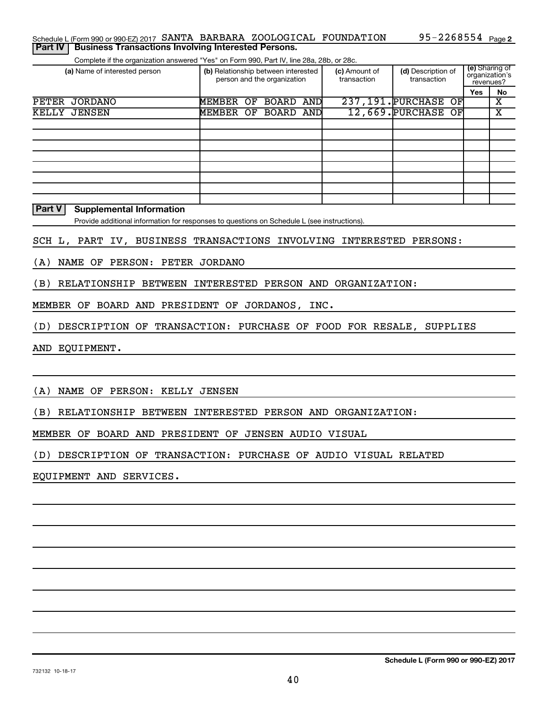| <b>Part IV   Business Transactions Involving Interested Persons.</b>     |  |  |                              |  |
|--------------------------------------------------------------------------|--|--|------------------------------|--|
| Schedule L (Form 990 or 990-EZ) 2017 SANTA BARBARA ZOOLOGICAL FOUNDATION |  |  | 95-2268554 <sub>Page 2</sub> |  |

Complete if the organization answered "Yes" on Form 990, Part IV, line 28a, 28b, or 28c.

| (a) Name of interested person | (b) Relationship between interested<br>person and the organization |    |           |      | (c) Amount of<br>transaction | (d) Description of<br>transaction | (e) Sharing of<br>organization's<br>revenues? |    |
|-------------------------------|--------------------------------------------------------------------|----|-----------|------|------------------------------|-----------------------------------|-----------------------------------------------|----|
|                               |                                                                    |    |           |      |                              |                                   | Yes                                           | No |
| <b>PETER</b><br>JORDANO       | MEMBER                                                             | OF | BOARD     | ANDI |                              | 237, 191. PURCHASE<br>OFI         |                                               | х  |
| KELLY JENSEN                  | MEMBER                                                             | OF | BOARD AND |      |                              | 12,669. PURCHASE OF               |                                               | x  |
|                               |                                                                    |    |           |      |                              |                                   |                                               |    |
|                               |                                                                    |    |           |      |                              |                                   |                                               |    |
|                               |                                                                    |    |           |      |                              |                                   |                                               |    |
|                               |                                                                    |    |           |      |                              |                                   |                                               |    |
|                               |                                                                    |    |           |      |                              |                                   |                                               |    |
|                               |                                                                    |    |           |      |                              |                                   |                                               |    |
|                               |                                                                    |    |           |      |                              |                                   |                                               |    |
|                               |                                                                    |    |           |      |                              |                                   |                                               |    |

# **Part V Supplemental Information**

Provide additional information for responses to questions on Schedule L (see instructions).

# SCH L, PART IV, BUSINESS TRANSACTIONS INVOLVING INTERESTED PERSONS:

(A) NAME OF PERSON: PETER JORDANO

(B) RELATIONSHIP BETWEEN INTERESTED PERSON AND ORGANIZATION:

MEMBER OF BOARD AND PRESIDENT OF JORDANOS, INC.

(D) DESCRIPTION OF TRANSACTION: PURCHASE OF FOOD FOR RESALE, SUPPLIES

AND EQUIPMENT.

(A) NAME OF PERSON: KELLY JENSEN

(B) RELATIONSHIP BETWEEN INTERESTED PERSON AND ORGANIZATION:

MEMBER OF BOARD AND PRESIDENT OF JENSEN AUDIO VISUAL

(D) DESCRIPTION OF TRANSACTION: PURCHASE OF AUDIO VISUAL RELATED

EQUIPMENT AND SERVICES.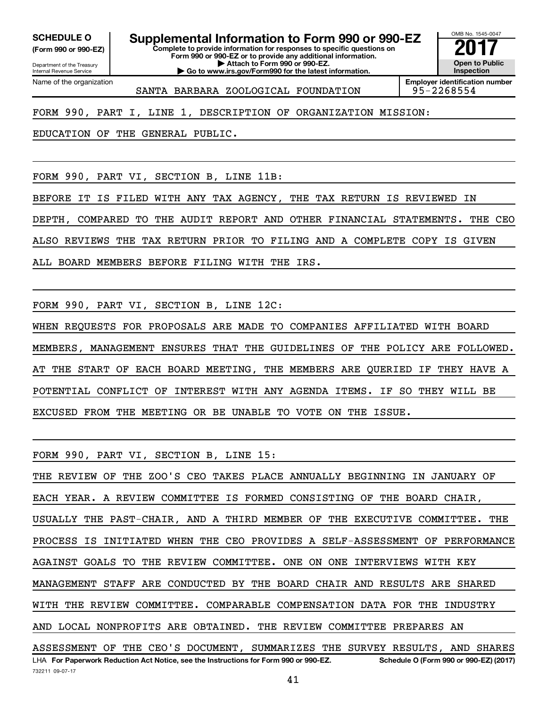**(Form 990 or 990-EZ)**

**SCHEDULE O Supplemental Information to Form 990 or 990-EZ 2017**<br>(Form 990 or 990-EZ) Complete to provide information for responses to specific questions on

Department of the Treasury Internal Revenue Service Name of the organization **Complete to provide information for responses to specific questions on Form 990 or 990-EZ or to provide any additional information. | Attach to Form 990 or 990-EZ.**

**| Go to www.irs.gov/Form990 for the latest information.**

OMB No. 1545-0047 **Open to Public Inspection**

**Employer identification number** SANTA BARBARA ZOOLOGICAL FOUNDATION 95-2268554

FORM 990, PART I, LINE 1, DESCRIPTION OF ORGANIZATION MISSION:

EDUCATION OF THE GENERAL PUBLIC.

FORM 990, PART VI, SECTION B, LINE 11B:

BEFORE IT IS FILED WITH ANY TAX AGENCY, THE TAX RETURN IS REVIEWED IN DEPTH, COMPARED TO THE AUDIT REPORT AND OTHER FINANCIAL STATEMENTS. THE CEO ALSO REVIEWS THE TAX RETURN PRIOR TO FILING AND A COMPLETE COPY IS GIVEN

ALL BOARD MEMBERS BEFORE FILING WITH THE IRS.

FORM 990, PART VI, SECTION B, LINE 12C:

WHEN REQUESTS FOR PROPOSALS ARE MADE TO COMPANIES AFFILIATED WITH BOARD MEMBERS, MANAGEMENT ENSURES THAT THE GUIDELINES OF THE POLICY ARE FOLLOWED. AT THE START OF EACH BOARD MEETING, THE MEMBERS ARE QUERIED IF THEY HAVE A POTENTIAL CONFLICT OF INTEREST WITH ANY AGENDA ITEMS. IF SO THEY WILL BE EXCUSED FROM THE MEETING OR BE UNABLE TO VOTE ON THE ISSUE.

FORM 990, PART VI, SECTION B, LINE 15:

LHA For Paperwork Reduction Act Notice, see the Instructions for Form 990 or 990-EZ. Schedule O (Form 990 or 990-EZ) (2017) THE REVIEW OF THE ZOO'S CEO TAKES PLACE ANNUALLY BEGINNING IN JANUARY OF EACH YEAR. A REVIEW COMMITTEE IS FORMED CONSISTING OF THE BOARD CHAIR, USUALLY THE PAST-CHAIR, AND A THIRD MEMBER OF THE EXECUTIVE COMMITTEE. THE PROCESS IS INITIATED WHEN THE CEO PROVIDES A SELF-ASSESSMENT OF PERFORMANCE AGAINST GOALS TO THE REVIEW COMMITTEE. ONE ON ONE INTERVIEWS WITH KEY MANAGEMENT STAFF ARE CONDUCTED BY THE BOARD CHAIR AND RESULTS ARE SHARED WITH THE REVIEW COMMITTEE. COMPARABLE COMPENSATION DATA FOR THE INDUSTRY AND LOCAL NONPROFITS ARE OBTAINED. THE REVIEW COMMITTEE PREPARES AN ASSESSMENT OF THE CEO'S DOCUMENT, SUMMARIZES THE SURVEY RESULTS, AND SHARES

732211 09-07-17